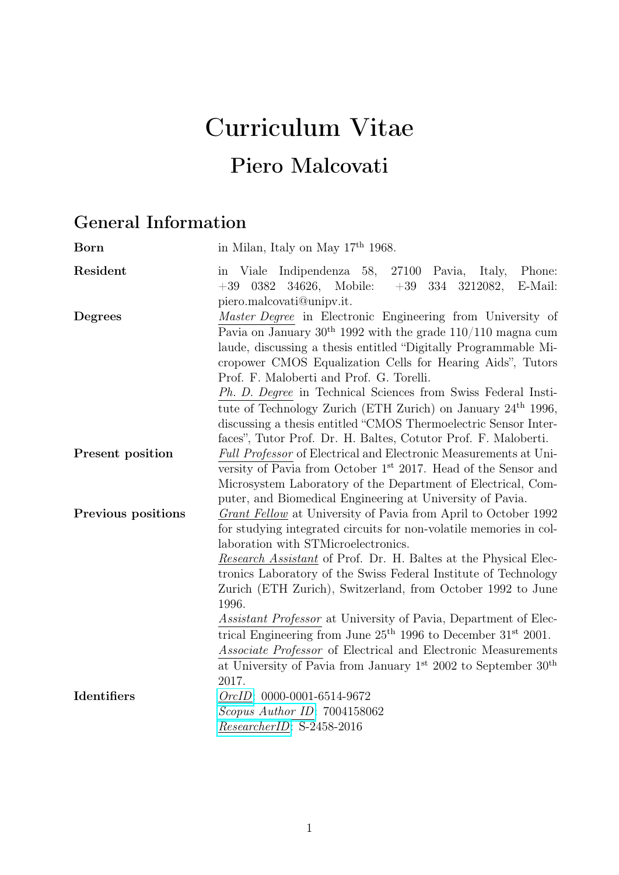# Curriculum Vitae Piero Malcovati

# General Information

| <b>Born</b>             | in Milan, Italy on May $17th 1968$ .                                                                                                                                                                                                                                                                                                                                                                                                                                                                                                                                                                                                                                                         |
|-------------------------|----------------------------------------------------------------------------------------------------------------------------------------------------------------------------------------------------------------------------------------------------------------------------------------------------------------------------------------------------------------------------------------------------------------------------------------------------------------------------------------------------------------------------------------------------------------------------------------------------------------------------------------------------------------------------------------------|
| Resident                | in Viale Indipendenza 58,<br>Phone:<br>27100 Pavia,<br>Italy,<br>$+39$ 0382 34626, Mobile:<br>$+39$ 334 3212082,<br>E-Mail:<br>piero.malcovati@unipv.it.                                                                                                                                                                                                                                                                                                                                                                                                                                                                                                                                     |
| Degrees                 | Master Degree in Electronic Engineering from University of<br>Pavia on January 30 <sup>th</sup> 1992 with the grade $110/110$ magna cum<br>laude, discussing a thesis entitled "Digitally Programmable Mi-<br>cropower CMOS Equalization Cells for Hearing Aids", Tutors<br>Prof. F. Maloberti and Prof. G. Torelli.<br>Ph. D. Degree in Technical Sciences from Swiss Federal Insti-<br>tute of Technology Zurich (ETH Zurich) on January 24 <sup>th</sup> 1996,<br>discussing a thesis entitled "CMOS Thermoelectric Sensor Inter-<br>faces", Tutor Prof. Dr. H. Baltes, Cotutor Prof. F. Maloberti.                                                                                       |
| <b>Present position</b> | Full Professor of Electrical and Electronic Measurements at Uni-<br>versity of Pavia from October 1 <sup>st</sup> 2017. Head of the Sensor and<br>Microsystem Laboratory of the Department of Electrical, Com-<br>puter, and Biomedical Engineering at University of Pavia.                                                                                                                                                                                                                                                                                                                                                                                                                  |
| Previous positions      | Grant Fellow at University of Pavia from April to October 1992<br>for studying integrated circuits for non-volatile memories in col-<br>laboration with STMicroelectronics.<br>Research Assistant of Prof. Dr. H. Baltes at the Physical Elec-<br>tronics Laboratory of the Swiss Federal Institute of Technology<br>Zurich (ETH Zurich), Switzerland, from October 1992 to June<br>1996.<br>Assistant Professor at University of Pavia, Department of Elec-<br>trical Engineering from June $25th 1996$ to December $31st 2001$ .<br>Associate Professor of Electrical and Electronic Measurements<br>at University of Pavia from January 1 <sup>st</sup> 2002 to September $30th$<br>2017. |
| Identifiers             | $OrcID: 0000-0001-6514-9672$<br>Scopus Author ID: 7004158062<br>ResearcherID: S-2458-2016                                                                                                                                                                                                                                                                                                                                                                                                                                                                                                                                                                                                    |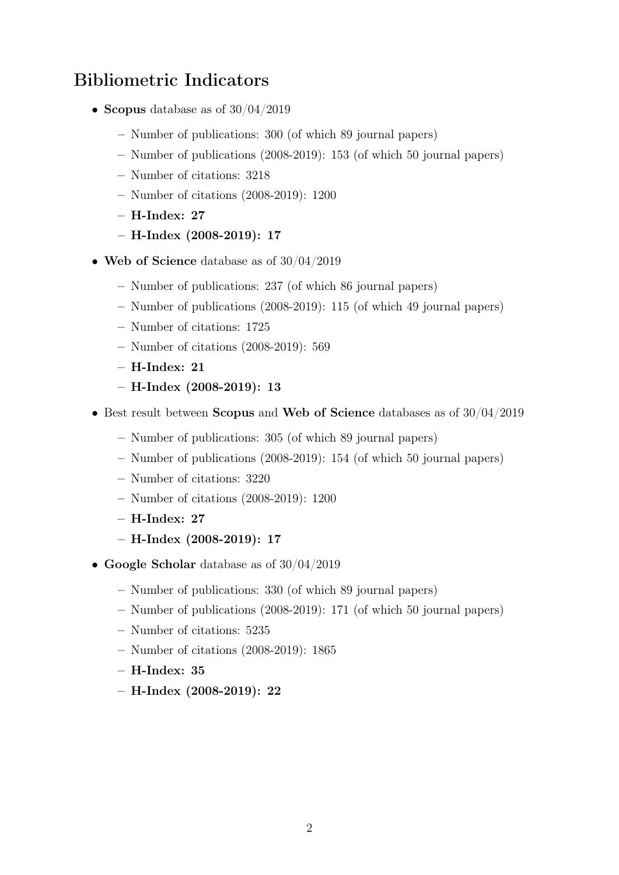# Bibliometric Indicators

- Scopus database as of  $30/04/2019$ 
	- Number of publications: 300 (of which 89 journal papers)
	- Number of publications (2008-2019): 153 (of which 50 journal papers)
	- Number of citations: 3218
	- Number of citations (2008-2019): 1200
	- H-Index: 27
	- H-Index (2008-2019): 17
- Web of Science database as of  $30/04/2019$ 
	- Number of publications: 237 (of which 86 journal papers)
	- Number of publications (2008-2019): 115 (of which 49 journal papers)
	- Number of citations: 1725
	- Number of citations (2008-2019): 569
	- H-Index: 21
	- H-Index (2008-2019): 13
- Best result between **Scopus** and Web of Science databases as of  $30/04/2019$ 
	- Number of publications: 305 (of which 89 journal papers)
	- Number of publications (2008-2019): 154 (of which 50 journal papers)
	- Number of citations: 3220
	- Number of citations (2008-2019): 1200
	- H-Index: 27
	- H-Index (2008-2019): 17
- Google Scholar database as of 30/04/2019
	- Number of publications: 330 (of which 89 journal papers)
	- Number of publications (2008-2019): 171 (of which 50 journal papers)
	- Number of citations: 5235
	- Number of citations (2008-2019): 1865
	- H-Index: 35
	- H-Index (2008-2019): 22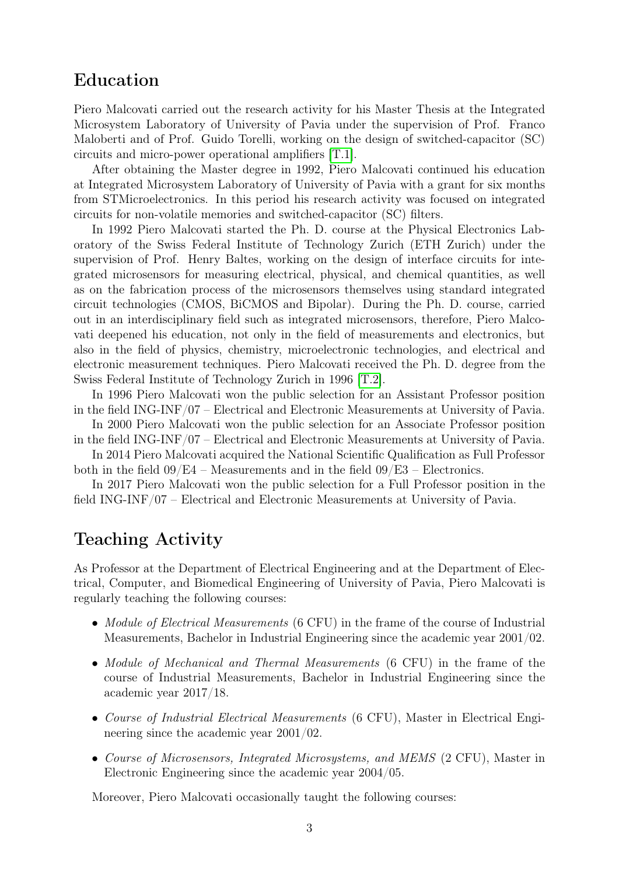# Education

Piero Malcovati carried out the research activity for his Master Thesis at the Integrated Microsystem Laboratory of University of Pavia under the supervision of Prof. Franco Maloberti and of Prof. Guido Torelli, working on the design of switched-capacitor (SC) circuits and micro-power operational amplifiers [\[T.1\]](#page-57-0).

After obtaining the Master degree in 1992, Piero Malcovati continued his education at Integrated Microsystem Laboratory of University of Pavia with a grant for six months from STMicroelectronics. In this period his research activity was focused on integrated circuits for non-volatile memories and switched-capacitor (SC) filters.

In 1992 Piero Malcovati started the Ph. D. course at the Physical Electronics Laboratory of the Swiss Federal Institute of Technology Zurich (ETH Zurich) under the supervision of Prof. Henry Baltes, working on the design of interface circuits for integrated microsensors for measuring electrical, physical, and chemical quantities, as well as on the fabrication process of the microsensors themselves using standard integrated circuit technologies (CMOS, BiCMOS and Bipolar). During the Ph. D. course, carried out in an interdisciplinary field such as integrated microsensors, therefore, Piero Malcovati deepened his education, not only in the field of measurements and electronics, but also in the field of physics, chemistry, microelectronic technologies, and electrical and electronic measurement techniques. Piero Malcovati received the Ph. D. degree from the Swiss Federal Institute of Technology Zurich in 1996 [\[T.2\]](#page-57-1).

In 1996 Piero Malcovati won the public selection for an Assistant Professor position in the field ING-INF/07 – Electrical and Electronic Measurements at University of Pavia.

In 2000 Piero Malcovati won the public selection for an Associate Professor position in the field ING-INF/07 – Electrical and Electronic Measurements at University of Pavia.

In 2014 Piero Malcovati acquired the National Scientific Qualification as Full Professor both in the field  $09/E4$  – Measurements and in the field  $09/E3$  – Electronics.

In 2017 Piero Malcovati won the public selection for a Full Professor position in the field ING-INF/07 – Electrical and Electronic Measurements at University of Pavia.

# Teaching Activity

As Professor at the Department of Electrical Engineering and at the Department of Electrical, Computer, and Biomedical Engineering of University of Pavia, Piero Malcovati is regularly teaching the following courses:

- Module of Electrical Measurements (6 CFU) in the frame of the course of Industrial Measurements, Bachelor in Industrial Engineering since the academic year 2001/02.
- Module of Mechanical and Thermal Measurements (6 CFU) in the frame of the course of Industrial Measurements, Bachelor in Industrial Engineering since the academic year 2017/18.
- Course of Industrial Electrical Measurements (6 CFU), Master in Electrical Engineering since the academic year 2001/02.
- Course of Microsensors, Integrated Microsystems, and MEMS (2 CFU), Master in Electronic Engineering since the academic year 2004/05.

Moreover, Piero Malcovati occasionally taught the following courses: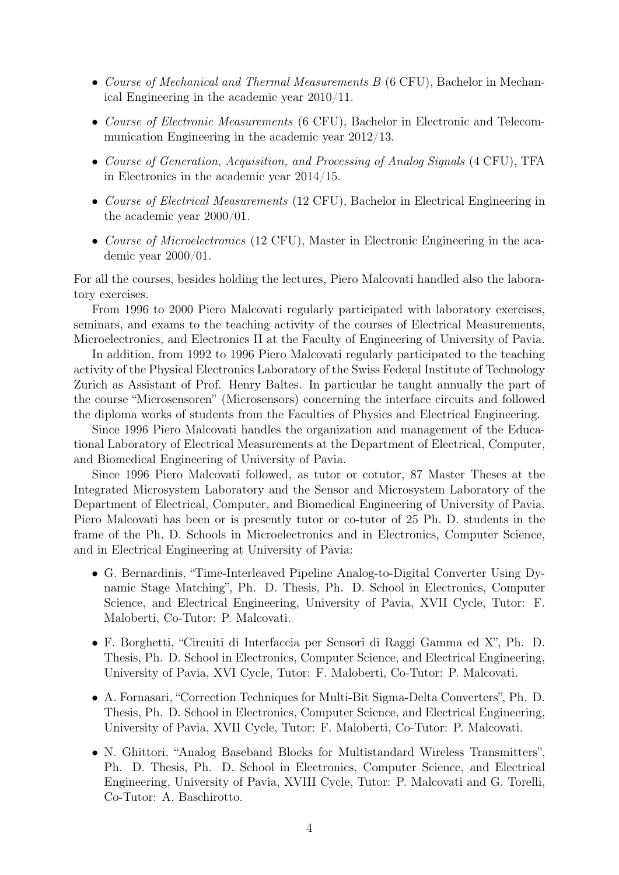- Course of Mechanical and Thermal Measurements B (6 CFU), Bachelor in Mechanical Engineering in the academic year 2010/11.
- Course of Electronic Measurements (6 CFU), Bachelor in Electronic and Telecommunication Engineering in the academic year 2012/13.
- Course of Generation, Acquisition, and Processing of Analog Signals (4 CFU), TFA in Electronics in the academic year 2014/15.
- Course of Electrical Measurements (12 CFU), Bachelor in Electrical Engineering in the academic year 2000/01.
- Course of Microelectronics (12 CFU), Master in Electronic Engineering in the academic year 2000/01.

For all the courses, besides holding the lectures, Piero Malcovati handled also the laboratory exercises.

From 1996 to 2000 Piero Malcovati regularly participated with laboratory exercises, seminars, and exams to the teaching activity of the courses of Electrical Measurements, Microelectronics, and Electronics II at the Faculty of Engineering of University of Pavia.

In addition, from 1992 to 1996 Piero Malcovati regularly participated to the teaching activity of the Physical Electronics Laboratory of the Swiss Federal Institute of Technology Zurich as Assistant of Prof. Henry Baltes. In particular he taught annually the part of the course "Microsensoren" (Microsensors) concerning the interface circuits and followed the diploma works of students from the Faculties of Physics and Electrical Engineering.

Since 1996 Piero Malcovati handles the organization and management of the Educational Laboratory of Electrical Measurements at the Department of Electrical, Computer, and Biomedical Engineering of University of Pavia.

Since 1996 Piero Malcovati followed, as tutor or cotutor, 87 Master Theses at the Integrated Microsystem Laboratory and the Sensor and Microsystem Laboratory of the Department of Electrical, Computer, and Biomedical Engineering of University of Pavia. Piero Malcovati has been or is presently tutor or co-tutor of 25 Ph. D. students in the frame of the Ph. D. Schools in Microelectronics and in Electronics, Computer Science, and in Electrical Engineering at University of Pavia:

- G. Bernardinis, "Time-Interleaved Pipeline Analog-to-Digital Converter Using Dynamic Stage Matching", Ph. D. Thesis, Ph. D. School in Electronics, Computer Science, and Electrical Engineering, University of Pavia, XVII Cycle, Tutor: F. Maloberti, Co-Tutor: P. Malcovati.
- F. Borghetti, "Circuiti di Interfaccia per Sensori di Raggi Gamma ed X", Ph. D. Thesis, Ph. D. School in Electronics, Computer Science, and Electrical Engineering, University of Pavia, XVI Cycle, Tutor: F. Maloberti, Co-Tutor: P. Malcovati.
- A. Fornasari, "Correction Techniques for Multi-Bit Sigma-Delta Converters", Ph. D. Thesis, Ph. D. School in Electronics, Computer Science, and Electrical Engineering, University of Pavia, XVII Cycle, Tutor: F. Maloberti, Co-Tutor: P. Malcovati.
- N. Ghittori, "Analog Baseband Blocks for Multistandard Wireless Transmitters", Ph. D. Thesis, Ph. D. School in Electronics, Computer Science, and Electrical Engineering, University of Pavia, XVIII Cycle, Tutor: P. Malcovati and G. Torelli, Co-Tutor: A. Baschirotto.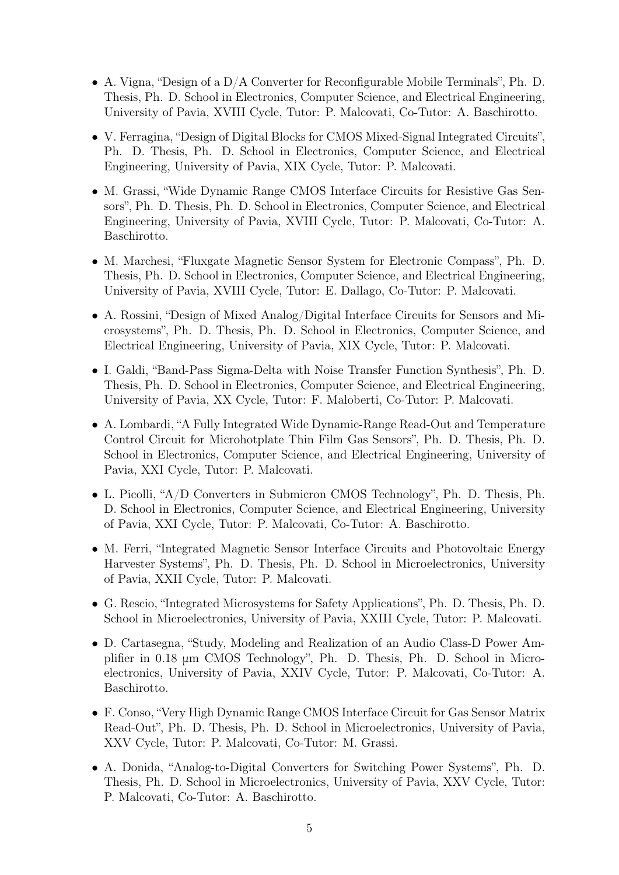- A. Vigna, "Design of a D/A Converter for Reconfigurable Mobile Terminals", Ph. D. Thesis, Ph. D. School in Electronics, Computer Science, and Electrical Engineering, University of Pavia, XVIII Cycle, Tutor: P. Malcovati, Co-Tutor: A. Baschirotto.
- V. Ferragina, "Design of Digital Blocks for CMOS Mixed-Signal Integrated Circuits", Ph. D. Thesis, Ph. D. School in Electronics, Computer Science, and Electrical Engineering, University of Pavia, XIX Cycle, Tutor: P. Malcovati.
- M. Grassi, "Wide Dynamic Range CMOS Interface Circuits for Resistive Gas Sensors", Ph. D. Thesis, Ph. D. School in Electronics, Computer Science, and Electrical Engineering, University of Pavia, XVIII Cycle, Tutor: P. Malcovati, Co-Tutor: A. Baschirotto.
- M. Marchesi, "Fluxgate Magnetic Sensor System for Electronic Compass", Ph. D. Thesis, Ph. D. School in Electronics, Computer Science, and Electrical Engineering, University of Pavia, XVIII Cycle, Tutor: E. Dallago, Co-Tutor: P. Malcovati.
- A. Rossini, "Design of Mixed Analog/Digital Interface Circuits for Sensors and Microsystems", Ph. D. Thesis, Ph. D. School in Electronics, Computer Science, and Electrical Engineering, University of Pavia, XIX Cycle, Tutor: P. Malcovati.
- I. Galdi, "Band-Pass Sigma-Delta with Noise Transfer Function Synthesis", Ph. D. Thesis, Ph. D. School in Electronics, Computer Science, and Electrical Engineering, University of Pavia, XX Cycle, Tutor: F. Maloberti, Co-Tutor: P. Malcovati.
- A. Lombardi, "A Fully Integrated Wide Dynamic-Range Read-Out and Temperature Control Circuit for Microhotplate Thin Film Gas Sensors", Ph. D. Thesis, Ph. D. School in Electronics, Computer Science, and Electrical Engineering, University of Pavia, XXI Cycle, Tutor: P. Malcovati.
- L. Picolli, "A/D Converters in Submicron CMOS Technology", Ph. D. Thesis, Ph. D. School in Electronics, Computer Science, and Electrical Engineering, University of Pavia, XXI Cycle, Tutor: P. Malcovati, Co-Tutor: A. Baschirotto.
- M. Ferri, "Integrated Magnetic Sensor Interface Circuits and Photovoltaic Energy Harvester Systems", Ph. D. Thesis, Ph. D. School in Microelectronics, University of Pavia, XXII Cycle, Tutor: P. Malcovati.
- G. Rescio, "Integrated Microsystems for Safety Applications", Ph. D. Thesis, Ph. D. School in Microelectronics, University of Pavia, XXIII Cycle, Tutor: P. Malcovati.
- D. Cartasegna, "Study, Modeling and Realization of an Audio Class-D Power Amplifier in 0.18 μm CMOS Technology", Ph. D. Thesis, Ph. D. School in Microelectronics, University of Pavia, XXIV Cycle, Tutor: P. Malcovati, Co-Tutor: A. Baschirotto.
- F. Conso, "Very High Dynamic Range CMOS Interface Circuit for Gas Sensor Matrix Read-Out", Ph. D. Thesis, Ph. D. School in Microelectronics, University of Pavia, XXV Cycle, Tutor: P. Malcovati, Co-Tutor: M. Grassi.
- A. Donida, "Analog-to-Digital Converters for Switching Power Systems", Ph. D. Thesis, Ph. D. School in Microelectronics, University of Pavia, XXV Cycle, Tutor: P. Malcovati, Co-Tutor: A. Baschirotto.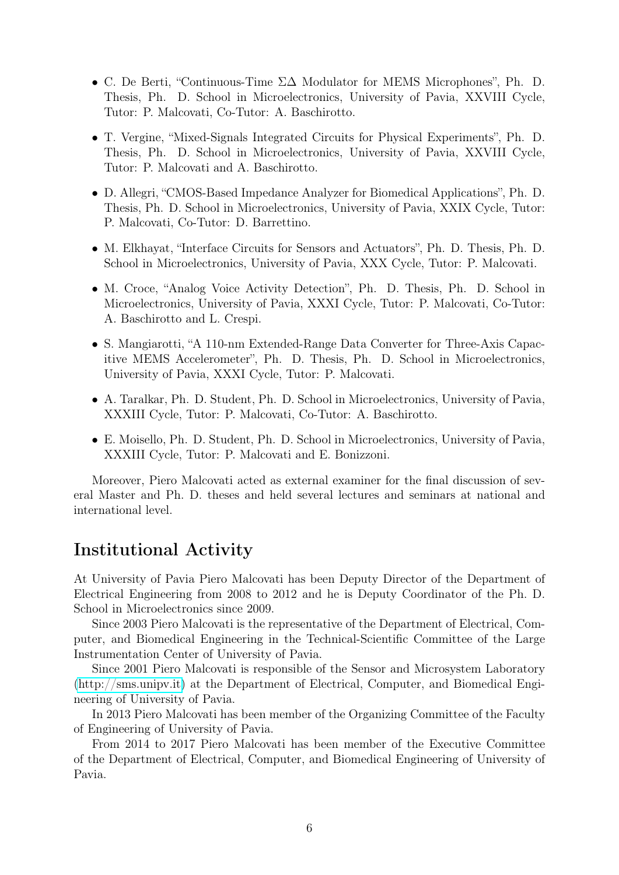- C. De Berti, "Continuous-Time ΣΔ Modulator for MEMS Microphones", Ph. D. Thesis, Ph. D. School in Microelectronics, University of Pavia, XXVIII Cycle, Tutor: P. Malcovati, Co-Tutor: A. Baschirotto.
- T. Vergine, "Mixed-Signals Integrated Circuits for Physical Experiments", Ph. D. Thesis, Ph. D. School in Microelectronics, University of Pavia, XXVIII Cycle, Tutor: P. Malcovati and A. Baschirotto.
- D. Allegri, "CMOS-Based Impedance Analyzer for Biomedical Applications", Ph. D. Thesis, Ph. D. School in Microelectronics, University of Pavia, XXIX Cycle, Tutor: P. Malcovati, Co-Tutor: D. Barrettino.
- M. Elkhayat, "Interface Circuits for Sensors and Actuators", Ph. D. Thesis, Ph. D. School in Microelectronics, University of Pavia, XXX Cycle, Tutor: P. Malcovati.
- M. Croce, "Analog Voice Activity Detection", Ph. D. Thesis, Ph. D. School in Microelectronics, University of Pavia, XXXI Cycle, Tutor: P. Malcovati, Co-Tutor: A. Baschirotto and L. Crespi.
- S. Mangiarotti, "A 110-nm Extended-Range Data Converter for Three-Axis Capacitive MEMS Accelerometer", Ph. D. Thesis, Ph. D. School in Microelectronics, University of Pavia, XXXI Cycle, Tutor: P. Malcovati.
- A. Taralkar, Ph. D. Student, Ph. D. School in Microelectronics, University of Pavia, XXXIII Cycle, Tutor: P. Malcovati, Co-Tutor: A. Baschirotto.
- E. Moisello, Ph. D. Student, Ph. D. School in Microelectronics, University of Pavia, XXXIII Cycle, Tutor: P. Malcovati and E. Bonizzoni.

Moreover, Piero Malcovati acted as external examiner for the final discussion of several Master and Ph. D. theses and held several lectures and seminars at national and international level.

# Institutional Activity

At University of Pavia Piero Malcovati has been Deputy Director of the Department of Electrical Engineering from 2008 to 2012 and he is Deputy Coordinator of the Ph. D. School in Microelectronics since 2009.

Since 2003 Piero Malcovati is the representative of the Department of Electrical, Computer, and Biomedical Engineering in the Technical-Scientific Committee of the Large Instrumentation Center of University of Pavia.

Since 2001 Piero Malcovati is responsible of the Sensor and Microsystem Laboratory [\(http://sms.unipv.it\)](http://sms.unipv.it) at the Department of Electrical, Computer, and Biomedical Engineering of University of Pavia.

In 2013 Piero Malcovati has been member of the Organizing Committee of the Faculty of Engineering of University of Pavia.

From 2014 to 2017 Piero Malcovati has been member of the Executive Committee of the Department of Electrical, Computer, and Biomedical Engineering of University of Pavia.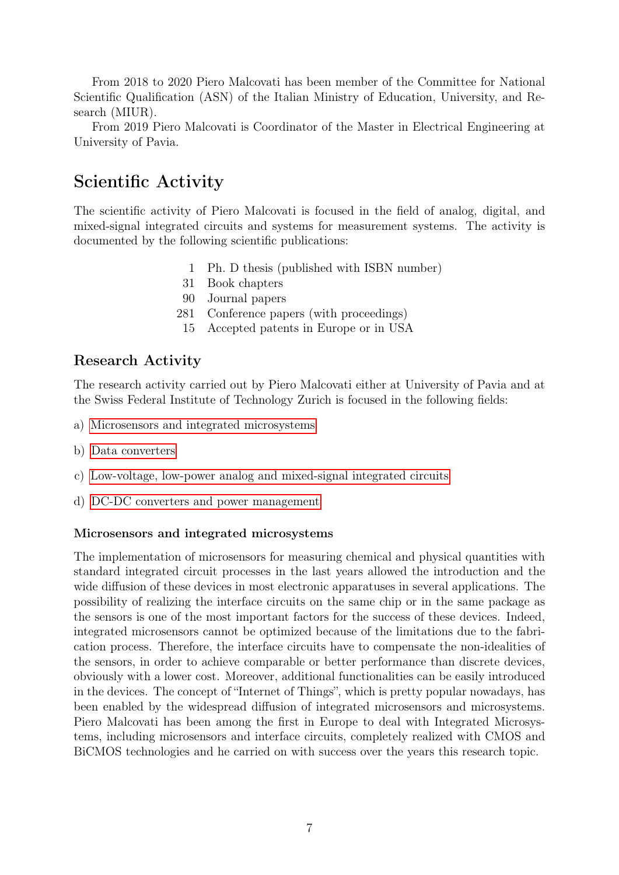From 2018 to 2020 Piero Malcovati has been member of the Committee for National Scientific Qualification (ASN) of the Italian Ministry of Education, University, and Research (MIUR).

From 2019 Piero Malcovati is Coordinator of the Master in Electrical Engineering at University of Pavia.

# Scientific Activity

The scientific activity of Piero Malcovati is focused in the field of analog, digital, and mixed-signal integrated circuits and systems for measurement systems. The activity is documented by the following scientific publications:

- 1 Ph. D thesis (published with ISBN number)
- 31 Book chapters
- 90 Journal papers
- 281 Conference papers (with proceedings)
- 15 Accepted patents in Europe or in USA

## Research Activity

The research activity carried out by Piero Malcovati either at University of Pavia and at the Swiss Federal Institute of Technology Zurich is focused in the following fields:

- a) [Microsensors and integrated microsystems](#page-6-0)
- b) [Data converters](#page-7-0)
- c) [Low-voltage, low-power analog and mixed-signal integrated circuits](#page-7-1)
- d) [DC-DC converters and power management](#page-8-0)

#### <span id="page-6-0"></span>Microsensors and integrated microsystems

The implementation of microsensors for measuring chemical and physical quantities with standard integrated circuit processes in the last years allowed the introduction and the wide diffusion of these devices in most electronic apparatuses in several applications. The possibility of realizing the interface circuits on the same chip or in the same package as the sensors is one of the most important factors for the success of these devices. Indeed, integrated microsensors cannot be optimized because of the limitations due to the fabrication process. Therefore, the interface circuits have to compensate the non-idealities of the sensors, in order to achieve comparable or better performance than discrete devices, obviously with a lower cost. Moreover, additional functionalities can be easily introduced in the devices. The concept of "Internet of Things", which is pretty popular nowadays, has been enabled by the widespread diffusion of integrated microsensors and microsystems. Piero Malcovati has been among the first in Europe to deal with Integrated Microsystems, including microsensors and interface circuits, completely realized with CMOS and BiCMOS technologies and he carried on with success over the years this research topic.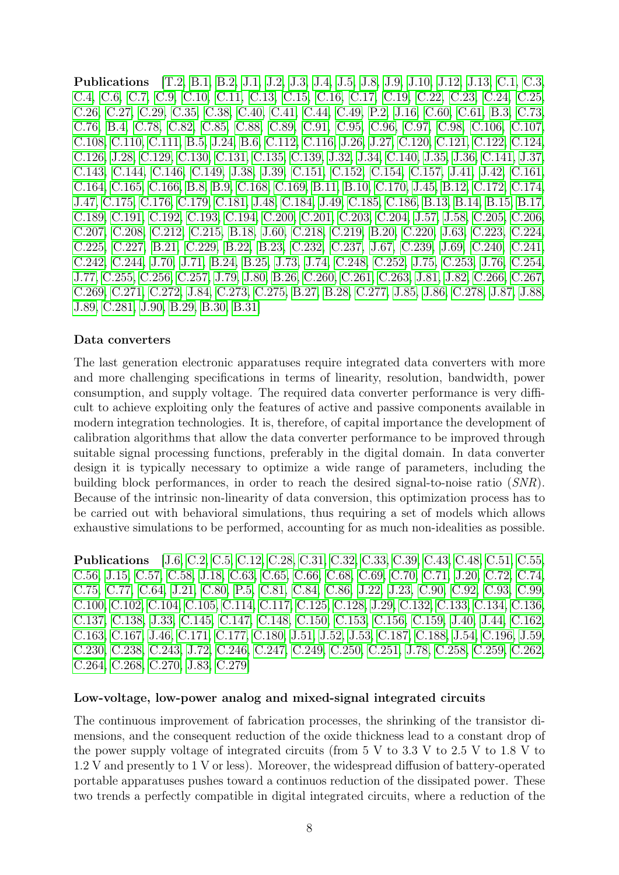Publications [\[T.2,](#page-57-1) [B.1,](#page-24-0) [B.2,](#page-24-1) [J.1,](#page-14-0) [J.2,](#page-14-1) [J.3,](#page-14-2) [J.4,](#page-14-3) [J.5,](#page-15-0) [J.8,](#page-15-1) [J.9,](#page-15-2) [J.10,](#page-15-3) [J.12,](#page-15-4) [J.13,](#page-15-5) [C.1,](#page-27-0) [C.3,](#page-27-1) [C.4,](#page-27-2) [C.6,](#page-28-0) [C.7,](#page-28-1) [C.9,](#page-28-2) [C.10,](#page-28-3) [C.11,](#page-28-4) [C.13,](#page-28-5) [C.15,](#page-28-6) [C.16,](#page-29-0) [C.17,](#page-29-1) [C.19,](#page-29-2) [C.22,](#page-29-3) [C.23,](#page-29-4) [C.24,](#page-29-5) [C.25,](#page-29-6) [C.26,](#page-30-0) [C.27,](#page-30-1) [C.29,](#page-30-2) [C.35,](#page-30-3) [C.38,](#page-31-0) [C.40,](#page-31-1) [C.41,](#page-31-2) [C.44,](#page-31-3) [C.49,](#page-32-0) [P.2,](#page-56-0) [J.16,](#page-15-6) [C.60,](#page-33-0) [C.61,](#page-33-1) [B.3,](#page-24-2) [C.73,](#page-34-0) [C.76,](#page-34-1) [B.4,](#page-24-3) [C.78,](#page-34-2) [C.82,](#page-35-0) [C.85,](#page-35-1) [C.88,](#page-35-2) [C.89,](#page-35-3) [C.91,](#page-35-4) [C.95,](#page-36-0) [C.96,](#page-36-1) [C.97,](#page-36-2) [C.98,](#page-36-3) [C.106,](#page-37-0) [C.107,](#page-37-1) [C.108,](#page-37-2) [C.110,](#page-37-3) [C.111,](#page-37-4) [B.5,](#page-24-4) [J.24,](#page-16-0) [B.6,](#page-24-5) [C.112,](#page-37-5) [C.116,](#page-38-0) [J.26,](#page-16-1) [J.27,](#page-17-0) [C.120,](#page-38-1) [C.121,](#page-38-2) [C.122,](#page-39-0) [C.124,](#page-39-1) [C.126,](#page-39-2) [J.28,](#page-17-1) [C.129,](#page-39-3) [C.130,](#page-39-4) [C.131,](#page-39-5) [C.135,](#page-40-0) [C.139,](#page-40-1) [J.32,](#page-17-2) [J.34,](#page-17-3) [C.140,](#page-40-2) [J.35,](#page-17-4) [J.36,](#page-17-5) [C.141,](#page-40-3) [J.37,](#page-18-0) [C.143,](#page-41-0) [C.144,](#page-41-1) [C.146,](#page-41-2) [C.149,](#page-41-3) [J.38,](#page-18-1) [J.39,](#page-18-2) [C.151,](#page-41-4) [C.152,](#page-42-0) [C.154,](#page-42-1) [C.157,](#page-42-2) [J.41,](#page-18-3) [J.42,](#page-18-4) [C.161,](#page-42-3) [C.164,](#page-43-0) [C.165,](#page-43-1) [C.166,](#page-43-2) [B.8,](#page-24-6) [B.9,](#page-24-7) [C.168,](#page-43-3) [C.169,](#page-43-4) [B.11,](#page-25-0) [B.10,](#page-25-1) [C.170,](#page-43-5) [J.45,](#page-18-5) [B.12,](#page-25-2) [C.172,](#page-44-0) [C.174,](#page-44-1) [J.47,](#page-19-0) [C.175,](#page-44-2) [C.176,](#page-44-3) [C.179,](#page-44-4) [C.181,](#page-45-0) [J.48,](#page-19-1) [C.184,](#page-45-1) [J.49,](#page-19-2) [C.185,](#page-45-2) [C.186,](#page-45-3) [B.13,](#page-25-3) [B.14,](#page-25-4) [B.15,](#page-25-5) [B.17,](#page-25-6) [C.189,](#page-45-4) [C.191,](#page-46-0) [C.192,](#page-46-1) [C.193,](#page-46-2) [C.194,](#page-46-3) [C.200,](#page-47-0) [C.201,](#page-47-1) [C.203,](#page-47-2) [C.204,](#page-47-3) [J.57,](#page-20-0) [J.58,](#page-20-1) [C.205,](#page-47-4) [C.206,](#page-47-5) [C.207,](#page-48-0) [C.208,](#page-48-1) [C.212,](#page-48-2) [C.215,](#page-48-3) [B.18,](#page-25-7) [J.60,](#page-20-2) [C.218,](#page-49-0) [C.219,](#page-49-1) [B.20,](#page-26-0) [C.220,](#page-49-2) [J.63,](#page-20-3) [C.223,](#page-49-3) [C.224,](#page-49-4) [C.225,](#page-49-5) [C.227,](#page-50-0) [B.21,](#page-26-1) [C.229,](#page-50-1) [B.22,](#page-26-2) [B.23,](#page-26-3) [C.232,](#page-50-2) [C.237,](#page-51-0) [J.67,](#page-21-0) [C.239,](#page-51-1) [J.69,](#page-21-1) [C.240,](#page-51-2) [C.241,](#page-51-3) [C.242,](#page-51-4) [C.244,](#page-51-5) [J.70,](#page-21-2) [J.71,](#page-21-3) [B.24,](#page-26-4) [B.25,](#page-26-5) [J.73,](#page-21-4) [J.74,](#page-21-5) [C.248,](#page-52-0) [C.252,](#page-52-1) [J.75,](#page-22-0) [C.253,](#page-52-2) [J.76,](#page-22-1) [C.254,](#page-52-3) [J.77,](#page-22-2) [C.255,](#page-53-0) [C.256,](#page-53-1) [C.257,](#page-53-2) [J.79,](#page-22-3) [J.80,](#page-22-4) [B.26,](#page-26-6) [C.260,](#page-53-3) [C.261,](#page-53-4) [C.263,](#page-54-0) [J.81,](#page-22-5) [J.82,](#page-23-0) [C.266,](#page-54-1) [C.267,](#page-54-2) [C.269,](#page-54-3) [C.271,](#page-54-4) [C.272,](#page-55-0) [J.84,](#page-23-1) [C.273,](#page-55-1) [C.275,](#page-55-2) [B.27,](#page-27-3) [B.28,](#page-27-4) [C.277,](#page-55-3) [J.85,](#page-23-2) [J.86,](#page-23-3) [C.278,](#page-55-4) [J.87,](#page-23-4) [J.88,](#page-23-5) [J.89,](#page-23-6) [C.281,](#page-55-5) [J.90,](#page-24-8) [B.29,](#page-27-5) [B.30,](#page-27-6) [B.31\]](#page-27-7)

#### <span id="page-7-0"></span>Data converters

The last generation electronic apparatuses require integrated data converters with more and more challenging specifications in terms of linearity, resolution, bandwidth, power consumption, and supply voltage. The required data converter performance is very difficult to achieve exploiting only the features of active and passive components available in modern integration technologies. It is, therefore, of capital importance the development of calibration algorithms that allow the data converter performance to be improved through suitable signal processing functions, preferably in the digital domain. In data converter design it is typically necessary to optimize a wide range of parameters, including the building block performances, in order to reach the desired signal-to-noise ratio (SNR). Because of the intrinsic non-linearity of data conversion, this optimization process has to be carried out with behavioral simulations, thus requiring a set of models which allows exhaustive simulations to be performed, accounting for as much non-idealities as possible.

Publications [\[J.6,](#page-15-7) [C.2,](#page-27-8) [C.5,](#page-28-7) [C.12,](#page-28-8) [C.28,](#page-30-4) [C.31,](#page-30-5) [C.32,](#page-30-6) [C.33,](#page-30-7) [C.39,](#page-31-4) [C.43,](#page-31-5) [C.48,](#page-32-1) [C.51,](#page-32-2) [C.55,](#page-32-3) [C.56,](#page-32-4) [J.15,](#page-15-8) [C.57,](#page-32-5) [C.58,](#page-32-6) [J.18,](#page-16-2) [C.63,](#page-33-2) [C.65,](#page-33-3) [C.66,](#page-33-4) [C.68,](#page-33-5) [C.69,](#page-33-6) [C.70,](#page-34-3) [C.71,](#page-34-4) [J.20,](#page-16-3) [C.72,](#page-34-5) [C.74,](#page-34-6) [C.75,](#page-34-7) [C.77,](#page-34-8) [C.64,](#page-33-7) [J.21,](#page-16-4) [C.80,](#page-35-5) [P.5,](#page-56-1) [C.81,](#page-35-6) [C.84,](#page-35-7) [C.86,](#page-35-8) [J.22,](#page-16-5) [J.23,](#page-16-6) [C.90,](#page-35-9) [C.92,](#page-36-4) [C.93,](#page-36-5) [C.99,](#page-36-6) [C.100,](#page-36-7) [C.102,](#page-37-6) [C.104,](#page-37-7) [C.105,](#page-37-8) [C.114,](#page-38-3) [C.117,](#page-38-4) [C.125,](#page-39-6) [C.128,](#page-39-7) [J.29,](#page-17-6) [C.132,](#page-40-4) [C.133,](#page-40-5) [C.134,](#page-40-6) [C.136,](#page-40-7) [C.137,](#page-40-8) [C.138,](#page-40-9) [J.33,](#page-17-7) [C.145,](#page-41-5) [C.147,](#page-41-6) [C.148,](#page-41-7) [C.150,](#page-41-8) [C.153,](#page-42-4) [C.156,](#page-42-5) [C.159,](#page-42-6) [J.40,](#page-18-6) [J.44,](#page-18-7) [C.162,](#page-43-6) [C.163,](#page-43-7) [C.167,](#page-43-8) [J.46,](#page-18-8) [C.171,](#page-44-5) [C.177,](#page-44-6) [C.180,](#page-44-7) [J.51,](#page-19-3) [J.52,](#page-19-4) [J.53,](#page-19-5) [C.187,](#page-45-5) [C.188,](#page-45-6) [J.54,](#page-19-6) [C.196,](#page-46-4) [J.59,](#page-20-4) [C.230,](#page-50-3) [C.238,](#page-51-6) [C.243,](#page-51-7) [J.72,](#page-21-6) [C.246,](#page-52-4) [C.247,](#page-52-5) [C.249,](#page-52-6) [C.250,](#page-52-7) [C.251,](#page-52-8) [J.78,](#page-22-6) [C.258,](#page-53-5) [C.259,](#page-53-6) [C.262,](#page-53-7) [C.264,](#page-54-5) [C.268,](#page-54-6) [C.270,](#page-54-7) [J.83,](#page-23-7) [C.279\]](#page-55-6)

#### <span id="page-7-1"></span>Low-voltage, low-power analog and mixed-signal integrated circuits

The continuous improvement of fabrication processes, the shrinking of the transistor dimensions, and the consequent reduction of the oxide thickness lead to a constant drop of the power supply voltage of integrated circuits (from 5 V to 3.3 V to 2.5 V to 1.8 V to 1.2 V and presently to 1 V or less). Moreover, the widespread diffusion of battery-operated portable apparatuses pushes toward a continuos reduction of the dissipated power. These two trends a perfectly compatible in digital integrated circuits, where a reduction of the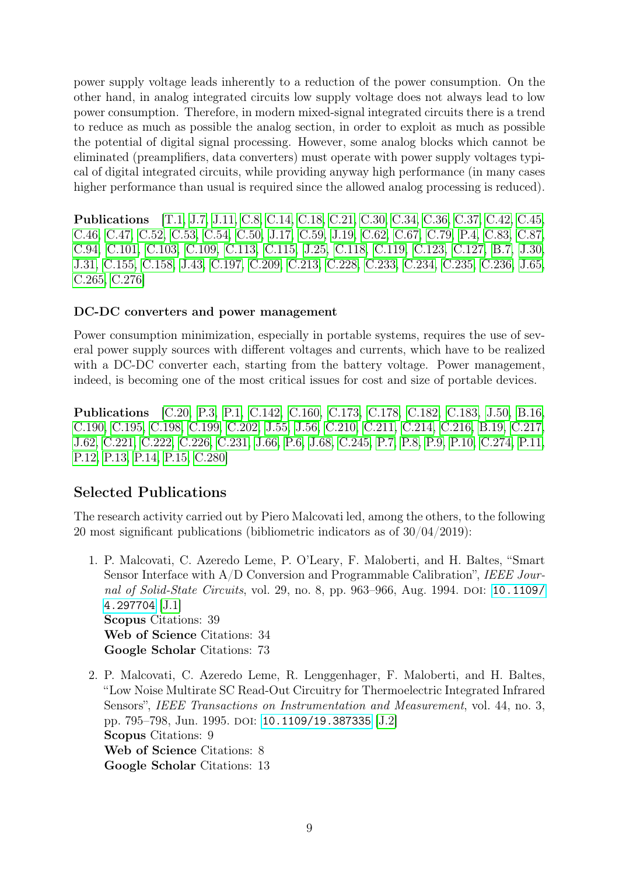power supply voltage leads inherently to a reduction of the power consumption. On the other hand, in analog integrated circuits low supply voltage does not always lead to low power consumption. Therefore, in modern mixed-signal integrated circuits there is a trend to reduce as much as possible the analog section, in order to exploit as much as possible the potential of digital signal processing. However, some analog blocks which cannot be eliminated (preamplifiers, data converters) must operate with power supply voltages typical of digital integrated circuits, while providing anyway high performance (in many cases higher performance than usual is required since the allowed analog processing is reduced).

Publications [\[T.1,](#page-57-0) [J.7,](#page-15-9) [J.11,](#page-15-10) [C.8,](#page-28-9) [C.14,](#page-28-10) [C.18,](#page-29-7) [C.21,](#page-29-8) [C.30,](#page-30-8) [C.34,](#page-30-9) [C.36,](#page-31-6) [C.37,](#page-31-7) [C.42,](#page-31-8) [C.45,](#page-31-9) [C.46,](#page-31-10) [C.47,](#page-32-7) [C.52,](#page-32-8) [C.53,](#page-32-9) [C.54,](#page-32-10) [C.50,](#page-32-11) [J.17,](#page-16-7) [C.59,](#page-33-8) [J.19,](#page-16-8) [C.62,](#page-33-9) [C.67,](#page-33-10) [C.79,](#page-34-9) [P.4,](#page-56-2) [C.83,](#page-35-10) [C.87,](#page-35-11) [C.94,](#page-36-8) [C.101,](#page-36-9) [C.103,](#page-37-9) [C.109,](#page-37-10) [C.113,](#page-38-5) [C.115,](#page-38-6) [J.25,](#page-16-9) [C.118,](#page-38-7) [C.119,](#page-38-8) [C.123,](#page-39-8) [C.127,](#page-39-9) [B.7,](#page-24-9) [J.30,](#page-17-8) [J.31,](#page-17-9) [C.155,](#page-42-7) [C.158,](#page-42-8) [J.43,](#page-18-9) [C.197,](#page-46-5) [C.209,](#page-48-4) [C.213,](#page-48-5) [C.228,](#page-50-4) [C.233,](#page-50-5) [C.234,](#page-50-6) [C.235,](#page-50-7) [C.236,](#page-51-8) [J.65,](#page-20-5) [C.265,](#page-54-8) [C.276\]](#page-55-7)

## <span id="page-8-0"></span>DC-DC converters and power management

Power consumption minimization, especially in portable systems, requires the use of several power supply sources with different voltages and currents, which have to be realized with a DC-DC converter each, starting from the battery voltage. Power management, indeed, is becoming one of the most critical issues for cost and size of portable devices.

Publications [\[C.20,](#page-29-9) [P.3,](#page-56-3) [P.1,](#page-56-4) [C.142,](#page-41-9) [C.160,](#page-42-9) [C.173,](#page-44-8) [C.178,](#page-44-9) [C.182,](#page-45-7) [C.183,](#page-45-8) [J.50,](#page-19-7) [B.16,](#page-25-8) [C.190,](#page-45-9) [C.195,](#page-46-6) [C.198,](#page-46-7) [C.199,](#page-47-6) [C.202,](#page-47-7) [J.55,](#page-19-8) [J.56,](#page-19-9) [C.210,](#page-48-6) [C.211,](#page-48-7) [C.214,](#page-48-8) [C.216,](#page-49-6) [B.19,](#page-26-7) [C.217,](#page-49-7) [J.62,](#page-20-6) [C.221,](#page-49-8) [C.222,](#page-49-9) [C.226,](#page-50-8) [C.231,](#page-50-9) [J.66,](#page-20-7) [P.6,](#page-56-5) [J.68,](#page-21-7) [C.245,](#page-52-9) [P.7,](#page-56-6) [P.8,](#page-56-7) [P.9,](#page-56-8) [P.10,](#page-56-9) [C.274,](#page-55-8) [P.11,](#page-56-10) [P.12,](#page-56-11) [P.13,](#page-56-12) [P.14,](#page-57-2) [P.15,](#page-57-3) [C.280\]](#page-55-9)

# Selected Publications

The research activity carried out by Piero Malcovati led, among the others, to the following 20 most significant publications (bibliometric indicators as of  $30/04/2019$ ):

- 1. P. Malcovati, C. Azeredo Leme, P. O'Leary, F. Maloberti, and H. Baltes, "Smart Sensor Interface with A/D Conversion and Programmable Calibration", IEEE Jour-nal of Solid-State Circuits, vol. 29, no. 8, pp. 963–966, Aug. 1994. DOI: [10.1109/](https://doi.org/10.1109/4.297704) [4.297704](https://doi.org/10.1109/4.297704) [\[J.1\]](#page-14-0) Scopus Citations: 39 Web of Science Citations: 34 Google Scholar Citations: 73
- 2. P. Malcovati, C. Azeredo Leme, R. Lenggenhager, F. Maloberti, and H. Baltes, "Low Noise Multirate SC Read-Out Circuitry for Thermoelectric Integrated Infrared Sensors", IEEE Transactions on Instrumentation and Measurement, vol. 44, no. 3, pp. 795–798, Jun. 1995. doi: [10.1109/19.387335](https://doi.org/10.1109/19.387335) [\[J.2\]](#page-14-1) Scopus Citations: 9 Web of Science Citations: 8 Google Scholar Citations: 13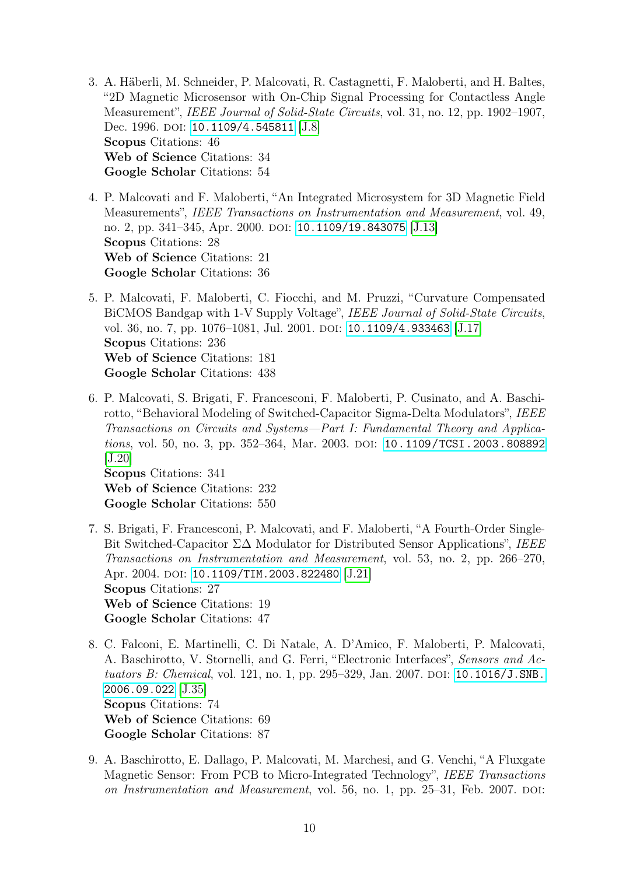3. A. Häberli, M. Schneider, P. Malcovati, R. Castagnetti, F. Maloberti, and H. Baltes, "2D Magnetic Microsensor with On-Chip Signal Processing for Contactless Angle Measurement", IEEE Journal of Solid-State Circuits, vol. 31, no. 12, pp. 1902–1907, Dec. 1996. doi: [10.1109/4.545811](https://doi.org/10.1109/4.545811) [\[J.8\]](#page-15-1) Scopus Citations: 46 Web of Science Citations: 34 Google Scholar Citations: 54

- 4. P. Malcovati and F. Maloberti, "An Integrated Microsystem for 3D Magnetic Field Measurements", IEEE Transactions on Instrumentation and Measurement, vol. 49, no. 2, pp. 341–345, Apr. 2000. doi: [10.1109/19.843075](https://doi.org/10.1109/19.843075) [\[J.13\]](#page-15-5) Scopus Citations: 28 Web of Science Citations: 21 Google Scholar Citations: 36
- 5. P. Malcovati, F. Maloberti, C. Fiocchi, and M. Pruzzi, "Curvature Compensated BiCMOS Bandgap with 1-V Supply Voltage", IEEE Journal of Solid-State Circuits, vol. 36, no. 7, pp. 1076–1081, Jul. 2001. DOI: [10.1109/4.933463](https://doi.org/10.1109/4.933463) [\[J.17\]](#page-16-7) Scopus Citations: 236 Web of Science Citations: 181 Google Scholar Citations: 438
- 6. P. Malcovati, S. Brigati, F. Francesconi, F. Maloberti, P. Cusinato, and A. Baschirotto, "Behavioral Modeling of Switched-Capacitor Sigma-Delta Modulators", IEEE Transactions on Circuits and Systems—Part I: Fundamental Theory and Applica-tions, vol. 50, no. 3, pp. 352-364, Mar. 2003. DOI: [10.1109/TCSI.2003.808892](https://doi.org/10.1109/TCSI.2003.808892) [\[J.20\]](#page-16-3) Scopus Citations: 341 Web of Science Citations: 232 Google Scholar Citations: 550
- 7. S. Brigati, F. Francesconi, P. Malcovati, and F. Maloberti, "A Fourth-Order Single-Bit Switched-Capacitor  $\Sigma\Delta$  Modulator for Distributed Sensor Applications", IEEE Transactions on Instrumentation and Measurement, vol. 53, no. 2, pp. 266–270, Apr. 2004. doi: [10.1109/TIM.2003.822480](https://doi.org/10.1109/TIM.2003.822480) [\[J.21\]](#page-16-4) Scopus Citations: 27 Web of Science Citations: 19 Google Scholar Citations: 47
- 8. C. Falconi, E. Martinelli, C. Di Natale, A. D'Amico, F. Maloberti, P. Malcovati, A. Baschirotto, V. Stornelli, and G. Ferri, "Electronic Interfaces", Sensors and Ac-tuators B: Chemical, vol. 121, no. 1, pp. 295–329, Jan. 2007. DOI: [10.1016/J.SNB.](https://doi.org/10.1016/J.SNB.2006.09.022) [2006.09.022](https://doi.org/10.1016/J.SNB.2006.09.022) [\[J.35\]](#page-17-4) Scopus Citations: 74 Web of Science Citations: 69 Google Scholar Citations: 87
- 9. A. Baschirotto, E. Dallago, P. Malcovati, M. Marchesi, and G. Venchi, "A Fluxgate Magnetic Sensor: From PCB to Micro-Integrated Technology", IEEE Transactions on Instrumentation and Measurement, vol. 56, no. 1, pp.  $25-31$ , Feb. 2007. DOI: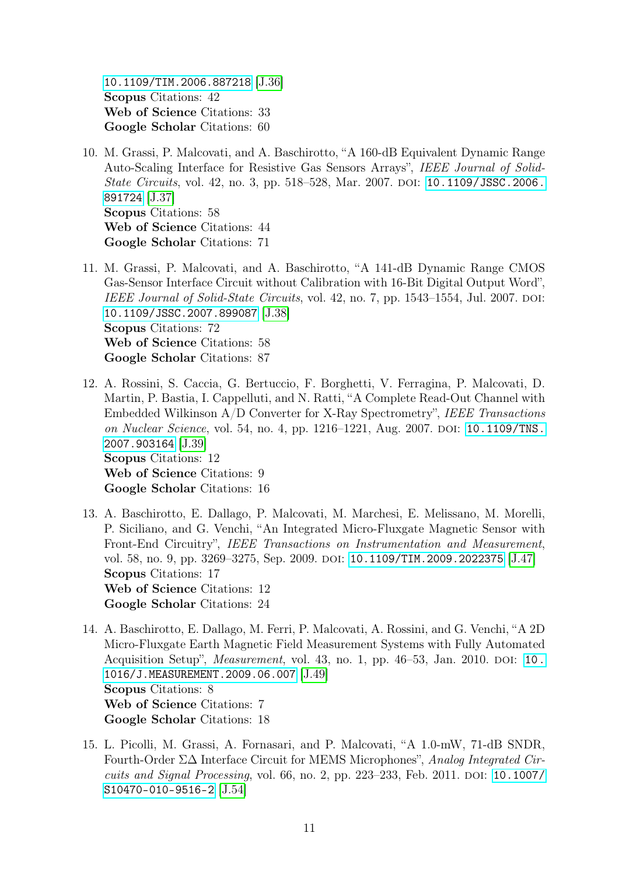[10.1109/TIM.2006.887218](https://doi.org/10.1109/TIM.2006.887218) [\[J.36\]](#page-17-5) Scopus Citations: 42 Web of Science Citations: 33 Google Scholar Citations: 60

- 10. M. Grassi, P. Malcovati, and A. Baschirotto, "A 160-dB Equivalent Dynamic Range Auto-Scaling Interface for Resistive Gas Sensors Arrays", IEEE Journal of Solid-State Circuits, vol. 42, no. 3, pp. 518–528, Mar. 2007. DOI:  $10.1109/JSSC.2006$ . [891724](https://doi.org/10.1109/JSSC.2006.891724) [\[J.37\]](#page-18-0) Scopus Citations: 58 Web of Science Citations: 44 Google Scholar Citations: 71
- 11. M. Grassi, P. Malcovati, and A. Baschirotto, "A 141-dB Dynamic Range CMOS Gas-Sensor Interface Circuit without Calibration with 16-Bit Digital Output Word", IEEE Journal of Solid-State Circuits, vol. 42, no. 7, pp. 1543–1554, Jul. 2007. DOI: [10.1109/JSSC.2007.899087](https://doi.org/10.1109/JSSC.2007.899087) [\[J.38\]](#page-18-1) Scopus Citations: 72 Web of Science Citations: 58 Google Scholar Citations: 87
- 12. A. Rossini, S. Caccia, G. Bertuccio, F. Borghetti, V. Ferragina, P. Malcovati, D. Martin, P. Bastia, I. Cappelluti, and N. Ratti, "A Complete Read-Out Channel with Embedded Wilkinson A/D Converter for X-Ray Spectrometry", IEEE Transactions on Nuclear Science, vol. 54, no. 4, pp. 1216–1221, Aug. 2007. DOI: [10.1109/TNS.](https://doi.org/10.1109/TNS.2007.903164) [2007.903164](https://doi.org/10.1109/TNS.2007.903164) [\[J.39\]](#page-18-2) Scopus Citations: 12 Web of Science Citations: 9 Google Scholar Citations: 16
- 13. A. Baschirotto, E. Dallago, P. Malcovati, M. Marchesi, E. Melissano, M. Morelli, P. Siciliano, and G. Venchi, "An Integrated Micro-Fluxgate Magnetic Sensor with Front-End Circuitry", IEEE Transactions on Instrumentation and Measurement, vol. 58, no. 9, pp. 3269-3275, Sep. 2009. DOI: [10.1109/TIM.2009.2022375](https://doi.org/10.1109/TIM.2009.2022375) [\[J.47\]](#page-19-0) Scopus Citations: 17 Web of Science Citations: 12 Google Scholar Citations: 24
- 14. A. Baschirotto, E. Dallago, M. Ferri, P. Malcovati, A. Rossini, and G. Venchi, "A 2D Micro-Fluxgate Earth Magnetic Field Measurement Systems with Fully Automated Acquisition Setup", *Measurement*, vol. 43, no. 1, pp. 46–53, Jan. 20[10.](https://doi.org/10.1016/J.MEASUREMENT.2009.06.007) DOI: 10. [1016/J.MEASUREMENT.2009.06.007](https://doi.org/10.1016/J.MEASUREMENT.2009.06.007) [\[J.49\]](#page-19-2) Scopus Citations: 8 Web of Science Citations: 7 Google Scholar Citations: 18
- 15. L. Picolli, M. Grassi, A. Fornasari, and P. Malcovati, "A 1.0-mW, 71-dB SNDR, Fourth-Order  $\Sigma\Delta$  Interface Circuit for MEMS Microphones", Analog Integrated Cir-cuits and Signal Processing, vol. 66, no. 2, pp. 223–233, Feb. 2011. DOI: [10.1007/](https://doi.org/10.1007/S10470-010-9516-2) [S10470-010-9516-2](https://doi.org/10.1007/S10470-010-9516-2) [\[J.54\]](#page-19-6)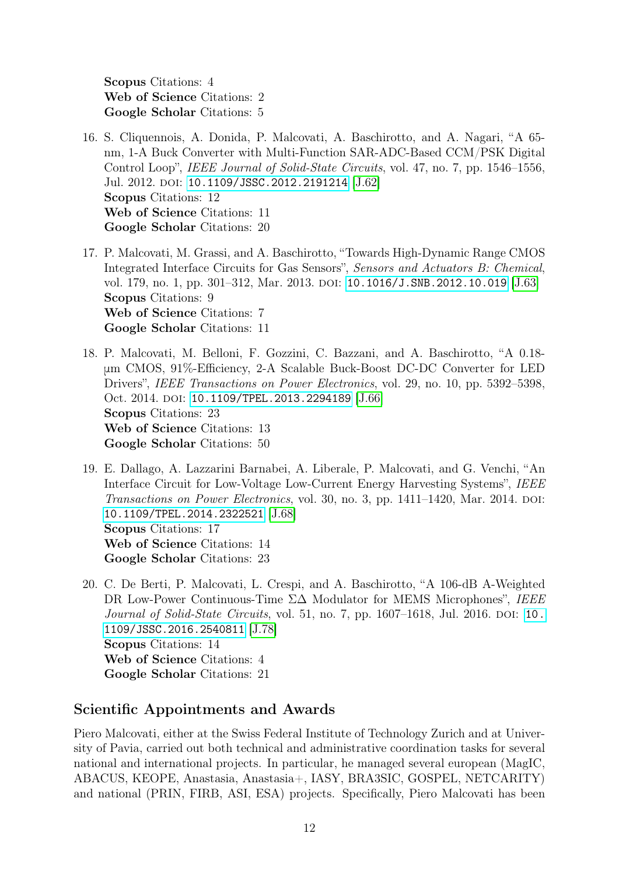Scopus Citations: 4 Web of Science Citations: 2 Google Scholar Citations: 5

- 16. S. Cliquennois, A. Donida, P. Malcovati, A. Baschirotto, and A. Nagari, "A 65 nm, 1-A Buck Converter with Multi-Function SAR-ADC-Based CCM/PSK Digital Control Loop", IEEE Journal of Solid-State Circuits, vol. 47, no. 7, pp. 1546–1556, Jul. 2012. doi: [10.1109/JSSC.2012.2191214](https://doi.org/10.1109/JSSC.2012.2191214) [\[J.62\]](#page-20-6) Scopus Citations: 12 Web of Science Citations: 11 Google Scholar Citations: 20
- 17. P. Malcovati, M. Grassi, and A. Baschirotto, "Towards High-Dynamic Range CMOS Integrated Interface Circuits for Gas Sensors", Sensors and Actuators B: Chemical, vol. 179, no. 1, pp. 301–312, Mar. 2013. DOI: [10.1016/J.SNB.2012.10.019](https://doi.org/10.1016/J.SNB.2012.10.019) [\[J.63\]](#page-20-3) Scopus Citations: 9 Web of Science Citations: 7 Google Scholar Citations: 11
- 18. P. Malcovati, M. Belloni, F. Gozzini, C. Bazzani, and A. Baschirotto, "A 0.18 μm CMOS, 91%-Efficiency, 2-A Scalable Buck-Boost DC-DC Converter for LED Drivers", IEEE Transactions on Power Electronics, vol. 29, no. 10, pp. 5392–5398, Oct. 2014. DOI: [10.1109/TPEL.2013.2294189](https://doi.org/10.1109/TPEL.2013.2294189) [\[J.66\]](#page-20-7) Scopus Citations: 23 Web of Science Citations: 13 Google Scholar Citations: 50
- 19. E. Dallago, A. Lazzarini Barnabei, A. Liberale, P. Malcovati, and G. Venchi, "An Interface Circuit for Low-Voltage Low-Current Energy Harvesting Systems", IEEE Transactions on Power Electronics, vol. 30, no. 3, pp.  $1411-1420$ , Mar. 2014. DOI: [10.1109/TPEL.2014.2322521](https://doi.org/10.1109/TPEL.2014.2322521) [\[J.68\]](#page-21-7) Scopus Citations: 17 Web of Science Citations: 14 Google Scholar Citations: 23
- 20. C. De Berti, P. Malcovati, L. Crespi, and A. Baschirotto, "A 106-dB A-Weighted DR Low-Power Continuous-Time  $\Sigma\Delta$  Modulator for MEMS Microphones", IEEE Journal of Solid-State Circuits, vol. 51, no. 7, pp. 1607–1618, Jul. 2016. DOI: [10.](https://doi.org/10.1109/JSSC.2016.2540811) [1109/JSSC.2016.2540811](https://doi.org/10.1109/JSSC.2016.2540811) [\[J.78\]](#page-22-6) Scopus Citations: 14 Web of Science Citations: 4 Google Scholar Citations: 21

# Scientific Appointments and Awards

Piero Malcovati, either at the Swiss Federal Institute of Technology Zurich and at University of Pavia, carried out both technical and administrative coordination tasks for several national and international projects. In particular, he managed several european (MagIC, ABACUS, KEOPE, Anastasia, Anastasia+, IASY, BRA3SIC, GOSPEL, NETCARITY) and national (PRIN, FIRB, ASI, ESA) projects. Specifically, Piero Malcovati has been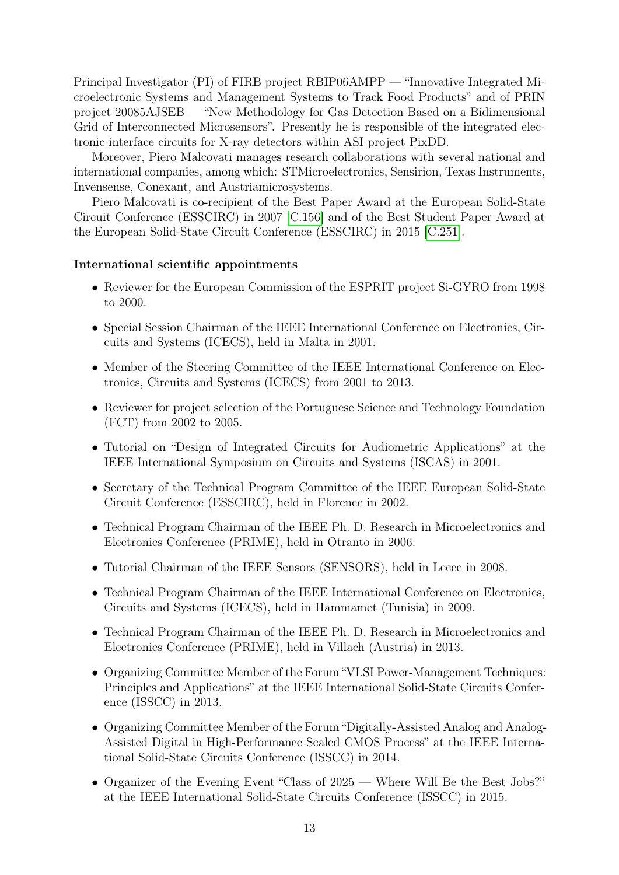Principal Investigator (PI) of FIRB project RBIP06AMPP — "Innovative Integrated Microelectronic Systems and Management Systems to Track Food Products" and of PRIN project 20085AJSEB — "New Methodology for Gas Detection Based on a Bidimensional Grid of Interconnected Microsensors". Presently he is responsible of the integrated electronic interface circuits for X-ray detectors within ASI project PixDD.

Moreover, Piero Malcovati manages research collaborations with several national and international companies, among which: STMicroelectronics, Sensirion, Texas Instruments, Invensense, Conexant, and Austriamicrosystems.

Piero Malcovati is co-recipient of the Best Paper Award at the European Solid-State Circuit Conference (ESSCIRC) in 2007 [\[C.156\]](#page-42-5) and of the Best Student Paper Award at the European Solid-State Circuit Conference (ESSCIRC) in 2015 [\[C.251\]](#page-52-8).

#### International scientific appointments

- Reviewer for the European Commission of the ESPRIT project Si-GYRO from 1998 to 2000.
- Special Session Chairman of the IEEE International Conference on Electronics, Circuits and Systems (ICECS), held in Malta in 2001.
- Member of the Steering Committee of the IEEE International Conference on Electronics, Circuits and Systems (ICECS) from 2001 to 2013.
- Reviewer for project selection of the Portuguese Science and Technology Foundation (FCT) from 2002 to 2005.
- Tutorial on "Design of Integrated Circuits for Audiometric Applications" at the IEEE International Symposium on Circuits and Systems (ISCAS) in 2001.
- Secretary of the Technical Program Committee of the IEEE European Solid-State Circuit Conference (ESSCIRC), held in Florence in 2002.
- Technical Program Chairman of the IEEE Ph. D. Research in Microelectronics and Electronics Conference (PRIME), held in Otranto in 2006.
- Tutorial Chairman of the IEEE Sensors (SENSORS), held in Lecce in 2008.
- Technical Program Chairman of the IEEE International Conference on Electronics, Circuits and Systems (ICECS), held in Hammamet (Tunisia) in 2009.
- Technical Program Chairman of the IEEE Ph. D. Research in Microelectronics and Electronics Conference (PRIME), held in Villach (Austria) in 2013.
- Organizing Committee Member of the Forum "VLSI Power-Management Techniques: Principles and Applications" at the IEEE International Solid-State Circuits Conference (ISSCC) in 2013.
- Organizing Committee Member of the Forum "Digitally-Assisted Analog and Analog-Assisted Digital in High-Performance Scaled CMOS Process" at the IEEE International Solid-State Circuits Conference (ISSCC) in 2014.
- Organizer of the Evening Event "Class of  $2025$  Where Will Be the Best Jobs?" at the IEEE International Solid-State Circuits Conference (ISSCC) in 2015.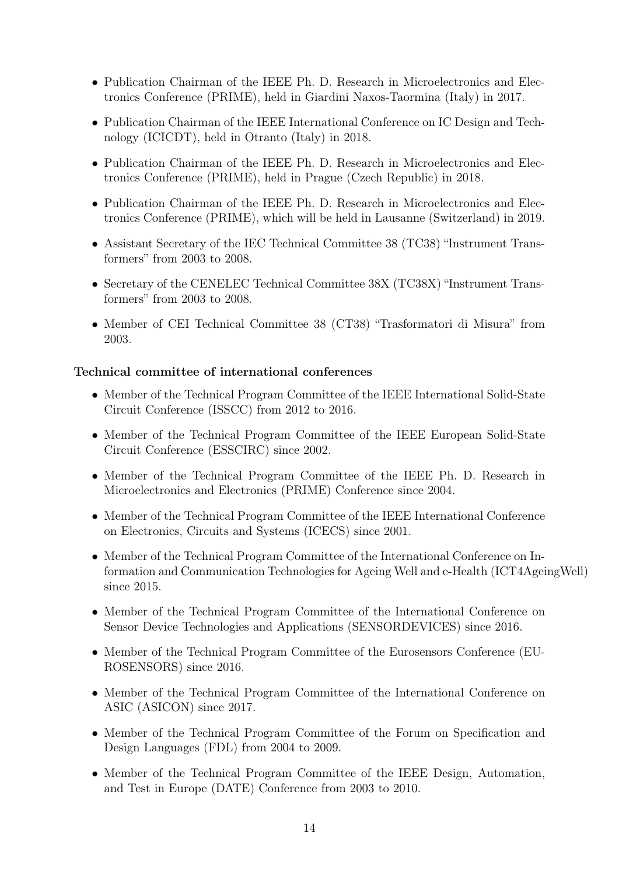- Publication Chairman of the IEEE Ph. D. Research in Microelectronics and Electronics Conference (PRIME), held in Giardini Naxos-Taormina (Italy) in 2017.
- Publication Chairman of the IEEE International Conference on IC Design and Technology (ICICDT), held in Otranto (Italy) in 2018.
- Publication Chairman of the IEEE Ph. D. Research in Microelectronics and Electronics Conference (PRIME), held in Prague (Czech Republic) in 2018.
- Publication Chairman of the IEEE Ph. D. Research in Microelectronics and Electronics Conference (PRIME), which will be held in Lausanne (Switzerland) in 2019.
- Assistant Secretary of the IEC Technical Committee 38 (TC38) "Instrument Transformers" from 2003 to 2008.
- Secretary of the CENELEC Technical Committee 38X (TC38X) "Instrument Transformers" from 2003 to 2008.
- Member of CEI Technical Committee 38 (CT38) "Trasformatori di Misura" from 2003.

## Technical committee of international conferences

- Member of the Technical Program Committee of the IEEE International Solid-State Circuit Conference (ISSCC) from 2012 to 2016.
- Member of the Technical Program Committee of the IEEE European Solid-State Circuit Conference (ESSCIRC) since 2002.
- Member of the Technical Program Committee of the IEEE Ph. D. Research in Microelectronics and Electronics (PRIME) Conference since 2004.
- Member of the Technical Program Committee of the IEEE International Conference on Electronics, Circuits and Systems (ICECS) since 2001.
- Member of the Technical Program Committee of the International Conference on Information and Communication Technologies for Ageing Well and e-Health (ICT4AgeingWell) since 2015.
- Member of the Technical Program Committee of the International Conference on Sensor Device Technologies and Applications (SENSORDEVICES) since 2016.
- Member of the Technical Program Committee of the Eurosensors Conference (EU-ROSENSORS) since 2016.
- Member of the Technical Program Committee of the International Conference on ASIC (ASICON) since 2017.
- Member of the Technical Program Committee of the Forum on Specification and Design Languages (FDL) from 2004 to 2009.
- Member of the Technical Program Committee of the IEEE Design, Automation, and Test in Europe (DATE) Conference from 2003 to 2010.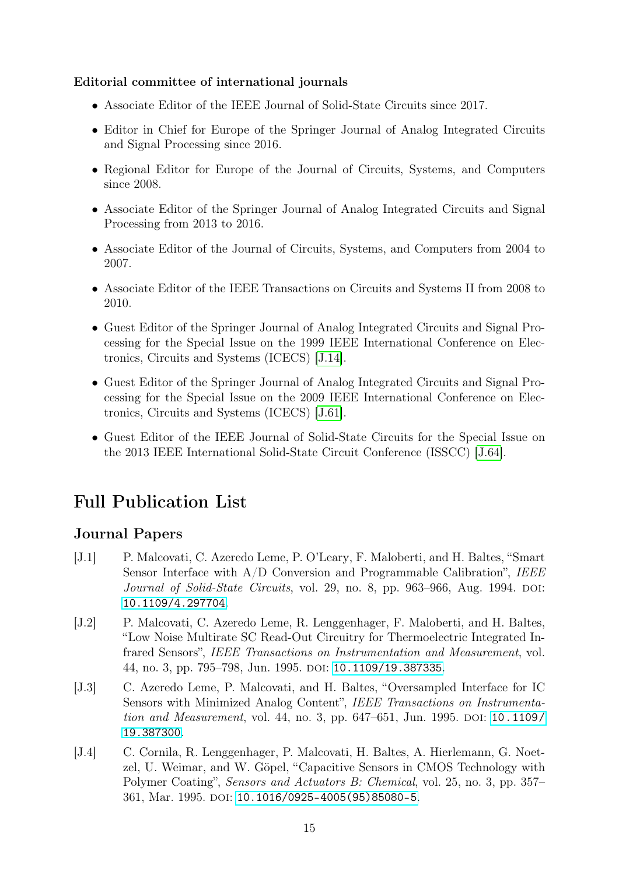#### Editorial committee of international journals

- Associate Editor of the IEEE Journal of Solid-State Circuits since 2017.
- Editor in Chief for Europe of the Springer Journal of Analog Integrated Circuits and Signal Processing since 2016.
- Regional Editor for Europe of the Journal of Circuits, Systems, and Computers since 2008.
- Associate Editor of the Springer Journal of Analog Integrated Circuits and Signal Processing from 2013 to 2016.
- Associate Editor of the Journal of Circuits, Systems, and Computers from 2004 to 2007.
- Associate Editor of the IEEE Transactions on Circuits and Systems II from 2008 to 2010.
- Guest Editor of the Springer Journal of Analog Integrated Circuits and Signal Processing for the Special Issue on the 1999 IEEE International Conference on Electronics, Circuits and Systems (ICECS) [\[J.14\]](#page-15-11).
- Guest Editor of the Springer Journal of Analog Integrated Circuits and Signal Processing for the Special Issue on the 2009 IEEE International Conference on Electronics, Circuits and Systems (ICECS) [\[J.61\]](#page-20-8).
- Guest Editor of the IEEE Journal of Solid-State Circuits for the Special Issue on the 2013 IEEE International Solid-State Circuit Conference (ISSCC) [\[J.64\]](#page-20-9).

# Full Publication List

# Journal Papers

- <span id="page-14-0"></span>[J.1] P. Malcovati, C. Azeredo Leme, P. O'Leary, F. Maloberti, and H. Baltes, "Smart Sensor Interface with  $A/D$  Conversion and Programmable Calibration", IEEE Journal of Solid-State Circuits, vol. 29, no. 8, pp. 963–966, Aug. 1994. DOI: [10.1109/4.297704](https://doi.org/10.1109/4.297704).
- <span id="page-14-1"></span>[J.2] P. Malcovati, C. Azeredo Leme, R. Lenggenhager, F. Maloberti, and H. Baltes, "Low Noise Multirate SC Read-Out Circuitry for Thermoelectric Integrated Infrared Sensors", IEEE Transactions on Instrumentation and Measurement, vol. 44, no. 3, pp. 795–798, Jun. 1995. doi: [10.1109/19.387335](https://doi.org/10.1109/19.387335).
- <span id="page-14-2"></span>[J.3] C. Azeredo Leme, P. Malcovati, and H. Baltes, "Oversampled Interface for IC Sensors with Minimized Analog Content", IEEE Transactions on Instrumenta-tion and Measurement, vol. 44, no. 3, pp. 647–651, Jun. 1995. DOI: [10.1109/](https://doi.org/10.1109/19.387300) [19.387300](https://doi.org/10.1109/19.387300).
- <span id="page-14-3"></span>[J.4] C. Cornila, R. Lenggenhager, P. Malcovati, H. Baltes, A. Hierlemann, G. Noetzel, U. Weimar, and W. Göpel, "Capacitive Sensors in CMOS Technology with Polymer Coating", Sensors and Actuators B: Chemical, vol. 25, no. 3, pp. 357– 361, Mar. 1995. DOI: [10.1016/0925-4005\(95\)85080-5](https://doi.org/10.1016/0925-4005(95)85080-5).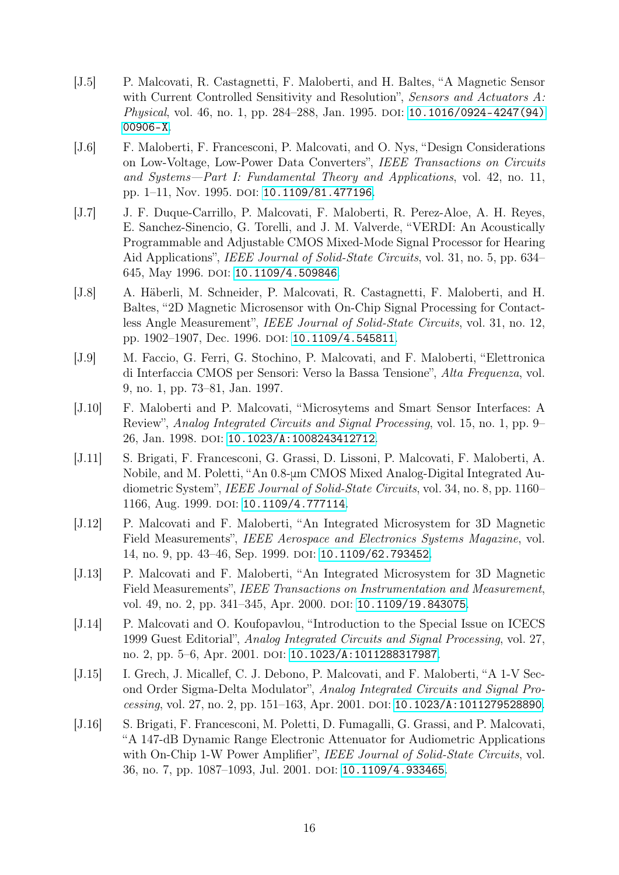- <span id="page-15-0"></span>[J.5] P. Malcovati, R. Castagnetti, F. Maloberti, and H. Baltes, "A Magnetic Sensor with Current Controlled Sensitivity and Resolution", Sensors and Actuators A: Physical, vol. 46, no. 1, pp. 284–288, Jan. 1995. DOI: [10.1016/0924-4247\(94\)](https://doi.org/10.1016/0924-4247(94)00906-X) [00906-X](https://doi.org/10.1016/0924-4247(94)00906-X).
- <span id="page-15-7"></span>[J.6] F. Maloberti, F. Francesconi, P. Malcovati, and O. Nys, "Design Considerations on Low-Voltage, Low-Power Data Converters", IEEE Transactions on Circuits and Systems—Part I: Fundamental Theory and Applications, vol. 42, no. 11, pp. 1–11, Nov. 1995. DOI: [10.1109/81.477196](https://doi.org/10.1109/81.477196).
- <span id="page-15-9"></span>[J.7] J. F. Duque-Carrillo, P. Malcovati, F. Maloberti, R. Perez-Aloe, A. H. Reyes, E. Sanchez-Sinencio, G. Torelli, and J. M. Valverde, "VERDI: An Acoustically Programmable and Adjustable CMOS Mixed-Mode Signal Processor for Hearing Aid Applications", *IEEE Journal of Solid-State Circuits*, vol. 31, no. 5, pp. 634– 645, May 1996. DOI: [10.1109/4.509846](https://doi.org/10.1109/4.509846).
- <span id="page-15-1"></span>[J.8] A. Häberli, M. Schneider, P. Malcovati, R. Castagnetti, F. Maloberti, and H. Baltes, "2D Magnetic Microsensor with On-Chip Signal Processing for Contactless Angle Measurement", IEEE Journal of Solid-State Circuits, vol. 31, no. 12, pp. 1902–1907, Dec. 1996. DOI: [10.1109/4.545811](https://doi.org/10.1109/4.545811).
- <span id="page-15-2"></span>[J.9] M. Faccio, G. Ferri, G. Stochino, P. Malcovati, and F. Maloberti, "Elettronica di Interfaccia CMOS per Sensori: Verso la Bassa Tensione", Alta Frequenza, vol. 9, no. 1, pp. 73–81, Jan. 1997.
- <span id="page-15-3"></span>[J.10] F. Maloberti and P. Malcovati, "Microsytems and Smart Sensor Interfaces: A Review", Analog Integrated Circuits and Signal Processing, vol. 15, no. 1, pp. 9– 26, Jan. 1998. DOI: [10.1023/A:1008243412712](https://doi.org/10.1023/A:1008243412712).
- <span id="page-15-10"></span>[J.11] S. Brigati, F. Francesconi, G. Grassi, D. Lissoni, P. Malcovati, F. Maloberti, A. Nobile, and M. Poletti, "An 0.8-μm CMOS Mixed Analog-Digital Integrated Audiometric System", IEEE Journal of Solid-State Circuits, vol. 34, no. 8, pp. 1160– 1166, Aug. 1999. DOI: [10.1109/4.777114](https://doi.org/10.1109/4.777114).
- <span id="page-15-4"></span>[J.12] P. Malcovati and F. Maloberti, "An Integrated Microsystem for 3D Magnetic Field Measurements", IEEE Aerospace and Electronics Systems Magazine, vol. 14, no. 9, pp. 43–46, Sep. 1999. doi: [10.1109/62.793452](https://doi.org/10.1109/62.793452).
- <span id="page-15-5"></span>[J.13] P. Malcovati and F. Maloberti, "An Integrated Microsystem for 3D Magnetic Field Measurements", IEEE Transactions on Instrumentation and Measurement, vol. 49, no. 2, pp. 341-345, Apr. 2000. DOI: [10.1109/19.843075](https://doi.org/10.1109/19.843075).
- <span id="page-15-11"></span>[J.14] P. Malcovati and O. Koufopavlou, "Introduction to the Special Issue on ICECS 1999 Guest Editorial", Analog Integrated Circuits and Signal Processing, vol. 27, no. 2, pp. 5–6, Apr. 2001. DOI: [10.1023/A:1011288317987](https://doi.org/10.1023/A:1011288317987).
- <span id="page-15-8"></span>[J.15] I. Grech, J. Micallef, C. J. Debono, P. Malcovati, and F. Maloberti, "A 1-V Second Order Sigma-Delta Modulator", Analog Integrated Circuits and Signal Pro-cessing, vol. 27, no. 2, pp. 151–163, Apr. 2001. DOI: [10.1023/A:1011279528890](https://doi.org/10.1023/A:1011279528890).
- <span id="page-15-6"></span>[J.16] S. Brigati, F. Francesconi, M. Poletti, D. Fumagalli, G. Grassi, and P. Malcovati, "A 147-dB Dynamic Range Electronic Attenuator for Audiometric Applications with On-Chip 1-W Power Amplifier", IEEE Journal of Solid-State Circuits, vol. 36, no. 7, pp. 1087-1093, Jul. 2001. DOI: [10.1109/4.933465](https://doi.org/10.1109/4.933465).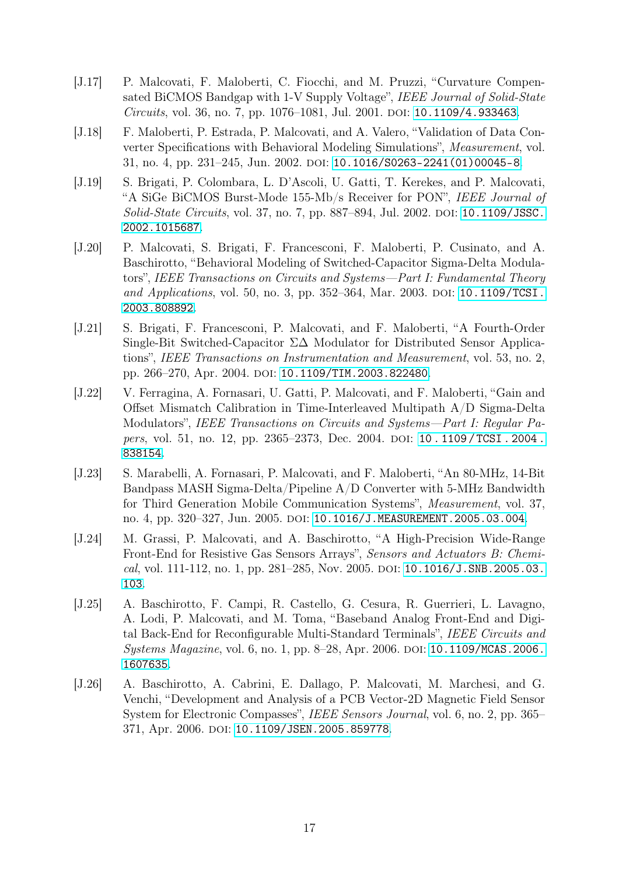- <span id="page-16-7"></span>[J.17] P. Malcovati, F. Maloberti, C. Fiocchi, and M. Pruzzi, "Curvature Compensated BiCMOS Bandgap with 1-V Supply Voltage", IEEE Journal of Solid-State Circuits, vol. 36, no. 7, pp. 1076-1081, Jul. 2001. DOI: [10.1109/4.933463](https://doi.org/10.1109/4.933463).
- <span id="page-16-2"></span>[J.18] F. Maloberti, P. Estrada, P. Malcovati, and A. Valero, "Validation of Data Converter Specifications with Behavioral Modeling Simulations", Measurement, vol. 31, no. 4, pp. 231-245, Jun. 2002. DOI: [10.1016/S0263-2241\(01\)00045-8](https://doi.org/10.1016/S0263-2241(01)00045-8).
- <span id="page-16-8"></span>[J.19] S. Brigati, P. Colombara, L. D'Ascoli, U. Gatti, T. Kerekes, and P. Malcovati, "A SiGe BiCMOS Burst-Mode 155-Mb/s Receiver for PON", IEEE Journal of  $Solid-State Circuits$ , vol. 37, no. 7, pp. 887–894, Jul. 2002. DOI: [10.1109/JSSC.](https://doi.org/10.1109/JSSC.2002.1015687) [2002.1015687](https://doi.org/10.1109/JSSC.2002.1015687).
- <span id="page-16-3"></span>[J.20] P. Malcovati, S. Brigati, F. Francesconi, F. Maloberti, P. Cusinato, and A. Baschirotto, "Behavioral Modeling of Switched-Capacitor Sigma-Delta Modulators", IEEE Transactions on Circuits and Systems—Part I: Fundamental Theory and Applications, vol. 50, no. 3, pp. 352-364, Mar. 2003. DOI: [10.1109/TCSI.](https://doi.org/10.1109/TCSI.2003.808892) [2003.808892](https://doi.org/10.1109/TCSI.2003.808892).
- <span id="page-16-4"></span>[J.21] S. Brigati, F. Francesconi, P. Malcovati, and F. Maloberti, "A Fourth-Order Single-Bit Switched-Capacitor ΣΔ Modulator for Distributed Sensor Applications", IEEE Transactions on Instrumentation and Measurement, vol. 53, no. 2, pp. 266-270, Apr. 2004. doi: [10.1109/TIM.2003.822480](https://doi.org/10.1109/TIM.2003.822480).
- <span id="page-16-5"></span>[J.22] V. Ferragina, A. Fornasari, U. Gatti, P. Malcovati, and F. Maloberti, "Gain and Offset Mismatch Calibration in Time-Interleaved Multipath A/D Sigma-Delta Modulators", IEEE Transactions on Circuits and Systems—Part I: Regular Papers, vol. 51, no. 12, pp. 2365-2373, Dec. 2004. DOI: 10 . 1109 / TCSI . 2004. [838154](https://doi.org/10.1109/TCSI.2004.838154).
- <span id="page-16-6"></span>[J.23] S. Marabelli, A. Fornasari, P. Malcovati, and F. Maloberti, "An 80-MHz, 14-Bit Bandpass MASH Sigma-Delta/Pipeline A/D Converter with 5-MHz Bandwidth for Third Generation Mobile Communication Systems", Measurement, vol. 37, no. 4, pp. 320–327, Jun. 2005. DOI: 10.1016/J.MEASUREMENT. 2005.03.004.
- <span id="page-16-0"></span>[J.24] M. Grassi, P. Malcovati, and A. Baschirotto, "A High-Precision Wide-Range Front-End for Resistive Gas Sensors Arrays", Sensors and Actuators B: Chemi-cal, vol. 111-112, no. 1, pp. 281-285, Nov. 2005. DOI: [10.1016/J.SNB.2005.03.](https://doi.org/10.1016/J.SNB.2005.03.103) [103](https://doi.org/10.1016/J.SNB.2005.03.103).
- <span id="page-16-9"></span>[J.25] A. Baschirotto, F. Campi, R. Castello, G. Cesura, R. Guerrieri, L. Lavagno, A. Lodi, P. Malcovati, and M. Toma, "Baseband Analog Front-End and Digital Back-End for Reconfigurable Multi-Standard Terminals", IEEE Circuits and Systems Magazine, vol. 6, no. 1, pp. 8–28, Apr. 2006. DOI: [10.1109/MCAS.2006.](https://doi.org/10.1109/MCAS.2006.1607635) [1607635](https://doi.org/10.1109/MCAS.2006.1607635).
- <span id="page-16-1"></span>[J.26] A. Baschirotto, A. Cabrini, E. Dallago, P. Malcovati, M. Marchesi, and G. Venchi, "Development and Analysis of a PCB Vector-2D Magnetic Field Sensor System for Electronic Compasses", IEEE Sensors Journal, vol. 6, no. 2, pp. 365– 371, Apr. 2006. doi: [10.1109/JSEN.2005.859778](https://doi.org/10.1109/JSEN.2005.859778).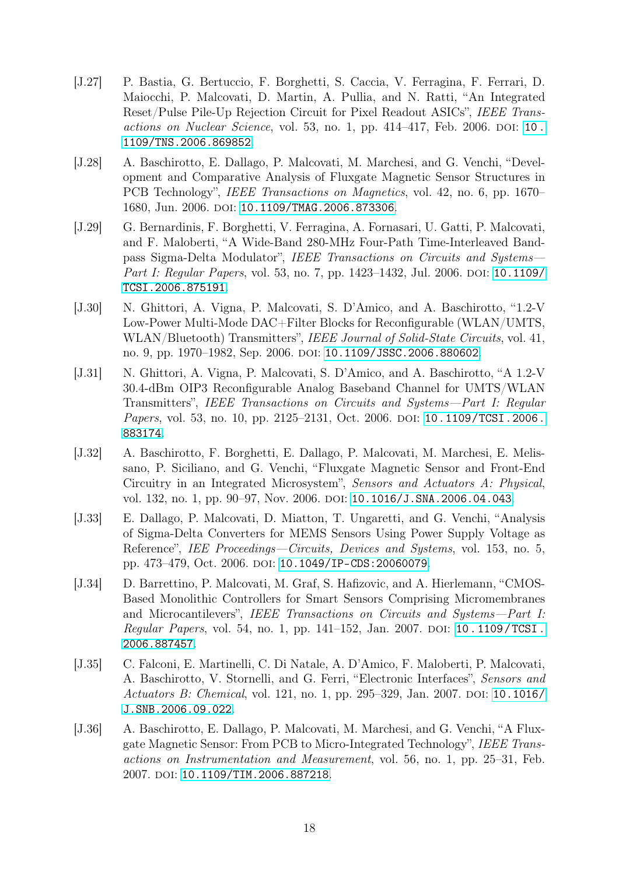- <span id="page-17-0"></span>[J.27] P. Bastia, G. Bertuccio, F. Borghetti, S. Caccia, V. Ferragina, F. Ferrari, D. Maiocchi, P. Malcovati, D. Martin, A. Pullia, and N. Ratti, "An Integrated Reset/Pulse Pile-Up Rejection Circuit for Pixel Readout ASICs", IEEE Trans $actions on Nuclear Science, vol. 53, no. 1, pp. 414–417, Feb. 2006. DOI: 10.$ [1109/TNS.2006.869852](https://doi.org/10.1109/TNS.2006.869852).
- <span id="page-17-1"></span>[J.28] A. Baschirotto, E. Dallago, P. Malcovati, M. Marchesi, and G. Venchi, "Development and Comparative Analysis of Fluxgate Magnetic Sensor Structures in PCB Technology", IEEE Transactions on Magnetics, vol. 42, no. 6, pp. 1670– 1680, Jun. 2006. DOI: [10.1109/TMAG.2006.873306](https://doi.org/10.1109/TMAG.2006.873306).
- <span id="page-17-6"></span>[J.29] G. Bernardinis, F. Borghetti, V. Ferragina, A. Fornasari, U. Gatti, P. Malcovati, and F. Maloberti, "A Wide-Band 280-MHz Four-Path Time-Interleaved Bandpass Sigma-Delta Modulator", IEEE Transactions on Circuits and Systems— Part I: Regular Papers, vol. 53, no. 7, pp. 1423–1432, Jul. 2006. DOI: [10.1109/](https://doi.org/10.1109/TCSI.2006.875191) [TCSI.2006.875191](https://doi.org/10.1109/TCSI.2006.875191).
- <span id="page-17-8"></span>[J.30] N. Ghittori, A. Vigna, P. Malcovati, S. D'Amico, and A. Baschirotto, "1.2-V Low-Power Multi-Mode DAC+Filter Blocks for Reconfigurable (WLAN/UMTS, WLAN/Bluetooth) Transmitters", IEEE Journal of Solid-State Circuits, vol. 41, no. 9, pp. 1970–1982, Sep. 2006. DOI: [10.1109/JSSC.2006.880602](https://doi.org/10.1109/JSSC.2006.880602).
- <span id="page-17-9"></span>[J.31] N. Ghittori, A. Vigna, P. Malcovati, S. D'Amico, and A. Baschirotto, "A 1.2-V 30.4-dBm OIP3 Reconfigurable Analog Baseband Channel for UMTS/WLAN Transmitters", IEEE Transactions on Circuits and Systems—Part I: Regular Papers, vol. 53, no. 10, pp. 2125–2131, Oct. 2006. DOI: [10.1109/TCSI.2006.](https://doi.org/10.1109/TCSI.2006.883174) [883174](https://doi.org/10.1109/TCSI.2006.883174).
- <span id="page-17-2"></span>[J.32] A. Baschirotto, F. Borghetti, E. Dallago, P. Malcovati, M. Marchesi, E. Melissano, P. Siciliano, and G. Venchi, "Fluxgate Magnetic Sensor and Front-End Circuitry in an Integrated Microsystem", Sensors and Actuators A: Physical, vol. 132, no. 1, pp. 90-97, Nov. 2006. DOI: [10.1016/J.SNA.2006.04.043](https://doi.org/10.1016/J.SNA.2006.04.043).
- <span id="page-17-7"></span>[J.33] E. Dallago, P. Malcovati, D. Miatton, T. Ungaretti, and G. Venchi, "Analysis of Sigma-Delta Converters for MEMS Sensors Using Power Supply Voltage as Reference", IEE Proceedings—Circuits, Devices and Systems, vol. 153, no. 5, pp. 473-479, Oct. 2006. DOI: 10.1049/IP-CDS: 20060079.
- <span id="page-17-3"></span>[J.34] D. Barrettino, P. Malcovati, M. Graf, S. Hafizovic, and A. Hierlemann, "CMOS-Based Monolithic Controllers for Smart Sensors Comprising Micromembranes and Microcantilevers", IEEE Transactions on Circuits and Systems—Part I: Regular Papers, vol. 54, no. 1, pp.  $141-152$ , Jan. 2007. DOI: [10.1109/TCSI.](https://doi.org/10.1109/TCSI.2006.887457) [2006.887457](https://doi.org/10.1109/TCSI.2006.887457).
- <span id="page-17-4"></span>[J.35] C. Falconi, E. Martinelli, C. Di Natale, A. D'Amico, F. Maloberti, P. Malcovati, A. Baschirotto, V. Stornelli, and G. Ferri, "Electronic Interfaces", Sensors and Actuators B: Chemical, vol. 121, no. 1, pp. 295–329, Jan. 2007. DOI: [10.1016/](https://doi.org/10.1016/J.SNB.2006.09.022) [J.SNB.2006.09.022](https://doi.org/10.1016/J.SNB.2006.09.022).
- <span id="page-17-5"></span>[J.36] A. Baschirotto, E. Dallago, P. Malcovati, M. Marchesi, and G. Venchi, "A Fluxgate Magnetic Sensor: From PCB to Micro-Integrated Technology", IEEE Transactions on Instrumentation and Measurement, vol. 56, no. 1, pp. 25–31, Feb. 2007. doi: [10.1109/TIM.2006.887218](https://doi.org/10.1109/TIM.2006.887218).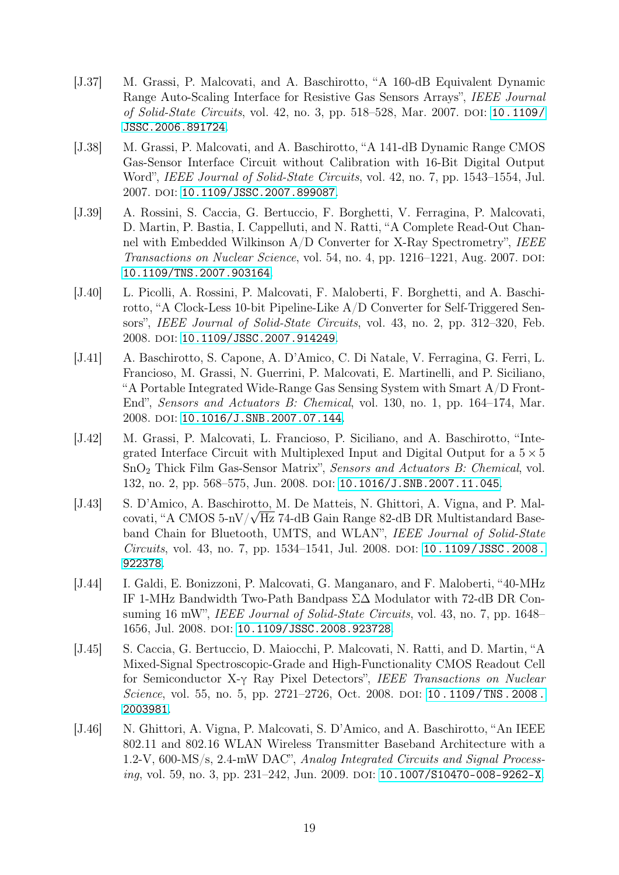- <span id="page-18-0"></span>[J.37] M. Grassi, P. Malcovati, and A. Baschirotto, "A 160-dB Equivalent Dynamic Range Auto-Scaling Interface for Resistive Gas Sensors Arrays", IEEE Journal of Solid-State Circuits, vol. 42, no. 3, pp. 518–528, Mar. 2007. DOI: [10.1109/](https://doi.org/10.1109/JSSC.2006.891724) [JSSC.2006.891724](https://doi.org/10.1109/JSSC.2006.891724).
- <span id="page-18-1"></span>[J.38] M. Grassi, P. Malcovati, and A. Baschirotto, "A 141-dB Dynamic Range CMOS Gas-Sensor Interface Circuit without Calibration with 16-Bit Digital Output Word", IEEE Journal of Solid-State Circuits, vol. 42, no. 7, pp. 1543–1554, Jul. 2007. DOI: [10.1109/JSSC.2007.899087](https://doi.org/10.1109/JSSC.2007.899087).
- <span id="page-18-2"></span>[J.39] A. Rossini, S. Caccia, G. Bertuccio, F. Borghetti, V. Ferragina, P. Malcovati, D. Martin, P. Bastia, I. Cappelluti, and N. Ratti, "A Complete Read-Out Channel with Embedded Wilkinson  $A/D$  Converter for X-Ray Spectrometry", IEEE Transactions on Nuclear Science, vol. 54, no. 4, pp.  $1216-1221$ , Aug.  $2007$ . DOI: [10.1109/TNS.2007.903164](https://doi.org/10.1109/TNS.2007.903164).
- <span id="page-18-6"></span>[J.40] L. Picolli, A. Rossini, P. Malcovati, F. Maloberti, F. Borghetti, and A. Baschirotto, "A Clock-Less 10-bit Pipeline-Like A/D Converter for Self-Triggered Sensors", IEEE Journal of Solid-State Circuits, vol. 43, no. 2, pp. 312–320, Feb. 2008. DOI: [10.1109/JSSC.2007.914249](https://doi.org/10.1109/JSSC.2007.914249).
- <span id="page-18-3"></span>[J.41] A. Baschirotto, S. Capone, A. D'Amico, C. Di Natale, V. Ferragina, G. Ferri, L. Francioso, M. Grassi, N. Guerrini, P. Malcovati, E. Martinelli, and P. Siciliano, "A Portable Integrated Wide-Range Gas Sensing System with Smart A/D Front-End", Sensors and Actuators B: Chemical, vol. 130, no. 1, pp. 164–174, Mar. 2008. DOI: [10.1016/J.SNB.2007.07.144](https://doi.org/10.1016/J.SNB.2007.07.144).
- <span id="page-18-4"></span>[J.42] M. Grassi, P. Malcovati, L. Francioso, P. Siciliano, and A. Baschirotto, "Integrated Interface Circuit with Multiplexed Input and Digital Output for a  $5 \times 5$ SnO<sup>2</sup> Thick Film Gas-Sensor Matrix", Sensors and Actuators B: Chemical, vol. 132, no. 2, pp. 568–575, Jun. 2008. DOI: [10.1016/J.SNB.2007.11.045](https://doi.org/10.1016/J.SNB.2007.11.045).
- <span id="page-18-9"></span>[J.43] S. D'Amico, A. Baschirotto, M. De Matteis, N. Ghittori, A. Vigna, and P. Mal-S. D'Amico, A. Baschirotto, M. De Matteis, N. Ghittori, A. Vigna, and P. Mal-<br>covati, "A CMOS 5-nV/√Hz 74-dB Gain Range 82-dB DR Multistandard Baseband Chain for Bluetooth, UMTS, and WLAN", IEEE Journal of Solid-State *Circuits*, vol. 43, no. 7, pp. 1534–1541, Jul. 2008. DOI: [10.1109/JSSC.2008.](https://doi.org/10.1109/JSSC.2008.922378) [922378](https://doi.org/10.1109/JSSC.2008.922378).
- <span id="page-18-7"></span>[J.44] I. Galdi, E. Bonizzoni, P. Malcovati, G. Manganaro, and F. Maloberti, "40-MHz IF 1-MHz Bandwidth Two-Path Bandpass ΣΔ Modulator with 72-dB DR Consuming 16 mW", *IEEE Journal of Solid-State Circuits*, vol. 43, no. 7, pp. 1648– 1656, Jul. 2008. doi: [10.1109/JSSC.2008.923728](https://doi.org/10.1109/JSSC.2008.923728).
- <span id="page-18-5"></span>[J.45] S. Caccia, G. Bertuccio, D. Maiocchi, P. Malcovati, N. Ratti, and D. Martin, "A Mixed-Signal Spectroscopic-Grade and High-Functionality CMOS Readout Cell for Semiconductor X-γ Ray Pixel Detectors", IEEE Transactions on Nuclear Science, vol. 55, no. 5, pp.  $2721-2726$ , Oct. 2008. DOI: 10. 1109/TNS. 2008. [2003981](https://doi.org/10.1109/TNS.2008.2003981).
- <span id="page-18-8"></span>[J.46] N. Ghittori, A. Vigna, P. Malcovati, S. D'Amico, and A. Baschirotto, "An IEEE 802.11 and 802.16 WLAN Wireless Transmitter Baseband Architecture with a 1.2-V, 600-MS/s, 2.4-mW DAC", Analog Integrated Circuits and Signal Process- $ing, vol. 59, no. 3, pp. 231–242, Jun. 2009. DOI: 10.1007/S10470-008-9262-X.$  $ing, vol. 59, no. 3, pp. 231–242, Jun. 2009. DOI: 10.1007/S10470-008-9262-X.$  $ing, vol. 59, no. 3, pp. 231–242, Jun. 2009. DOI: 10.1007/S10470-008-9262-X.$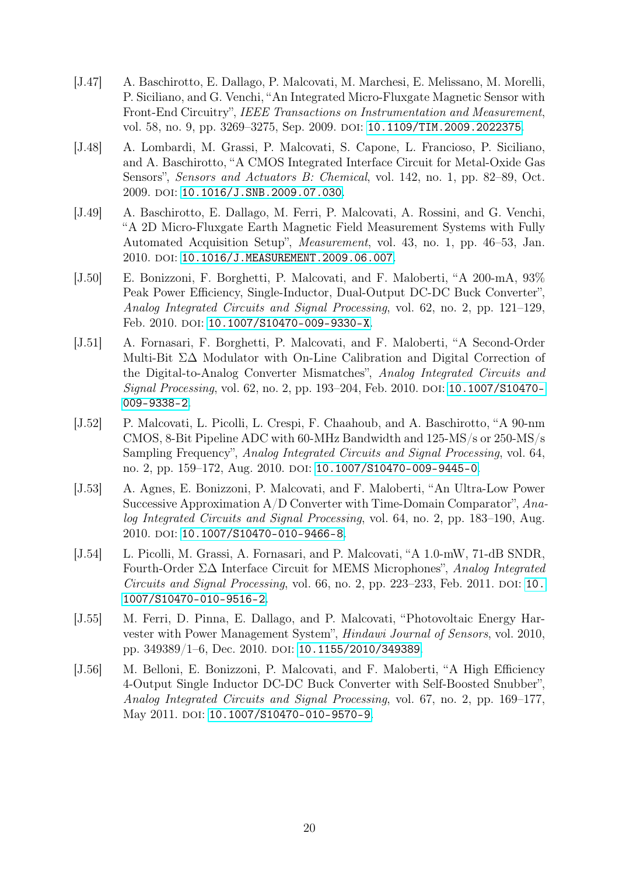- <span id="page-19-0"></span>[J.47] A. Baschirotto, E. Dallago, P. Malcovati, M. Marchesi, E. Melissano, M. Morelli, P. Siciliano, and G. Venchi, "An Integrated Micro-Fluxgate Magnetic Sensor with Front-End Circuitry", IEEE Transactions on Instrumentation and Measurement, vol. 58, no. 9, pp. 3269-3275, Sep. 2009. DOI: [10.1109/TIM.2009.2022375](https://doi.org/10.1109/TIM.2009.2022375).
- <span id="page-19-1"></span>[J.48] A. Lombardi, M. Grassi, P. Malcovati, S. Capone, L. Francioso, P. Siciliano, and A. Baschirotto, "A CMOS Integrated Interface Circuit for Metal-Oxide Gas Sensors", Sensors and Actuators B: Chemical, vol. 142, no. 1, pp. 82–89, Oct. 2009. doi: [10.1016/J.SNB.2009.07.030](https://doi.org/10.1016/J.SNB.2009.07.030).
- <span id="page-19-2"></span>[J.49] A. Baschirotto, E. Dallago, M. Ferri, P. Malcovati, A. Rossini, and G. Venchi, "A 2D Micro-Fluxgate Earth Magnetic Field Measurement Systems with Fully Automated Acquisition Setup", Measurement, vol. 43, no. 1, pp. 46–53, Jan. 2010. doi: [10.1016/J.MEASUREMENT.2009.06.007](https://doi.org/10.1016/J.MEASUREMENT.2009.06.007).
- <span id="page-19-7"></span>[J.50] E. Bonizzoni, F. Borghetti, P. Malcovati, and F. Maloberti, "A 200-mA, 93% Peak Power Efficiency, Single-Inductor, Dual-Output DC-DC Buck Converter", Analog Integrated Circuits and Signal Processing, vol. 62, no. 2, pp. 121–129, Feb. 2010. doi: [10.1007/S10470-009-9330-X](https://doi.org/10.1007/S10470-009-9330-X).
- <span id="page-19-3"></span>[J.51] A. Fornasari, F. Borghetti, P. Malcovati, and F. Maloberti, "A Second-Order Multi-Bit ΣΔ Modulator with On-Line Calibration and Digital Correction of the Digital-to-Analog Converter Mismatches", Analog Integrated Circuits and Signal Processing, vol. 62, no. 2, pp. 193–204, Feb. 2010. DOI: [10.1007/S10470-](https://doi.org/10.1007/S10470-009-9338-2) [009-9338-2](https://doi.org/10.1007/S10470-009-9338-2).
- <span id="page-19-4"></span>[J.52] P. Malcovati, L. Picolli, L. Crespi, F. Chaahoub, and A. Baschirotto, "A 90-nm CMOS, 8-Bit Pipeline ADC with 60-MHz Bandwidth and 125-MS/s or 250-MS/s Sampling Frequency", Analog Integrated Circuits and Signal Processing, vol. 64, no. 2, pp. 159-172, Aug. 2010. DOI: [10.1007/S10470-009-9445-0](https://doi.org/10.1007/S10470-009-9445-0).
- <span id="page-19-5"></span>[J.53] A. Agnes, E. Bonizzoni, P. Malcovati, and F. Maloberti, "An Ultra-Low Power Successive Approximation A/D Converter with Time-Domain Comparator", Analog Integrated Circuits and Signal Processing, vol. 64, no. 2, pp. 183–190, Aug. 2010. DOI: [10.1007/S10470-010-9466-8](https://doi.org/10.1007/S10470-010-9466-8).
- <span id="page-19-6"></span>[J.54] L. Picolli, M. Grassi, A. Fornasari, and P. Malcovati, "A 1.0-mW, 71-dB SNDR, Fourth-Order  $\Sigma\Delta$  Interface Circuit for MEMS Microphones", Analog Integrated  $Circuits$  and  $Signal$   $Processing$ , vol. 66, no. 2, pp. 223–233, Feb. 2011. DOI: [10.](https://doi.org/10.1007/S10470-010-9516-2) [1007/S10470-010-9516-2](https://doi.org/10.1007/S10470-010-9516-2).
- <span id="page-19-8"></span>[J.55] M. Ferri, D. Pinna, E. Dallago, and P. Malcovati, "Photovoltaic Energy Harvester with Power Management System", Hindawi Journal of Sensors, vol. 2010, pp. 349389/1–6, Dec. 2010. doi: [10.1155/2010/349389](https://doi.org/10.1155/2010/349389).
- <span id="page-19-9"></span>[J.56] M. Belloni, E. Bonizzoni, P. Malcovati, and F. Maloberti, "A High Efficiency 4-Output Single Inductor DC-DC Buck Converter with Self-Boosted Snubber", Analog Integrated Circuits and Signal Processing, vol. 67, no. 2, pp. 169–177, May 2011. DOI: [10.1007/S10470-010-9570-9](https://doi.org/10.1007/S10470-010-9570-9).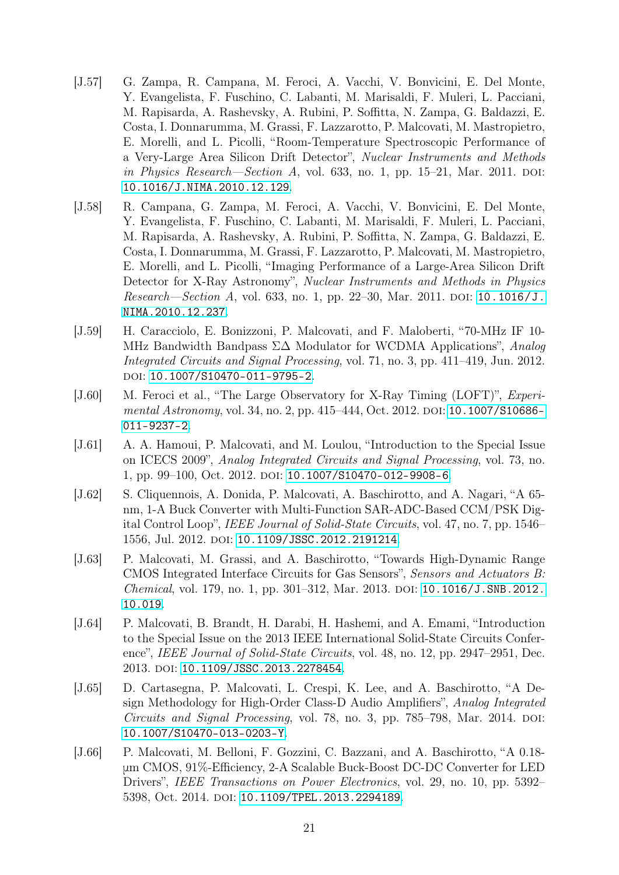- <span id="page-20-0"></span>[J.57] G. Zampa, R. Campana, M. Feroci, A. Vacchi, V. Bonvicini, E. Del Monte, Y. Evangelista, F. Fuschino, C. Labanti, M. Marisaldi, F. Muleri, L. Pacciani, M. Rapisarda, A. Rashevsky, A. Rubini, P. Soffitta, N. Zampa, G. Baldazzi, E. Costa, I. Donnarumma, M. Grassi, F. Lazzarotto, P. Malcovati, M. Mastropietro, E. Morelli, and L. Picolli, "Room-Temperature Spectroscopic Performance of a Very-Large Area Silicon Drift Detector", Nuclear Instruments and Methods in Physics Research—Section A, vol. 633, no. 1, pp. 15–21, Mar. 2011. DOI: [10.1016/J.NIMA.2010.12.129](https://doi.org/10.1016/J.NIMA.2010.12.129).
- <span id="page-20-1"></span>[J.58] R. Campana, G. Zampa, M. Feroci, A. Vacchi, V. Bonvicini, E. Del Monte, Y. Evangelista, F. Fuschino, C. Labanti, M. Marisaldi, F. Muleri, L. Pacciani, M. Rapisarda, A. Rashevsky, A. Rubini, P. Soffitta, N. Zampa, G. Baldazzi, E. Costa, I. Donnarumma, M. Grassi, F. Lazzarotto, P. Malcovati, M. Mastropietro, E. Morelli, and L. Picolli, "Imaging Performance of a Large-Area Silicon Drift Detector for X-Ray Astronomy", Nuclear Instruments and Methods in Physics Research—Section A, vol. 633, no. 1, pp. 22–30, Mar. 2011. DOI: [10.1016/J.](https://doi.org/10.1016/J.NIMA.2010.12.237) [NIMA.2010.12.237](https://doi.org/10.1016/J.NIMA.2010.12.237).
- <span id="page-20-4"></span>[J.59] H. Caracciolo, E. Bonizzoni, P. Malcovati, and F. Maloberti, "70-MHz IF 10- MHz Bandwidth Bandpass  $\Sigma\Delta$  Modulator for WCDMA Applications", Analog Integrated Circuits and Signal Processing, vol. 71, no. 3, pp. 411–419, Jun. 2012. DOI: [10.1007/S10470-011-9795-2](https://doi.org/10.1007/S10470-011-9795-2).
- <span id="page-20-2"></span>[J.60] M. Feroci et al., "The Large Observatory for X-Ray Timing (LOFT)", Experi-mental Astronomy, vol. 34, no. 2, pp. 415-444, Oct. 2012. DOI: [10.1007/S10686-](https://doi.org/10.1007/S10686-011-9237-2) [011-9237-2](https://doi.org/10.1007/S10686-011-9237-2).
- <span id="page-20-8"></span>[J.61] A. A. Hamoui, P. Malcovati, and M. Loulou, "Introduction to the Special Issue on ICECS 2009", Analog Integrated Circuits and Signal Processing, vol. 73, no. 1, pp. 99–100, Oct. 2012. DOI: [10.1007/S10470-012-9908-6](https://doi.org/10.1007/S10470-012-9908-6).
- <span id="page-20-6"></span>[J.62] S. Cliquennois, A. Donida, P. Malcovati, A. Baschirotto, and A. Nagari, "A 65 nm, 1-A Buck Converter with Multi-Function SAR-ADC-Based CCM/PSK Digital Control Loop", IEEE Journal of Solid-State Circuits, vol. 47, no. 7, pp. 1546– 1556, Jul. 2012. DOI: [10.1109/JSSC.2012.2191214](https://doi.org/10.1109/JSSC.2012.2191214).
- <span id="page-20-3"></span>[J.63] P. Malcovati, M. Grassi, and A. Baschirotto, "Towards High-Dynamic Range CMOS Integrated Interface Circuits for Gas Sensors", Sensors and Actuators B: Chemical, vol. 179, no. 1, pp. 301-312, Mar. 2013. DOI: [10.1016/J.SNB.2012.](https://doi.org/10.1016/J.SNB.2012.10.019) [10.019](https://doi.org/10.1016/J.SNB.2012.10.019).
- <span id="page-20-9"></span>[J.64] P. Malcovati, B. Brandt, H. Darabi, H. Hashemi, and A. Emami, "Introduction to the Special Issue on the 2013 IEEE International Solid-State Circuits Conference", IEEE Journal of Solid-State Circuits, vol. 48, no. 12, pp. 2947–2951, Dec. 2013. DOI: [10.1109/JSSC.2013.2278454](https://doi.org/10.1109/JSSC.2013.2278454).
- <span id="page-20-5"></span>[J.65] D. Cartasegna, P. Malcovati, L. Crespi, K. Lee, and A. Baschirotto, "A Design Methodology for High-Order Class-D Audio Amplifiers", Analog Integrated Circuits and Signal Processing, vol. 78, no. 3, pp. 785–798, Mar. 2014. DOI: [10.1007/S10470-013-0203-Y](https://doi.org/10.1007/S10470-013-0203-Y).
- <span id="page-20-7"></span>[J.66] P. Malcovati, M. Belloni, F. Gozzini, C. Bazzani, and A. Baschirotto, "A 0.18 μm CMOS, 91%-Efficiency, 2-A Scalable Buck-Boost DC-DC Converter for LED Drivers", IEEE Transactions on Power Electronics, vol. 29, no. 10, pp. 5392– 5398, Oct. 2014. DOI: [10.1109/TPEL.2013.2294189](https://doi.org/10.1109/TPEL.2013.2294189).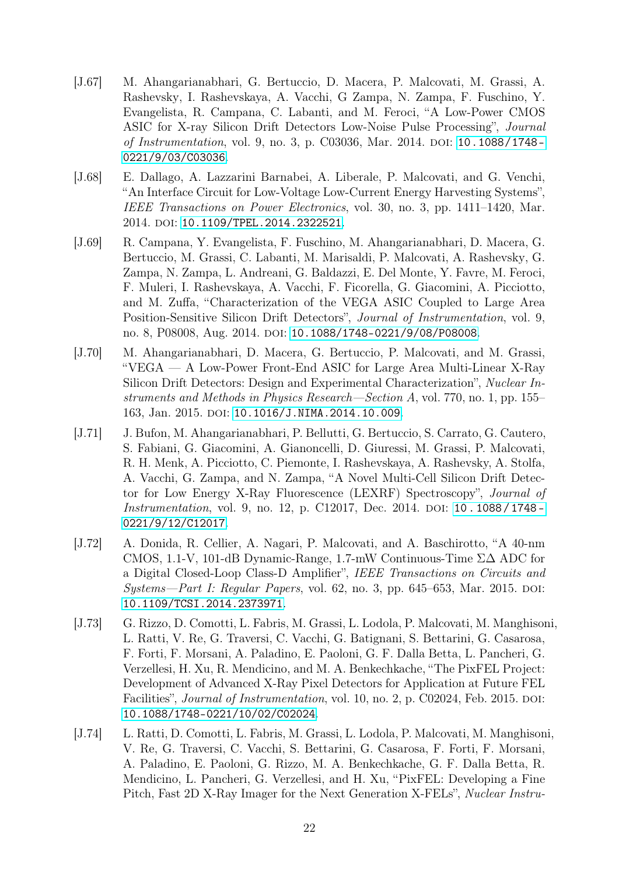- <span id="page-21-0"></span>[J.67] M. Ahangarianabhari, G. Bertuccio, D. Macera, P. Malcovati, M. Grassi, A. Rashevsky, I. Rashevskaya, A. Vacchi, G Zampa, N. Zampa, F. Fuschino, Y. Evangelista, R. Campana, C. Labanti, and M. Feroci, "A Low-Power CMOS ASIC for X-ray Silicon Drift Detectors Low-Noise Pulse Processing", Journal of Instrumentation, vol. 9, no. 3, p.  $C03036$ , Mar. 2014. DOI: [10.1088/1748-](https://doi.org/10.1088/1748-0221/9/03/C03036) [0221/9/03/C03036](https://doi.org/10.1088/1748-0221/9/03/C03036).
- <span id="page-21-7"></span>[J.68] E. Dallago, A. Lazzarini Barnabei, A. Liberale, P. Malcovati, and G. Venchi, "An Interface Circuit for Low-Voltage Low-Current Energy Harvesting Systems", IEEE Transactions on Power Electronics, vol. 30, no. 3, pp. 1411–1420, Mar. 2014. DOI: [10.1109/TPEL.2014.2322521](https://doi.org/10.1109/TPEL.2014.2322521).
- <span id="page-21-1"></span>[J.69] R. Campana, Y. Evangelista, F. Fuschino, M. Ahangarianabhari, D. Macera, G. Bertuccio, M. Grassi, C. Labanti, M. Marisaldi, P. Malcovati, A. Rashevsky, G. Zampa, N. Zampa, L. Andreani, G. Baldazzi, E. Del Monte, Y. Favre, M. Feroci, F. Muleri, I. Rashevskaya, A. Vacchi, F. Ficorella, G. Giacomini, A. Picciotto, and M. Zuffa, "Characterization of the VEGA ASIC Coupled to Large Area Position-Sensitive Silicon Drift Detectors", Journal of Instrumentation, vol. 9, no. 8, P08008, Aug. 2014. doi: [10.1088/1748-0221/9/08/P08008](https://doi.org/10.1088/1748-0221/9/08/P08008).
- <span id="page-21-2"></span>[J.70] M. Ahangarianabhari, D. Macera, G. Bertuccio, P. Malcovati, and M. Grassi, "VEGA — A Low-Power Front-End ASIC for Large Area Multi-Linear X-Ray Silicon Drift Detectors: Design and Experimental Characterization", Nuclear Instruments and Methods in Physics Research—Section A, vol. 770, no. 1, pp. 155– 163, Jan. 2015. doi: [10.1016/J.NIMA.2014.10.009](https://doi.org/10.1016/J.NIMA.2014.10.009).
- <span id="page-21-3"></span>[J.71] J. Bufon, M. Ahangarianabhari, P. Bellutti, G. Bertuccio, S. Carrato, G. Cautero, S. Fabiani, G. Giacomini, A. Gianoncelli, D. Giuressi, M. Grassi, P. Malcovati, R. H. Menk, A. Picciotto, C. Piemonte, I. Rashevskaya, A. Rashevsky, A. Stolfa, A. Vacchi, G. Zampa, and N. Zampa, "A Novel Multi-Cell Silicon Drift Detector for Low Energy X-Ray Fluorescence (LEXRF) Spectroscopy", Journal of Instrumentation, vol. 9, no. 12, p. C12017, Dec. 2014. DOI: 10.1088/1748-[0221/9/12/C12017](https://doi.org/10.1088/1748-0221/9/12/C12017).
- <span id="page-21-6"></span>[J.72] A. Donida, R. Cellier, A. Nagari, P. Malcovati, and A. Baschirotto, "A 40-nm CMOS, 1.1-V, 101-dB Dynamic-Range, 1.7-mW Continuous-Time ΣΔ ADC for a Digital Closed-Loop Class-D Amplifier", IEEE Transactions on Circuits and  $Systems—Part I: Regular Papers, vol. 62, no. 3, pp. 645–653, Mar. 2015. DOI:$ [10.1109/TCSI.2014.2373971](https://doi.org/10.1109/TCSI.2014.2373971).
- <span id="page-21-4"></span>[J.73] G. Rizzo, D. Comotti, L. Fabris, M. Grassi, L. Lodola, P. Malcovati, M. Manghisoni, L. Ratti, V. Re, G. Traversi, C. Vacchi, G. Batignani, S. Bettarini, G. Casarosa, F. Forti, F. Morsani, A. Paladino, E. Paoloni, G. F. Dalla Betta, L. Pancheri, G. Verzellesi, H. Xu, R. Mendicino, and M. A. Benkechkache, "The PixFEL Project: Development of Advanced X-Ray Pixel Detectors for Application at Future FEL Facilities", Journal of Instrumentation, vol. 10, no. 2, p. C02024, Feb. 2015. DOI: [10.1088/1748-0221/10/02/C02024](https://doi.org/10.1088/1748-0221/10/02/C02024).
- <span id="page-21-5"></span>[J.74] L. Ratti, D. Comotti, L. Fabris, M. Grassi, L. Lodola, P. Malcovati, M. Manghisoni, V. Re, G. Traversi, C. Vacchi, S. Bettarini, G. Casarosa, F. Forti, F. Morsani, A. Paladino, E. Paoloni, G. Rizzo, M. A. Benkechkache, G. F. Dalla Betta, R. Mendicino, L. Pancheri, G. Verzellesi, and H. Xu, "PixFEL: Developing a Fine Pitch, Fast 2D X-Ray Imager for the Next Generation X-FELs", Nuclear Instru-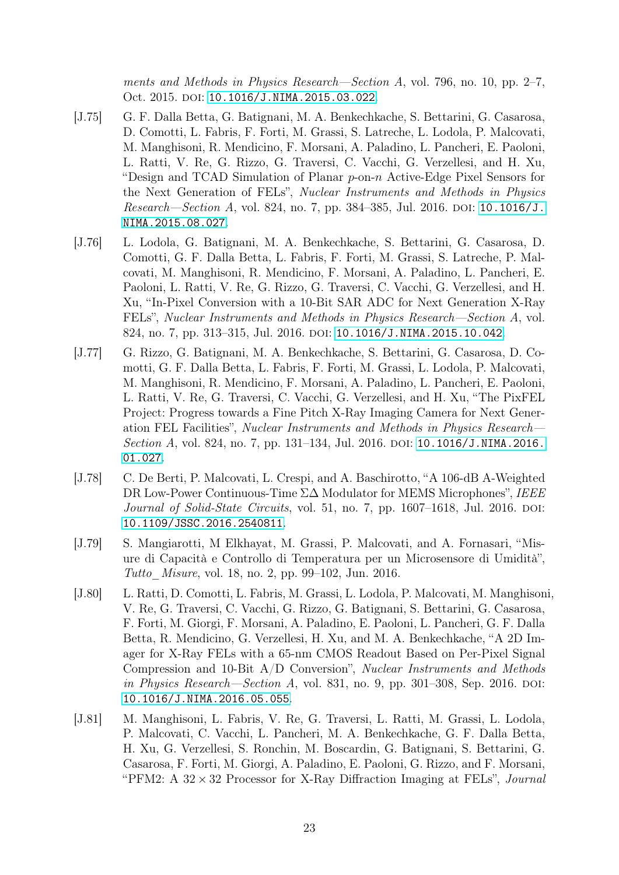ments and Methods in Physics Research—Section A, vol. 796, no. 10, pp. 2–7, Oct. 2015. DOI: [10.1016/J.NIMA.2015.03.022](https://doi.org/10.1016/J.NIMA.2015.03.022).

- <span id="page-22-0"></span>[J.75] G. F. Dalla Betta, G. Batignani, M. A. Benkechkache, S. Bettarini, G. Casarosa, D. Comotti, L. Fabris, F. Forti, M. Grassi, S. Latreche, L. Lodola, P. Malcovati, M. Manghisoni, R. Mendicino, F. Morsani, A. Paladino, L. Pancheri, E. Paoloni, L. Ratti, V. Re, G. Rizzo, G. Traversi, C. Vacchi, G. Verzellesi, and H. Xu, "Design and TCAD Simulation of Planar p-on-n Active-Edge Pixel Sensors for the Next Generation of FELs", Nuclear Instruments and Methods in Physics *Research—Section A*, vol. 824, no. 7, pp. 384–385, Jul. 2016. DOI: [10.1016/J.](https://doi.org/10.1016/J.NIMA.2015.08.027) [NIMA.2015.08.027](https://doi.org/10.1016/J.NIMA.2015.08.027).
- <span id="page-22-1"></span>[J.76] L. Lodola, G. Batignani, M. A. Benkechkache, S. Bettarini, G. Casarosa, D. Comotti, G. F. Dalla Betta, L. Fabris, F. Forti, M. Grassi, S. Latreche, P. Malcovati, M. Manghisoni, R. Mendicino, F. Morsani, A. Paladino, L. Pancheri, E. Paoloni, L. Ratti, V. Re, G. Rizzo, G. Traversi, C. Vacchi, G. Verzellesi, and H. Xu, "In-Pixel Conversion with a 10-Bit SAR ADC for Next Generation X-Ray FELs", Nuclear Instruments and Methods in Physics Research—Section A, vol. 824, no. 7, pp. 313–315, Jul. 2016. DOI: [10.1016/J.NIMA.2015.10.042](https://doi.org/10.1016/J.NIMA.2015.10.042).
- <span id="page-22-2"></span>[J.77] G. Rizzo, G. Batignani, M. A. Benkechkache, S. Bettarini, G. Casarosa, D. Comotti, G. F. Dalla Betta, L. Fabris, F. Forti, M. Grassi, L. Lodola, P. Malcovati, M. Manghisoni, R. Mendicino, F. Morsani, A. Paladino, L. Pancheri, E. Paoloni, L. Ratti, V. Re, G. Traversi, C. Vacchi, G. Verzellesi, and H. Xu, "The PixFEL Project: Progress towards a Fine Pitch X-Ray Imaging Camera for Next Generation FEL Facilities", Nuclear Instruments and Methods in Physics Research— Section A, vol. 824, no. 7, pp. 131–134, Jul. 2016. DOI: [10.1016/J.NIMA.2016.](https://doi.org/10.1016/J.NIMA.2016.01.027) [01.027](https://doi.org/10.1016/J.NIMA.2016.01.027).
- <span id="page-22-6"></span>[J.78] C. De Berti, P. Malcovati, L. Crespi, and A. Baschirotto, "A 106-dB A-Weighted DR Low-Power Continuous-Time  $\Sigma\Delta$  Modulator for MEMS Microphones", IEEE Journal of Solid-State Circuits, vol. 51, no. 7, pp.  $1607-1618$ , Jul. 2016. DOI: [10.1109/JSSC.2016.2540811](https://doi.org/10.1109/JSSC.2016.2540811).
- <span id="page-22-3"></span>[J.79] S. Mangiarotti, M Elkhayat, M. Grassi, P. Malcovati, and A. Fornasari, "Misure di Capacità e Controllo di Temperatura per un Microsensore di Umidità", Tutto\_Misure, vol. 18, no. 2, pp. 99–102, Jun. 2016.
- <span id="page-22-4"></span>[J.80] L. Ratti, D. Comotti, L. Fabris, M. Grassi, L. Lodola, P. Malcovati, M. Manghisoni, V. Re, G. Traversi, C. Vacchi, G. Rizzo, G. Batignani, S. Bettarini, G. Casarosa, F. Forti, M. Giorgi, F. Morsani, A. Paladino, E. Paoloni, L. Pancheri, G. F. Dalla Betta, R. Mendicino, G. Verzellesi, H. Xu, and M. A. Benkechkache, "A 2D Imager for X-Ray FELs with a 65-nm CMOS Readout Based on Per-Pixel Signal Compression and 10-Bit A/D Conversion", Nuclear Instruments and Methods in Physics Research—Section A, vol. 831, no. 9, pp. 301–308, Sep. 2016. DOI: [10.1016/J.NIMA.2016.05.055](https://doi.org/10.1016/J.NIMA.2016.05.055).
- <span id="page-22-5"></span>[J.81] M. Manghisoni, L. Fabris, V. Re, G. Traversi, L. Ratti, M. Grassi, L. Lodola, P. Malcovati, C. Vacchi, L. Pancheri, M. A. Benkechkache, G. F. Dalla Betta, H. Xu, G. Verzellesi, S. Ronchin, M. Boscardin, G. Batignani, S. Bettarini, G. Casarosa, F. Forti, M. Giorgi, A. Paladino, E. Paoloni, G. Rizzo, and F. Morsani, "PFM2: A  $32 \times 32$  Processor for X-Ray Diffraction Imaging at FELs", *Journal*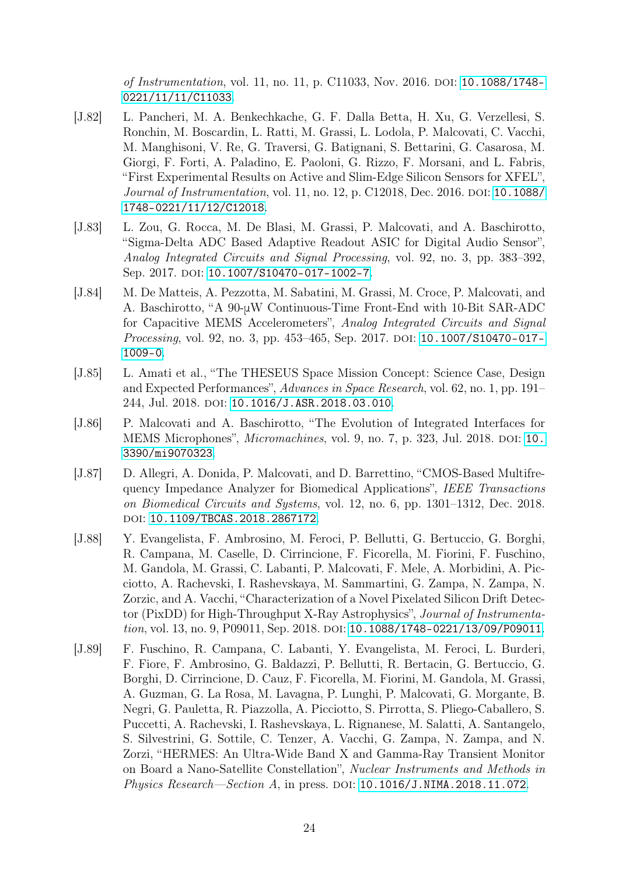of Instrumentation, vol. 11, no. 11, p. C11033, Nov. 2016. DOI: [10.1088/1748-](https://doi.org/10.1088/1748-0221/11/11/C11033) [0221/11/11/C11033](https://doi.org/10.1088/1748-0221/11/11/C11033).

- <span id="page-23-0"></span>[J.82] L. Pancheri, M. A. Benkechkache, G. F. Dalla Betta, H. Xu, G. Verzellesi, S. Ronchin, M. Boscardin, L. Ratti, M. Grassi, L. Lodola, P. Malcovati, C. Vacchi, M. Manghisoni, V. Re, G. Traversi, G. Batignani, S. Bettarini, G. Casarosa, M. Giorgi, F. Forti, A. Paladino, E. Paoloni, G. Rizzo, F. Morsani, and L. Fabris, "First Experimental Results on Active and Slim-Edge Silicon Sensors for XFEL", *Journal of Instrumentation, vol.* 11, no. 12, p. C12018, Dec. 2016. DOI: [10.1088/](https://doi.org/10.1088/1748-0221/11/12/C12018) [1748-0221/11/12/C12018](https://doi.org/10.1088/1748-0221/11/12/C12018).
- <span id="page-23-7"></span>[J.83] L. Zou, G. Rocca, M. De Blasi, M. Grassi, P. Malcovati, and A. Baschirotto, "Sigma-Delta ADC Based Adaptive Readout ASIC for Digital Audio Sensor", Analog Integrated Circuits and Signal Processing, vol. 92, no. 3, pp. 383–392, Sep. 2017. DOI: [10.1007/S10470-017-1002-7](https://doi.org/10.1007/S10470-017-1002-7).
- <span id="page-23-1"></span>[J.84] M. De Matteis, A. Pezzotta, M. Sabatini, M. Grassi, M. Croce, P. Malcovati, and A. Baschirotto, "A 90-μW Continuous-Time Front-End with 10-Bit SAR-ADC for Capacitive MEMS Accelerometers", Analog Integrated Circuits and Signal Processing, vol. 92, no. 3, pp. 453-465, Sep. 2017. DOI: [10.1007/S10470-017-](https://doi.org/10.1007/S10470-017-1009-0) [1009-0](https://doi.org/10.1007/S10470-017-1009-0).
- <span id="page-23-2"></span>[J.85] L. Amati et al., "The THESEUS Space Mission Concept: Science Case, Design and Expected Performances", Advances in Space Research, vol. 62, no. 1, pp. 191– 244, Jul. 2018. doi: [10.1016/J.ASR.2018.03.010](https://doi.org/10.1016/J.ASR.2018.03.010).
- <span id="page-23-3"></span>[J.86] P. Malcovati and A. Baschirotto, "The Evolution of Integrated Interfaces for MEMS Microphones", *Micromachines*, vol. 9, no. 7, p. 323, Jul. 2018. DOI: [10.](https://doi.org/10.3390/mi9070323) [3390/mi9070323](https://doi.org/10.3390/mi9070323).
- <span id="page-23-4"></span>[J.87] D. Allegri, A. Donida, P. Malcovati, and D. Barrettino, "CMOS-Based Multifrequency Impedance Analyzer for Biomedical Applications", IEEE Transactions on Biomedical Circuits and Systems, vol. 12, no. 6, pp. 1301–1312, Dec. 2018. doi: [10.1109/TBCAS.2018.2867172](https://doi.org/10.1109/TBCAS.2018.2867172).
- <span id="page-23-5"></span>[J.88] Y. Evangelista, F. Ambrosino, M. Feroci, P. Bellutti, G. Bertuccio, G. Borghi, R. Campana, M. Caselle, D. Cirrincione, F. Ficorella, M. Fiorini, F. Fuschino, M. Gandola, M. Grassi, C. Labanti, P. Malcovati, F. Mele, A. Morbidini, A. Picciotto, A. Rachevski, I. Rashevskaya, M. Sammartini, G. Zampa, N. Zampa, N. Zorzic, and A. Vacchi, "Characterization of a Novel Pixelated Silicon Drift Detector (PixDD) for High-Throughput X-Ray Astrophysics", Journal of Instrumenta- $tion, vol. 13, no. 9, P09011, Sep. 2018. DOI: 10.1088/1748-0221/13/09/P09011.$  $tion, vol. 13, no. 9, P09011, Sep. 2018. DOI: 10.1088/1748-0221/13/09/P09011.$  $tion, vol. 13, no. 9, P09011, Sep. 2018. DOI: 10.1088/1748-0221/13/09/P09011.$
- <span id="page-23-6"></span>[J.89] F. Fuschino, R. Campana, C. Labanti, Y. Evangelista, M. Feroci, L. Burderi, F. Fiore, F. Ambrosino, G. Baldazzi, P. Bellutti, R. Bertacin, G. Bertuccio, G. Borghi, D. Cirrincione, D. Cauz, F. Ficorella, M. Fiorini, M. Gandola, M. Grassi, A. Guzman, G. La Rosa, M. Lavagna, P. Lunghi, P. Malcovati, G. Morgante, B. Negri, G. Pauletta, R. Piazzolla, A. Picciotto, S. Pirrotta, S. Pliego-Caballero, S. Puccetti, A. Rachevski, I. Rashevskaya, L. Rignanese, M. Salatti, A. Santangelo, S. Silvestrini, G. Sottile, C. Tenzer, A. Vacchi, G. Zampa, N. Zampa, and N. Zorzi, "HERMES: An Ultra-Wide Band X and Gamma-Ray Transient Monitor on Board a Nano-Satellite Constellation", Nuclear Instruments and Methods in Physics Research—Section A, in press. DOI:  $10.1016/J$ .NIMA.2018.11.072.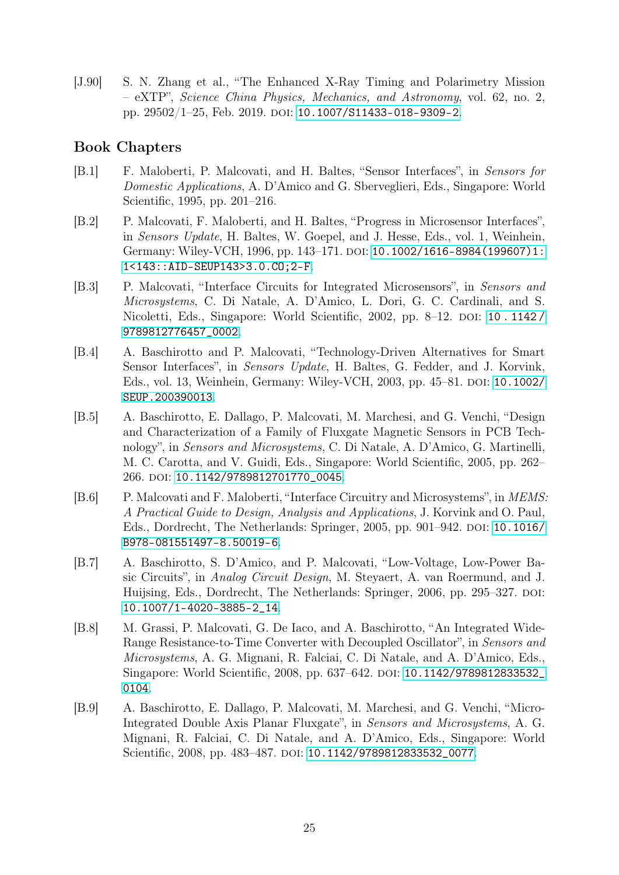<span id="page-24-8"></span>[J.90] S. N. Zhang et al., "The Enhanced X-Ray Timing and Polarimetry Mission – eXTP", Science China Physics, Mechanics, and Astronomy, vol. 62, no. 2, pp. 29502/1-25, Feb. 2019. doi: [10.1007/S11433-018-9309-2](https://doi.org/10.1007/S11433-018-9309-2).

### Book Chapters

- <span id="page-24-0"></span>[B.1] F. Maloberti, P. Malcovati, and H. Baltes, "Sensor Interfaces", in Sensors for Domestic Applications, A. D'Amico and G. Sberveglieri, Eds., Singapore: World Scientific, 1995, pp. 201–216.
- <span id="page-24-1"></span>[B.2] P. Malcovati, F. Maloberti, and H. Baltes, "Progress in Microsensor Interfaces", in Sensors Update, H. Baltes, W. Goepel, and J. Hesse, Eds., vol. 1, Weinhein, Germany: Wiley-VCH, 1996, pp. 143–171. DOI: [10.1002/1616-8984\(199607\)1:](https://doi.org/10.1002/1616-8984(199607)1:1<143::AID-SEUP143>3.0.CO;2-F) [1<143::AID-SEUP143>3.0.CO;2-F](https://doi.org/10.1002/1616-8984(199607)1:1<143::AID-SEUP143>3.0.CO;2-F).
- <span id="page-24-2"></span>[B.3] P. Malcovati, "Interface Circuits for Integrated Microsensors", in Sensors and Microsystems, C. Di Natale, A. D'Amico, L. Dori, G. C. Cardinali, and S. Nicoletti, Eds., Singapore: World Scientific, 2002, pp. 8–12. DOI: 10. 1142/ [9789812776457\\_0002](https://doi.org/10.1142/9789812776457_0002).
- <span id="page-24-3"></span>[B.4] A. Baschirotto and P. Malcovati, "Technology-Driven Alternatives for Smart Sensor Interfaces", in Sensors Update, H. Baltes, G. Fedder, and J. Korvink, Eds., vol. 13, Weinhein, Germany: Wiley-VCH, 2003, pp. 45–81. DOI: [10.1002/](https://doi.org/10.1002/SEUP.200390013) [SEUP.200390013](https://doi.org/10.1002/SEUP.200390013).
- <span id="page-24-4"></span>[B.5] A. Baschirotto, E. Dallago, P. Malcovati, M. Marchesi, and G. Venchi, "Design and Characterization of a Family of Fluxgate Magnetic Sensors in PCB Technology", in Sensors and Microsystems, C. Di Natale, A. D'Amico, G. Martinelli, M. C. Carotta, and V. Guidi, Eds., Singapore: World Scientific, 2005, pp. 262– 266. DOI: [10.1142/9789812701770\\_0045](https://doi.org/10.1142/9789812701770_0045).
- <span id="page-24-5"></span>[B.6] P. Malcovati and F. Maloberti, "Interface Circuitry and Microsystems", in MEMS: A Practical Guide to Design, Analysis and Applications, J. Korvink and O. Paul, Eds., Dordrecht, The Netherlands: Springer, 2005, pp. 901–942. DOI: [10.1016/](https://doi.org/10.1016/B978-081551497-8.50019-6) [B978-081551497-8.50019-6](https://doi.org/10.1016/B978-081551497-8.50019-6).
- <span id="page-24-9"></span>[B.7] A. Baschirotto, S. D'Amico, and P. Malcovati, "Low-Voltage, Low-Power Basic Circuits", in Analog Circuit Design, M. Steyaert, A. van Roermund, and J. Huijsing, Eds., Dordrecht, The Netherlands: Springer, 2006, pp. 295–327. poi: [10.1007/1-4020-3885-2\\_14](https://doi.org/10.1007/1-4020-3885-2_14).
- <span id="page-24-6"></span>[B.8] M. Grassi, P. Malcovati, G. De Iaco, and A. Baschirotto, "An Integrated Wide-Range Resistance-to-Time Converter with Decoupled Oscillator", in Sensors and Microsystems, A. G. Mignani, R. Falciai, C. Di Natale, and A. D'Amico, Eds., Singapore: World Scientific, 2008, pp. 637–642. doi: 10.1142/9789812833532 [0104](https://doi.org/10.1142/9789812833532_0104).
- <span id="page-24-7"></span>[B.9] A. Baschirotto, E. Dallago, P. Malcovati, M. Marchesi, and G. Venchi, "Micro-Integrated Double Axis Planar Fluxgate", in Sensors and Microsystems, A. G. Mignani, R. Falciai, C. Di Natale, and A. D'Amico, Eds., Singapore: World Scientific, 2008, pp. 483-487. DOI: [10.1142/9789812833532\\_0077](https://doi.org/10.1142/9789812833532_0077).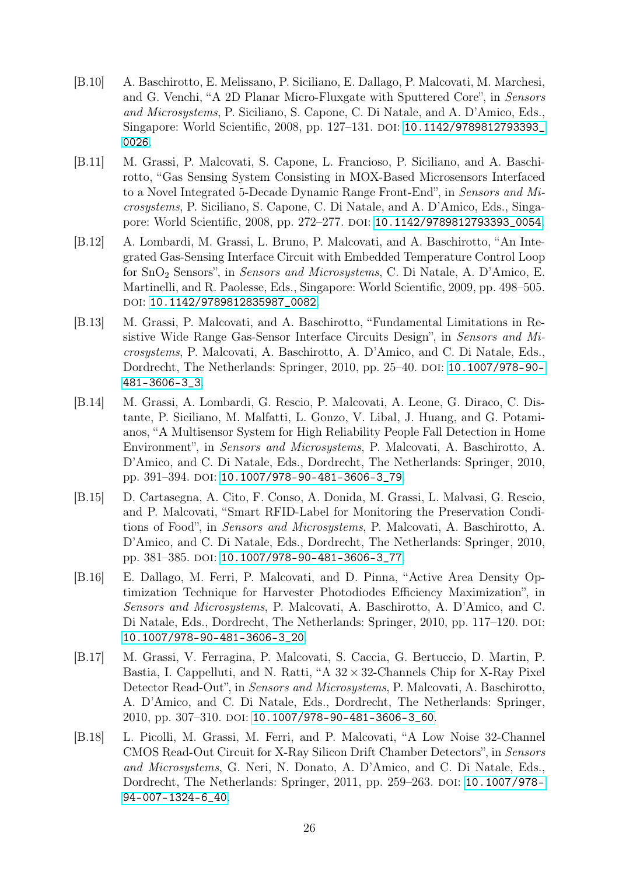- <span id="page-25-1"></span>[B.10] A. Baschirotto, E. Melissano, P. Siciliano, E. Dallago, P. Malcovati, M. Marchesi, and G. Venchi, "A 2D Planar Micro-Fluxgate with Sputtered Core", in Sensors and Microsystems, P. Siciliano, S. Capone, C. Di Natale, and A. D'Amico, Eds., Singapore: World Scientific, 2008, pp. 127–131. poi: 10.1142/9789812793393 [0026](https://doi.org/10.1142/9789812793393_0026).
- <span id="page-25-0"></span>[B.11] M. Grassi, P. Malcovati, S. Capone, L. Francioso, P. Siciliano, and A. Baschirotto, "Gas Sensing System Consisting in MOX-Based Microsensors Interfaced to a Novel Integrated 5-Decade Dynamic Range Front-End", in Sensors and Microsystems, P. Siciliano, S. Capone, C. Di Natale, and A. D'Amico, Eds., Singapore: World Scientific, 2008, pp. 272–277. doi: [10.1142/9789812793393\\_0054](https://doi.org/10.1142/9789812793393_0054).
- <span id="page-25-2"></span>[B.12] A. Lombardi, M. Grassi, L. Bruno, P. Malcovati, and A. Baschirotto, "An Integrated Gas-Sensing Interface Circuit with Embedded Temperature Control Loop for SnO<sup>2</sup> Sensors", in Sensors and Microsystems, C. Di Natale, A. D'Amico, E. Martinelli, and R. Paolesse, Eds., Singapore: World Scientific, 2009, pp. 498–505. doi: [10.1142/9789812835987\\_0082](https://doi.org/10.1142/9789812835987_0082).
- <span id="page-25-3"></span>[B.13] M. Grassi, P. Malcovati, and A. Baschirotto, "Fundamental Limitations in Resistive Wide Range Gas-Sensor Interface Circuits Design", in Sensors and Microsystems, P. Malcovati, A. Baschirotto, A. D'Amico, and C. Di Natale, Eds., Dordrecht, The Netherlands: Springer, 2010, pp. 25–40. doi: [10.1007/978-90-](https://doi.org/10.1007/978-90-481-3606-3_3) [481-3606-3\\_3](https://doi.org/10.1007/978-90-481-3606-3_3).
- <span id="page-25-4"></span>[B.14] M. Grassi, A. Lombardi, G. Rescio, P. Malcovati, A. Leone, G. Diraco, C. Distante, P. Siciliano, M. Malfatti, L. Gonzo, V. Libal, J. Huang, and G. Potamianos, "A Multisensor System for High Reliability People Fall Detection in Home Environment", in Sensors and Microsystems, P. Malcovati, A. Baschirotto, A. D'Amico, and C. Di Natale, Eds., Dordrecht, The Netherlands: Springer, 2010, pp. 391-394. doi: [10.1007/978-90-481-3606-3\\_79](https://doi.org/10.1007/978-90-481-3606-3_79).
- <span id="page-25-5"></span>[B.15] D. Cartasegna, A. Cito, F. Conso, A. Donida, M. Grassi, L. Malvasi, G. Rescio, and P. Malcovati, "Smart RFID-Label for Monitoring the Preservation Conditions of Food", in Sensors and Microsystems, P. Malcovati, A. Baschirotto, A. D'Amico, and C. Di Natale, Eds., Dordrecht, The Netherlands: Springer, 2010, pp. 381-385. doi: [10.1007/978-90-481-3606-3\\_77](https://doi.org/10.1007/978-90-481-3606-3_77).
- <span id="page-25-8"></span>[B.16] E. Dallago, M. Ferri, P. Malcovati, and D. Pinna, "Active Area Density Optimization Technique for Harvester Photodiodes Efficiency Maximization", in Sensors and Microsystems, P. Malcovati, A. Baschirotto, A. D'Amico, and C. Di Natale, Eds., Dordrecht, The Netherlands: Springer, 2010, pp. 117–120. DOI: [10.1007/978-90-481-3606-3\\_20](https://doi.org/10.1007/978-90-481-3606-3_20).
- <span id="page-25-6"></span>[B.17] M. Grassi, V. Ferragina, P. Malcovati, S. Caccia, G. Bertuccio, D. Martin, P. Bastia, I. Cappelluti, and N. Ratti, "A  $32 \times 32$ -Channels Chip for X-Ray Pixel Detector Read-Out", in Sensors and Microsystems, P. Malcovati, A. Baschirotto, A. D'Amico, and C. Di Natale, Eds., Dordrecht, The Netherlands: Springer, 2010, pp. 307-310. DOI: [10.1007/978-90-481-3606-3\\_60](https://doi.org/10.1007/978-90-481-3606-3_60).
- <span id="page-25-7"></span>[B.18] L. Picolli, M. Grassi, M. Ferri, and P. Malcovati, "A Low Noise 32-Channel CMOS Read-Out Circuit for X-Ray Silicon Drift Chamber Detectors", in Sensors and Microsystems, G. Neri, N. Donato, A. D'Amico, and C. Di Natale, Eds., Dordrecht, The Netherlands: Springer, 2011, pp. 259–263. DOI: [10.1007/978-](https://doi.org/10.1007/978-94-007-1324-6_40) [94-007-1324-6\\_40](https://doi.org/10.1007/978-94-007-1324-6_40).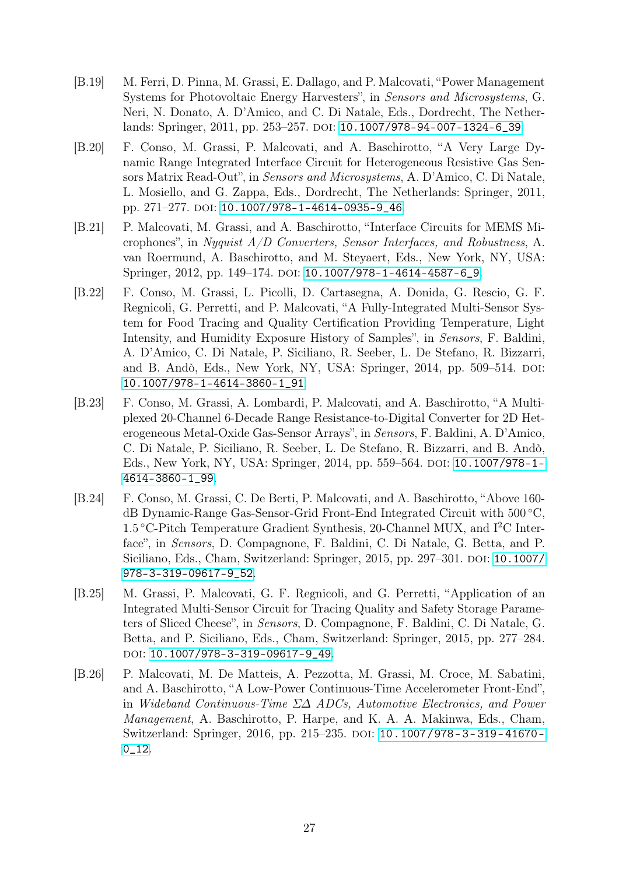- <span id="page-26-7"></span>[B.19] M. Ferri, D. Pinna, M. Grassi, E. Dallago, and P. Malcovati, "Power Management Systems for Photovoltaic Energy Harvesters", in Sensors and Microsystems, G. Neri, N. Donato, A. D'Amico, and C. Di Natale, Eds., Dordrecht, The Nether-lands: Springer, 2011, pp. 253-257. DOI: [10.1007/978-94-007-1324-6\\_39](https://doi.org/10.1007/978-94-007-1324-6_39).
- <span id="page-26-0"></span>[B.20] F. Conso, M. Grassi, P. Malcovati, and A. Baschirotto, "A Very Large Dynamic Range Integrated Interface Circuit for Heterogeneous Resistive Gas Sensors Matrix Read-Out", in Sensors and Microsystems, A. D'Amico, C. Di Natale, L. Mosiello, and G. Zappa, Eds., Dordrecht, The Netherlands: Springer, 2011, pp. 271-277. DOI: [10.1007/978-1-4614-0935-9\\_46](https://doi.org/10.1007/978-1-4614-0935-9_46).
- <span id="page-26-1"></span>[B.21] P. Malcovati, M. Grassi, and A. Baschirotto, "Interface Circuits for MEMS Microphones", in Nyquist  $A/D$  Converters, Sensor Interfaces, and Robustness, A. van Roermund, A. Baschirotto, and M. Steyaert, Eds., New York, NY, USA: Springer, 2012, pp. 149-174. DOI: [10.1007/978-1-4614-4587-6\\_9](https://doi.org/10.1007/978-1-4614-4587-6_9).
- <span id="page-26-2"></span>[B.22] F. Conso, M. Grassi, L. Picolli, D. Cartasegna, A. Donida, G. Rescio, G. F. Regnicoli, G. Perretti, and P. Malcovati, "A Fully-Integrated Multi-Sensor System for Food Tracing and Quality Certification Providing Temperature, Light Intensity, and Humidity Exposure History of Samples", in Sensors, F. Baldini, A. D'Amico, C. Di Natale, P. Siciliano, R. Seeber, L. De Stefano, R. Bizzarri, and B. Andò, Eds., New York, NY, USA: Springer, 2014, pp. 509–514. DOI: [10.1007/978-1-4614-3860-1\\_91](https://doi.org/10.1007/978-1-4614-3860-1_91).
- <span id="page-26-3"></span>[B.23] F. Conso, M. Grassi, A. Lombardi, P. Malcovati, and A. Baschirotto, "A Multiplexed 20-Channel 6-Decade Range Resistance-to-Digital Converter for 2D Heterogeneous Metal-Oxide Gas-Sensor Arrays", in Sensors, F. Baldini, A. D'Amico, C. Di Natale, P. Siciliano, R. Seeber, L. De Stefano, R. Bizzarri, and B. Andò, Eds., New York, NY, USA: Springer, 2014, pp. 559–564. DOI: [10.1007/978-1-](https://doi.org/10.1007/978-1-4614-3860-1_99) [4614-3860-1\\_99](https://doi.org/10.1007/978-1-4614-3860-1_99).
- <span id="page-26-4"></span>[B.24] F. Conso, M. Grassi, C. De Berti, P. Malcovati, and A. Baschirotto, "Above 160 dB Dynamic-Range Gas-Sensor-Grid Front-End Integrated Circuit with 500 ◦C, 1.5 ◦C-Pitch Temperature Gradient Synthesis, 20-Channel MUX, and I<sup>2</sup>C Interface", in Sensors, D. Compagnone, F. Baldini, C. Di Natale, G. Betta, and P. Siciliano, Eds., Cham, Switzerland: Springer, 2015, pp. 297–301. DOI: [10.1007/](https://doi.org/10.1007/978-3-319-09617-9_52) [978-3-319-09617-9\\_52](https://doi.org/10.1007/978-3-319-09617-9_52).
- <span id="page-26-5"></span>[B.25] M. Grassi, P. Malcovati, G. F. Regnicoli, and G. Perretti, "Application of an Integrated Multi-Sensor Circuit for Tracing Quality and Safety Storage Parameters of Sliced Cheese", in Sensors, D. Compagnone, F. Baldini, C. Di Natale, G. Betta, and P. Siciliano, Eds., Cham, Switzerland: Springer, 2015, pp. 277–284. doi: [10.1007/978-3-319-09617-9\\_49](https://doi.org/10.1007/978-3-319-09617-9_49).
- <span id="page-26-6"></span>[B.26] P. Malcovati, M. De Matteis, A. Pezzotta, M. Grassi, M. Croce, M. Sabatini, and A. Baschirotto, "A Low-Power Continuous-Time Accelerometer Front-End", in Wideband Continuous-Time  $\Sigma\Delta$  ADCs, Automotive Electronics, and Power Management, A. Baschirotto, P. Harpe, and K. A. A. Makinwa, Eds., Cham, Switzerland: Springer, 2016, pp. 215–235. DOI: 10.1007/978-3-319-41670-[0\\_12](https://doi.org/10.1007/978-3-319-41670-0_12).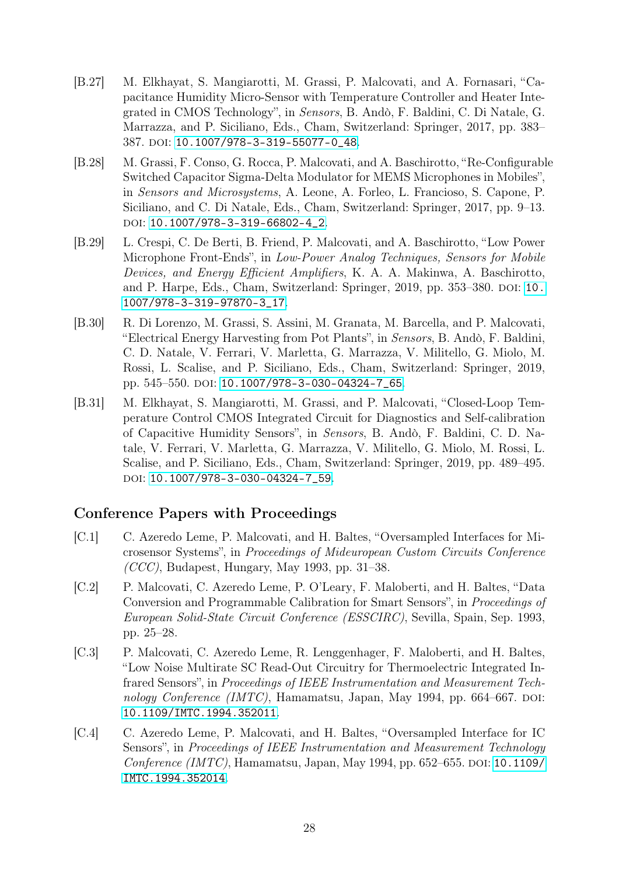- <span id="page-27-3"></span>[B.27] M. Elkhayat, S. Mangiarotti, M. Grassi, P. Malcovati, and A. Fornasari, "Capacitance Humidity Micro-Sensor with Temperature Controller and Heater Integrated in CMOS Technology", in Sensors, B. Andò, F. Baldini, C. Di Natale, G. Marrazza, and P. Siciliano, Eds., Cham, Switzerland: Springer, 2017, pp. 383– 387. doi: [10.1007/978-3-319-55077-0\\_48](https://doi.org/10.1007/978-3-319-55077-0_48).
- <span id="page-27-4"></span>[B.28] M. Grassi, F. Conso, G. Rocca, P. Malcovati, and A. Baschirotto, "Re-Configurable Switched Capacitor Sigma-Delta Modulator for MEMS Microphones in Mobiles", in Sensors and Microsystems, A. Leone, A. Forleo, L. Francioso, S. Capone, P. Siciliano, and C. Di Natale, Eds., Cham, Switzerland: Springer, 2017, pp. 9–13. DOI: [10.1007/978-3-319-66802-4\\_2](https://doi.org/10.1007/978-3-319-66802-4_2).
- <span id="page-27-5"></span>[B.29] L. Crespi, C. De Berti, B. Friend, P. Malcovati, and A. Baschirotto, "Low Power Microphone Front-Ends", in Low-Power Analog Techniques, Sensors for Mobile Devices, and Energy Efficient Amplifiers, K. A. A. Makinwa, A. Baschirotto, and P. Harpe, Eds., Cham, Switzerland: Springer, 2019, pp. 353–380. DOI: [10.](https://doi.org/10.1007/978-3-319-97870-3_17) [1007/978-3-319-97870-3\\_17](https://doi.org/10.1007/978-3-319-97870-3_17).
- <span id="page-27-6"></span>[B.30] R. Di Lorenzo, M. Grassi, S. Assini, M. Granata, M. Barcella, and P. Malcovati, "Electrical Energy Harvesting from Pot Plants", in Sensors, B. Andò, F. Baldini, C. D. Natale, V. Ferrari, V. Marletta, G. Marrazza, V. Militello, G. Miolo, M. Rossi, L. Scalise, and P. Siciliano, Eds., Cham, Switzerland: Springer, 2019, pp. 545-550. doi: [10.1007/978-3-030-04324-7\\_65](https://doi.org/10.1007/978-3-030-04324-7_65).
- <span id="page-27-7"></span>[B.31] M. Elkhayat, S. Mangiarotti, M. Grassi, and P. Malcovati, "Closed-Loop Temperature Control CMOS Integrated Circuit for Diagnostics and Self-calibration of Capacitive Humidity Sensors", in Sensors, B. Andò, F. Baldini, C. D. Natale, V. Ferrari, V. Marletta, G. Marrazza, V. Militello, G. Miolo, M. Rossi, L. Scalise, and P. Siciliano, Eds., Cham, Switzerland: Springer, 2019, pp. 489–495. DOI: [10.1007/978-3-030-04324-7\\_59](https://doi.org/10.1007/978-3-030-04324-7_59).

## Conference Papers with Proceedings

- <span id="page-27-0"></span>[C.1] C. Azeredo Leme, P. Malcovati, and H. Baltes, "Oversampled Interfaces for Microsensor Systems", in Proceedings of Mideuropean Custom Circuits Conference  $\langle CCC \rangle$ , Budapest, Hungary, May 1993, pp. 31–38.
- <span id="page-27-8"></span>[C.2] P. Malcovati, C. Azeredo Leme, P. O'Leary, F. Maloberti, and H. Baltes, "Data Conversion and Programmable Calibration for Smart Sensors", in Proceedings of European Solid-State Circuit Conference (ESSCIRC), Sevilla, Spain, Sep. 1993, pp. 25–28.
- <span id="page-27-1"></span>[C.3] P. Malcovati, C. Azeredo Leme, R. Lenggenhager, F. Maloberti, and H. Baltes, "Low Noise Multirate SC Read-Out Circuitry for Thermoelectric Integrated Infrared Sensors", in Proceedings of IEEE Instrumentation and Measurement Technology Conference (IMTC), Hamamatsu, Japan, May 1994, pp. 664–667. DOI: [10.1109/IMTC.1994.352011](https://doi.org/10.1109/IMTC.1994.352011).
- <span id="page-27-2"></span>[C.4] C. Azeredo Leme, P. Malcovati, and H. Baltes, "Oversampled Interface for IC Sensors", in Proceedings of IEEE Instrumentation and Measurement Technology Conference (IMTC), Hamamatsu, Japan, May 1994, pp. 652–655. DOI: [10.1109/](https://doi.org/10.1109/IMTC.1994.352014) [IMTC.1994.352014](https://doi.org/10.1109/IMTC.1994.352014).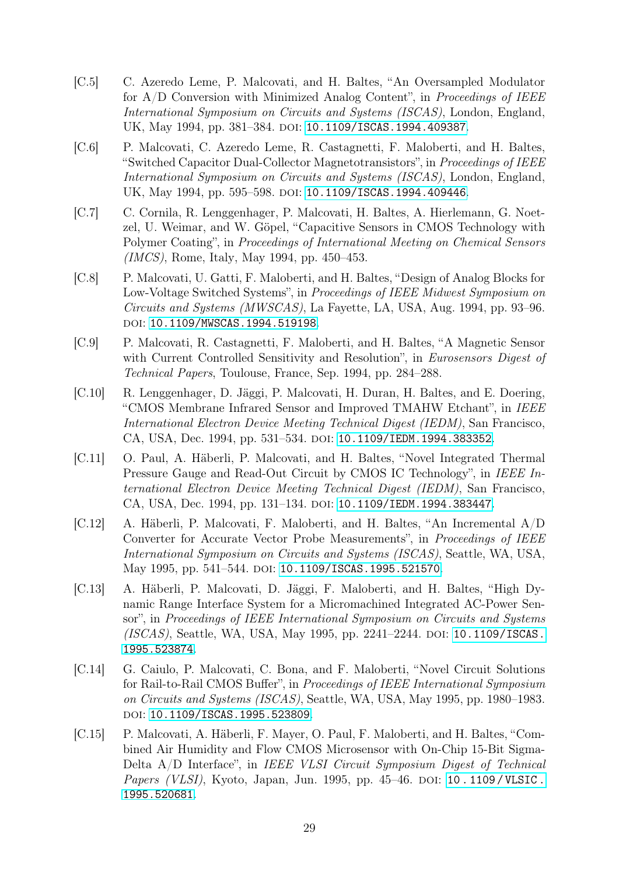- <span id="page-28-7"></span>[C.5] C. Azeredo Leme, P. Malcovati, and H. Baltes, "An Oversampled Modulator for  $A/D$  Conversion with Minimized Analog Content", in *Proceedings of IEEE* International Symposium on Circuits and Systems (ISCAS), London, England, UK, May 1994, pp. 381-384. DOI: [10.1109/ISCAS.1994.409387](https://doi.org/10.1109/ISCAS.1994.409387).
- <span id="page-28-0"></span>[C.6] P. Malcovati, C. Azeredo Leme, R. Castagnetti, F. Maloberti, and H. Baltes, "Switched Capacitor Dual-Collector Magnetotransistors", in Proceedings of IEEE International Symposium on Circuits and Systems (ISCAS), London, England, UK, May 1994, pp. 595-598. DOI: [10.1109/ISCAS.1994.409446](https://doi.org/10.1109/ISCAS.1994.409446).
- <span id="page-28-1"></span>[C.7] C. Cornila, R. Lenggenhager, P. Malcovati, H. Baltes, A. Hierlemann, G. Noetzel, U. Weimar, and W. Göpel, "Capacitive Sensors in CMOS Technology with Polymer Coating", in Proceedings of International Meeting on Chemical Sensors (IMCS), Rome, Italy, May 1994, pp. 450–453.
- <span id="page-28-9"></span>[C.8] P. Malcovati, U. Gatti, F. Maloberti, and H. Baltes, "Design of Analog Blocks for Low-Voltage Switched Systems", in Proceedings of IEEE Midwest Symposium on Circuits and Systems (MWSCAS), La Fayette, LA, USA, Aug. 1994, pp. 93–96. doi: [10.1109/MWSCAS.1994.519198](https://doi.org/10.1109/MWSCAS.1994.519198).
- <span id="page-28-2"></span>[C.9] P. Malcovati, R. Castagnetti, F. Maloberti, and H. Baltes, "A Magnetic Sensor with Current Controlled Sensitivity and Resolution", in *Eurosensors Digest of* Technical Papers, Toulouse, France, Sep. 1994, pp. 284–288.
- <span id="page-28-3"></span>[C.10] R. Lenggenhager, D. Jäggi, P. Malcovati, H. Duran, H. Baltes, and E. Doering, "CMOS Membrane Infrared Sensor and Improved TMAHW Etchant", in IEEE International Electron Device Meeting Technical Digest (IEDM), San Francisco, CA, USA, Dec. 1994, pp. 531-534. DOI: [10.1109/IEDM.1994.383352](https://doi.org/10.1109/IEDM.1994.383352).
- <span id="page-28-4"></span>[C.11] O. Paul, A. Häberli, P. Malcovati, and H. Baltes, "Novel Integrated Thermal Pressure Gauge and Read-Out Circuit by CMOS IC Technology", in IEEE International Electron Device Meeting Technical Digest (IEDM), San Francisco, CA, USA, Dec. 1994, pp. 131-134. DOI: [10.1109/IEDM.1994.383447](https://doi.org/10.1109/IEDM.1994.383447).
- <span id="page-28-8"></span>[C.12] A. Häberli, P. Malcovati, F. Maloberti, and H. Baltes, "An Incremental A/D Converter for Accurate Vector Probe Measurements", in Proceedings of IEEE International Symposium on Circuits and Systems (ISCAS), Seattle, WA, USA, May 1995, pp. 541-544. DOI: [10.1109/ISCAS.1995.521570](https://doi.org/10.1109/ISCAS.1995.521570).
- <span id="page-28-5"></span>[C.13] A. Häberli, P. Malcovati, D. Jäggi, F. Maloberti, and H. Baltes, "High Dynamic Range Interface System for a Micromachined Integrated AC-Power Sensor", in Proceedings of IEEE International Symposium on Circuits and Systems (ISCAS), Seattle, WA, USA, May 1995, pp. 2241–2244. doi: [10.1109/ISCAS.](https://doi.org/10.1109/ISCAS.1995.523874) [1995.523874](https://doi.org/10.1109/ISCAS.1995.523874).
- <span id="page-28-10"></span>[C.14] G. Caiulo, P. Malcovati, C. Bona, and F. Maloberti, "Novel Circuit Solutions for Rail-to-Rail CMOS Buffer", in Proceedings of IEEE International Symposium on Circuits and Systems (ISCAS), Seattle, WA, USA, May 1995, pp. 1980–1983. doi: [10.1109/ISCAS.1995.523809](https://doi.org/10.1109/ISCAS.1995.523809).
- <span id="page-28-6"></span>[C.15] P. Malcovati, A. Häberli, F. Mayer, O. Paul, F. Maloberti, and H. Baltes, "Combined Air Humidity and Flow CMOS Microsensor with On-Chip 15-Bit Sigma-Delta A/D Interface", in IEEE VLSI Circuit Symposium Digest of Technical *Papers (VLSI)*, Kyoto, Japan, Jun. 1995, pp. 45–46. DOI: 10. 1109 / VLSIC. [1995.520681](https://doi.org/10.1109/VLSIC.1995.520681).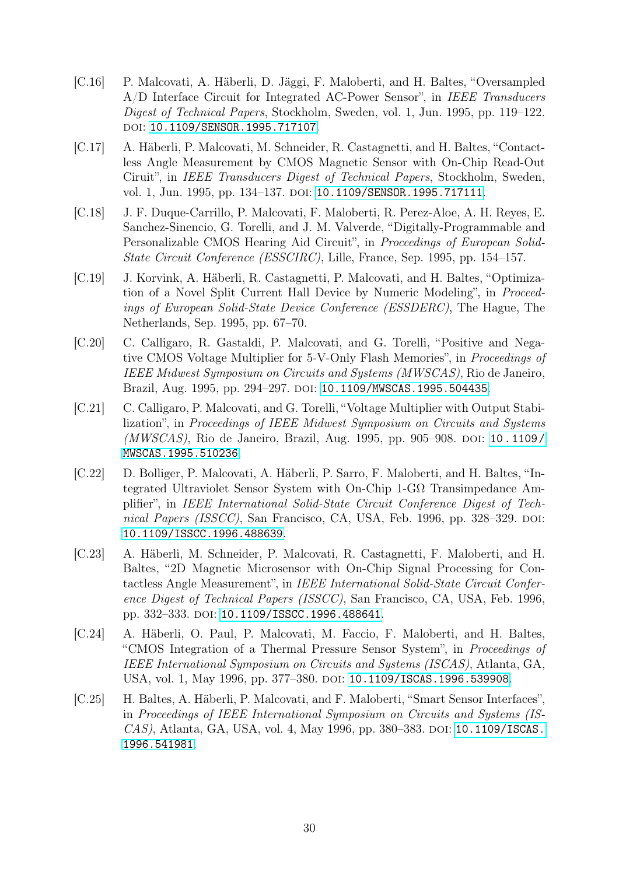- <span id="page-29-0"></span>[C.16] P. Malcovati, A. Häberli, D. Jäggi, F. Maloberti, and H. Baltes, "Oversampled A/D Interface Circuit for Integrated AC-Power Sensor", in IEEE Transducers Digest of Technical Papers, Stockholm, Sweden, vol. 1, Jun. 1995, pp. 119–122. doi: [10.1109/SENSOR.1995.717107](https://doi.org/10.1109/SENSOR.1995.717107).
- <span id="page-29-1"></span>[C.17] A. Häberli, P. Malcovati, M. Schneider, R. Castagnetti, and H. Baltes, "Contactless Angle Measurement by CMOS Magnetic Sensor with On-Chip Read-Out Ciruit", in IEEE Transducers Digest of Technical Papers, Stockholm, Sweden, vol. 1, Jun. 1995, pp. 134-137. DOI: [10.1109/SENSOR.1995.717111](https://doi.org/10.1109/SENSOR.1995.717111).
- <span id="page-29-7"></span>[C.18] J. F. Duque-Carrillo, P. Malcovati, F. Maloberti, R. Perez-Aloe, A. H. Reyes, E. Sanchez-Sinencio, G. Torelli, and J. M. Valverde, "Digitally-Programmable and Personalizable CMOS Hearing Aid Circuit", in Proceedings of European Solid-State Circuit Conference (ESSCIRC), Lille, France, Sep. 1995, pp. 154–157.
- <span id="page-29-2"></span>[C.19] J. Korvink, A. Häberli, R. Castagnetti, P. Malcovati, and H. Baltes, "Optimization of a Novel Split Current Hall Device by Numeric Modeling", in Proceedings of European Solid-State Device Conference (ESSDERC), The Hague, The Netherlands, Sep. 1995, pp. 67–70.
- <span id="page-29-9"></span>[C.20] C. Calligaro, R. Gastaldi, P. Malcovati, and G. Torelli, "Positive and Negative CMOS Voltage Multiplier for 5-V-Only Flash Memories", in Proceedings of IEEE Midwest Symposium on Circuits and Systems (MWSCAS), Rio de Janeiro, Brazil, Aug. 1995, pp. 294-297. DOI: [10.1109/MWSCAS.1995.504435](https://doi.org/10.1109/MWSCAS.1995.504435).
- <span id="page-29-8"></span>[C.21] C. Calligaro, P. Malcovati, and G. Torelli, "Voltage Multiplier with Output Stabilization", in Proceedings of IEEE Midwest Symposium on Circuits and Systems  $(MWSCAS)$ , Rio de Janeiro, Brazil, Aug. 1995, pp. 905–908. DOI: [10.1109/](https://doi.org/10.1109/MWSCAS.1995.510236) [MWSCAS.1995.510236](https://doi.org/10.1109/MWSCAS.1995.510236).
- <span id="page-29-3"></span>[C.22] D. Bolliger, P. Malcovati, A. Häberli, P. Sarro, F. Maloberti, and H. Baltes, "Integrated Ultraviolet Sensor System with On-Chip  $1-\text{G}\Omega$  Transimpedance Amplifier", in IEEE International Solid-State Circuit Conference Digest of Technical Papers (ISSCC), San Francisco, CA, USA, Feb. 1996, pp. 328–329. DOI: [10.1109/ISSCC.1996.488639](https://doi.org/10.1109/ISSCC.1996.488639).
- <span id="page-29-4"></span>[C.23] A. Häberli, M. Schneider, P. Malcovati, R. Castagnetti, F. Maloberti, and H. Baltes, "2D Magnetic Microsensor with On-Chip Signal Processing for Contactless Angle Measurement", in IEEE International Solid-State Circuit Conference Digest of Technical Papers (ISSCC), San Francisco, CA, USA, Feb. 1996, pp. 332-333. DOI: [10.1109/ISSCC.1996.488641](https://doi.org/10.1109/ISSCC.1996.488641).
- <span id="page-29-5"></span>[C.24] A. Häberli, O. Paul, P. Malcovati, M. Faccio, F. Maloberti, and H. Baltes, "CMOS Integration of a Thermal Pressure Sensor System", in Proceedings of IEEE International Symposium on Circuits and Systems (ISCAS), Atlanta, GA, USA, vol. 1, May 1996, pp. 377-380. DOI: [10.1109/ISCAS.1996.539908](https://doi.org/10.1109/ISCAS.1996.539908).
- <span id="page-29-6"></span>[C.25] H. Baltes, A. Häberli, P. Malcovati, and F. Maloberti, "Smart Sensor Interfaces", in Proceedings of IEEE International Symposium on Circuits and Systems (IS-CAS), Atlanta, GA, USA, vol. 4, May 1996, pp. 380–383. DOI: [10.1109/ISCAS.](https://doi.org/10.1109/ISCAS.1996.541981) [1996.541981](https://doi.org/10.1109/ISCAS.1996.541981).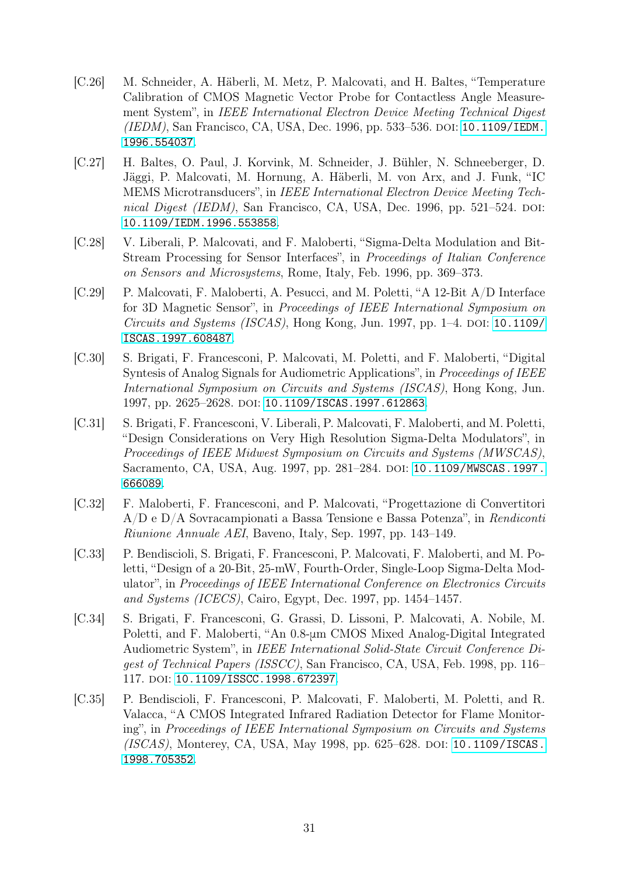- <span id="page-30-0"></span>[C.26] M. Schneider, A. Häberli, M. Metz, P. Malcovati, and H. Baltes, "Temperature Calibration of CMOS Magnetic Vector Probe for Contactless Angle Measurement System", in IEEE International Electron Device Meeting Technical Digest (IEDM), San Francisco, CA, USA, Dec. 1996, pp. 533–536. DOI: [10.1109/IEDM.](https://doi.org/10.1109/IEDM.1996.554037) [1996.554037](https://doi.org/10.1109/IEDM.1996.554037).
- <span id="page-30-1"></span>[C.27] H. Baltes, O. Paul, J. Korvink, M. Schneider, J. Bühler, N. Schneeberger, D. Jäggi, P. Malcovati, M. Hornung, A. Häberli, M. von Arx, and J. Funk, "IC MEMS Microtransducers", in IEEE International Electron Device Meeting Technical Digest (IEDM), San Francisco, CA, USA, Dec. 1996, pp.  $521-524$ . DOI: [10.1109/IEDM.1996.553858](https://doi.org/10.1109/IEDM.1996.553858).
- <span id="page-30-4"></span>[C.28] V. Liberali, P. Malcovati, and F. Maloberti, "Sigma-Delta Modulation and Bit-Stream Processing for Sensor Interfaces", in Proceedings of Italian Conference on Sensors and Microsystems, Rome, Italy, Feb. 1996, pp. 369–373.
- <span id="page-30-2"></span>[C.29] P. Malcovati, F. Maloberti, A. Pesucci, and M. Poletti, "A 12-Bit A/D Interface for 3D Magnetic Sensor", in Proceedings of IEEE International Symposium on Circuits and Systems (ISCAS), Hong Kong, Jun. 1997, pp. 1–4. DOI: [10.1109/](https://doi.org/10.1109/ISCAS.1997.608487) [ISCAS.1997.608487](https://doi.org/10.1109/ISCAS.1997.608487).
- <span id="page-30-8"></span>[C.30] S. Brigati, F. Francesconi, P. Malcovati, M. Poletti, and F. Maloberti, "Digital Syntesis of Analog Signals for Audiometric Applications", in Proceedings of IEEE International Symposium on Circuits and Systems (ISCAS), Hong Kong, Jun. 1997, pp. 2625-2628. DOI: [10.1109/ISCAS.1997.612863](https://doi.org/10.1109/ISCAS.1997.612863).
- <span id="page-30-5"></span>[C.31] S. Brigati, F. Francesconi, V. Liberali, P. Malcovati, F. Maloberti, and M. Poletti, "Design Considerations on Very High Resolution Sigma-Delta Modulators", in Proceedings of IEEE Midwest Symposium on Circuits and Systems (MWSCAS), Sacramento, CA, USA, Aug. 1997, pp. 281-284. DOI: [10.1109/MWSCAS.1997.](https://doi.org/10.1109/MWSCAS.1997.666089) [666089](https://doi.org/10.1109/MWSCAS.1997.666089).
- <span id="page-30-6"></span>[C.32] F. Maloberti, F. Francesconi, and P. Malcovati, "Progettazione di Convertitori A/D e D/A Sovracampionati a Bassa Tensione e Bassa Potenza", in Rendiconti Riunione Annuale AEI, Baveno, Italy, Sep. 1997, pp. 143–149.
- <span id="page-30-7"></span>[C.33] P. Bendiscioli, S. Brigati, F. Francesconi, P. Malcovati, F. Maloberti, and M. Poletti, "Design of a 20-Bit, 25-mW, Fourth-Order, Single-Loop Sigma-Delta Modulator", in Proceedings of IEEE International Conference on Electronics Circuits and Systems (ICECS), Cairo, Egypt, Dec. 1997, pp. 1454–1457.
- <span id="page-30-9"></span>[C.34] S. Brigati, F. Francesconi, G. Grassi, D. Lissoni, P. Malcovati, A. Nobile, M. Poletti, and F. Maloberti, "An 0.8-μm CMOS Mixed Analog-Digital Integrated Audiometric System", in IEEE International Solid-State Circuit Conference Digest of Technical Papers (ISSCC), San Francisco, CA, USA, Feb. 1998, pp. 116– 117. doi: [10.1109/ISSCC.1998.672397](https://doi.org/10.1109/ISSCC.1998.672397).
- <span id="page-30-3"></span>[C.35] P. Bendiscioli, F. Francesconi, P. Malcovati, F. Maloberti, M. Poletti, and R. Valacca, "A CMOS Integrated Infrared Radiation Detector for Flame Monitoring", in Proceedings of IEEE International Symposium on Circuits and Systems  $(ISCAS)$ , Monterey, CA, USA, May 1998, pp. 625–628. DOI: [10.1109/ISCAS.](https://doi.org/10.1109/ISCAS.1998.705352) [1998.705352](https://doi.org/10.1109/ISCAS.1998.705352).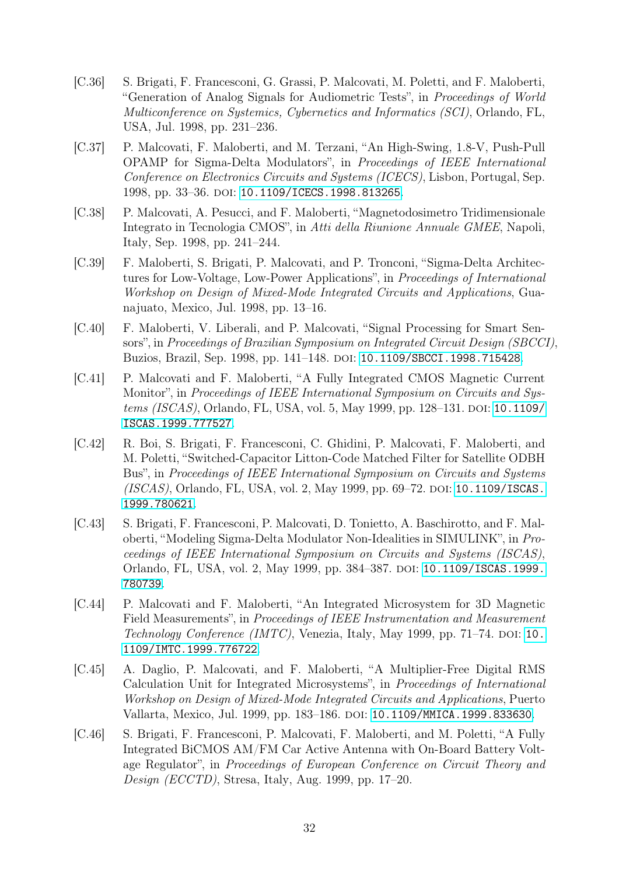- <span id="page-31-6"></span>[C.36] S. Brigati, F. Francesconi, G. Grassi, P. Malcovati, M. Poletti, and F. Maloberti, "Generation of Analog Signals for Audiometric Tests", in Proceedings of World Multiconference on Systemics, Cybernetics and Informatics (SCI), Orlando, FL, USA, Jul. 1998, pp. 231–236.
- <span id="page-31-7"></span>[C.37] P. Malcovati, F. Maloberti, and M. Terzani, "An High-Swing, 1.8-V, Push-Pull OPAMP for Sigma-Delta Modulators", in Proceedings of IEEE International Conference on Electronics Circuits and Systems (ICECS), Lisbon, Portugal, Sep. 1998, pp. 33-36. DOI: [10.1109/ICECS.1998.813265](https://doi.org/10.1109/ICECS.1998.813265).
- <span id="page-31-0"></span>[C.38] P. Malcovati, A. Pesucci, and F. Maloberti, "Magnetodosimetro Tridimensionale Integrato in Tecnologia CMOS", in Atti della Riunione Annuale GMEE, Napoli, Italy, Sep. 1998, pp. 241–244.
- <span id="page-31-4"></span>[C.39] F. Maloberti, S. Brigati, P. Malcovati, and P. Tronconi, "Sigma-Delta Architectures for Low-Voltage, Low-Power Applications", in Proceedings of International Workshop on Design of Mixed-Mode Integrated Circuits and Applications, Guanajuato, Mexico, Jul. 1998, pp. 13–16.
- <span id="page-31-1"></span>[C.40] F. Maloberti, V. Liberali, and P. Malcovati, "Signal Processing for Smart Sensors", in Proceedings of Brazilian Symposium on Integrated Circuit Design (SBCCI), Buzios, Brazil, Sep. 1998, pp. 141–148. doi: [10.1109/SBCCI.1998.715428](https://doi.org/10.1109/SBCCI.1998.715428).
- <span id="page-31-2"></span>[C.41] P. Malcovati and F. Maloberti, "A Fully Integrated CMOS Magnetic Current Monitor", in Proceedings of IEEE International Symposium on Circuits and Sys-tems (ISCAS), Orlando, FL, USA, vol. 5, May 1999, pp. 128–131. DOI: [10.1109/](https://doi.org/10.1109/ISCAS.1999.777527) [ISCAS.1999.777527](https://doi.org/10.1109/ISCAS.1999.777527).
- <span id="page-31-8"></span>[C.42] R. Boi, S. Brigati, F. Francesconi, C. Ghidini, P. Malcovati, F. Maloberti, and M. Poletti, "Switched-Capacitor Litton-Code Matched Filter for Satellite ODBH Bus", in Proceedings of IEEE International Symposium on Circuits and Systems  $(ISCAS)$ , Orlando, FL, USA, vol. 2, May 1999, pp. 69–72. doi: [10.1109/ISCAS.](https://doi.org/10.1109/ISCAS.1999.780621) [1999.780621](https://doi.org/10.1109/ISCAS.1999.780621).
- <span id="page-31-5"></span>[C.43] S. Brigati, F. Francesconi, P. Malcovati, D. Tonietto, A. Baschirotto, and F. Maloberti, "Modeling Sigma-Delta Modulator Non-Idealities in SIMULINK", in Proceedings of IEEE International Symposium on Circuits and Systems (ISCAS), Orlando, FL, USA, vol. 2, May 1999, pp. 384–387. doi: [10.1109/ISCAS.1999.](https://doi.org/10.1109/ISCAS.1999.780739) [780739](https://doi.org/10.1109/ISCAS.1999.780739).
- <span id="page-31-3"></span>[C.44] P. Malcovati and F. Maloberti, "An Integrated Microsystem for 3D Magnetic Field Measurements", in Proceedings of IEEE Instrumentation and Measurement Technology Conference (IMTC), Venezia, Italy, May 1999, pp. 71–74. DOI: [10.](https://doi.org/10.1109/IMTC.1999.776722) [1109/IMTC.1999.776722](https://doi.org/10.1109/IMTC.1999.776722).
- <span id="page-31-9"></span>[C.45] A. Daglio, P. Malcovati, and F. Maloberti, "A Multiplier-Free Digital RMS Calculation Unit for Integrated Microsystems", in Proceedings of International Workshop on Design of Mixed-Mode Integrated Circuits and Applications, Puerto Vallarta, Mexico, Jul. 1999, pp. 183–186. doi: [10.1109/MMICA.1999.833630](https://doi.org/10.1109/MMICA.1999.833630).
- <span id="page-31-10"></span>[C.46] S. Brigati, F. Francesconi, P. Malcovati, F. Maloberti, and M. Poletti, "A Fully Integrated BiCMOS AM/FM Car Active Antenna with On-Board Battery Voltage Regulator", in Proceedings of European Conference on Circuit Theory and Design (ECCTD), Stresa, Italy, Aug. 1999, pp. 17–20.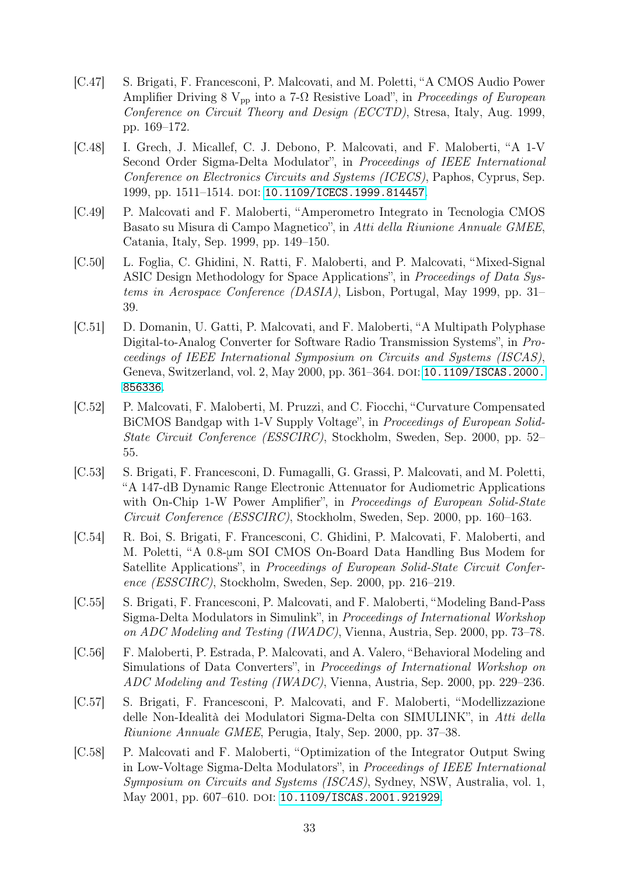- <span id="page-32-7"></span>[C.47] S. Brigati, F. Francesconi, P. Malcovati, and M. Poletti, "A CMOS Audio Power Amplifier Driving 8  $V_{\text{pp}}$  into a 7- $\Omega$  Resistive Load", in Proceedings of European Conference on Circuit Theory and Design (ECCTD), Stresa, Italy, Aug. 1999, pp. 169–172.
- <span id="page-32-1"></span>[C.48] I. Grech, J. Micallef, C. J. Debono, P. Malcovati, and F. Maloberti, "A 1-V Second Order Sigma-Delta Modulator", in Proceedings of IEEE International Conference on Electronics Circuits and Systems (ICECS), Paphos, Cyprus, Sep. 1999, pp. 1511–1514. DOI: [10.1109/ICECS.1999.814457](https://doi.org/10.1109/ICECS.1999.814457).
- <span id="page-32-0"></span>[C.49] P. Malcovati and F. Maloberti, "Amperometro Integrato in Tecnologia CMOS Basato su Misura di Campo Magnetico", in Atti della Riunione Annuale GMEE, Catania, Italy, Sep. 1999, pp. 149–150.
- <span id="page-32-11"></span>[C.50] L. Foglia, C. Ghidini, N. Ratti, F. Maloberti, and P. Malcovati, "Mixed-Signal ASIC Design Methodology for Space Applications", in Proceedings of Data Systems in Aerospace Conference (DASIA), Lisbon, Portugal, May 1999, pp. 31– 39.
- <span id="page-32-2"></span>[C.51] D. Domanin, U. Gatti, P. Malcovati, and F. Maloberti, "A Multipath Polyphase Digital-to-Analog Converter for Software Radio Transmission Systems", in Proceedings of IEEE International Symposium on Circuits and Systems (ISCAS), Geneva, Switzerland, vol. 2, May 2000, pp. 361–364. DOI: 10.1109/ISCAS. 2000. [856336](https://doi.org/10.1109/ISCAS.2000.856336).
- <span id="page-32-8"></span>[C.52] P. Malcovati, F. Maloberti, M. Pruzzi, and C. Fiocchi, "Curvature Compensated BiCMOS Bandgap with 1-V Supply Voltage", in Proceedings of European Solid-State Circuit Conference (ESSCIRC), Stockholm, Sweden, Sep. 2000, pp. 52– 55.
- <span id="page-32-9"></span>[C.53] S. Brigati, F. Francesconi, D. Fumagalli, G. Grassi, P. Malcovati, and M. Poletti, "A 147-dB Dynamic Range Electronic Attenuator for Audiometric Applications with On-Chip 1-W Power Amplifier", in Proceedings of European Solid-State Circuit Conference (ESSCIRC), Stockholm, Sweden, Sep. 2000, pp. 160–163.
- <span id="page-32-10"></span>[C.54] R. Boi, S. Brigati, F. Francesconi, C. Ghidini, P. Malcovati, F. Maloberti, and M. Poletti, "A 0.8-μm SOI CMOS On-Board Data Handling Bus Modem for Satellite Applications", in Proceedings of European Solid-State Circuit Conference (ESSCIRC), Stockholm, Sweden, Sep. 2000, pp. 216–219.
- <span id="page-32-3"></span>[C.55] S. Brigati, F. Francesconi, P. Malcovati, and F. Maloberti, "Modeling Band-Pass Sigma-Delta Modulators in Simulink", in Proceedings of International Workshop on ADC Modeling and Testing (IWADC), Vienna, Austria, Sep. 2000, pp. 73–78.
- <span id="page-32-4"></span>[C.56] F. Maloberti, P. Estrada, P. Malcovati, and A. Valero, "Behavioral Modeling and Simulations of Data Converters", in Proceedings of International Workshop on ADC Modeling and Testing (IWADC), Vienna, Austria, Sep. 2000, pp. 229–236.
- <span id="page-32-5"></span>[C.57] S. Brigati, F. Francesconi, P. Malcovati, and F. Maloberti, "Modellizzazione delle Non-Idealità dei Modulatori Sigma-Delta con SIMULINK", in Atti della Riunione Annuale GMEE, Perugia, Italy, Sep. 2000, pp. 37–38.
- <span id="page-32-6"></span>[C.58] P. Malcovati and F. Maloberti, "Optimization of the Integrator Output Swing in Low-Voltage Sigma-Delta Modulators", in Proceedings of IEEE International Symposium on Circuits and Systems (ISCAS), Sydney, NSW, Australia, vol. 1, May 2001, pp. 607-610. DOI: [10.1109/ISCAS.2001.921929](https://doi.org/10.1109/ISCAS.2001.921929).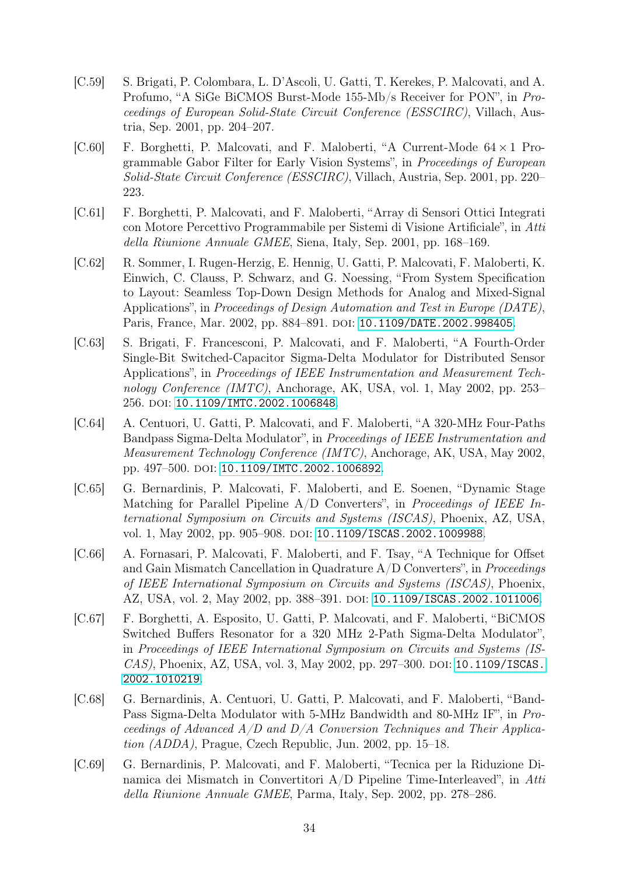- <span id="page-33-8"></span>[C.59] S. Brigati, P. Colombara, L. D'Ascoli, U. Gatti, T. Kerekes, P. Malcovati, and A. Profumo, "A SiGe BiCMOS Burst-Mode 155-Mb/s Receiver for PON", in Proceedings of European Solid-State Circuit Conference (ESSCIRC), Villach, Austria, Sep. 2001, pp. 204–207.
- <span id="page-33-0"></span>[C.60] F. Borghetti, P. Malcovati, and F. Maloberti, "A Current-Mode  $64 \times 1$  Programmable Gabor Filter for Early Vision Systems", in Proceedings of European Solid-State Circuit Conference (ESSCIRC), Villach, Austria, Sep. 2001, pp. 220– 223.
- <span id="page-33-1"></span>[C.61] F. Borghetti, P. Malcovati, and F. Maloberti, "Array di Sensori Ottici Integrati con Motore Percettivo Programmabile per Sistemi di Visione Artificiale", in Atti della Riunione Annuale GMEE, Siena, Italy, Sep. 2001, pp. 168–169.
- <span id="page-33-9"></span>[C.62] R. Sommer, I. Rugen-Herzig, E. Hennig, U. Gatti, P. Malcovati, F. Maloberti, K. Einwich, C. Clauss, P. Schwarz, and G. Noessing, "From System Specification to Layout: Seamless Top-Down Design Methods for Analog and Mixed-Signal Applications", in Proceedings of Design Automation and Test in Europe (DATE), Paris, France, Mar. 2002, pp. 884-891. DOI: [10.1109/DATE.2002.998405](https://doi.org/10.1109/DATE.2002.998405).
- <span id="page-33-2"></span>[C.63] S. Brigati, F. Francesconi, P. Malcovati, and F. Maloberti, "A Fourth-Order Single-Bit Switched-Capacitor Sigma-Delta Modulator for Distributed Sensor Applications", in Proceedings of IEEE Instrumentation and Measurement Technology Conference (IMTC), Anchorage, AK, USA, vol. 1, May 2002, pp. 253– 256. doi: [10.1109/IMTC.2002.1006848](https://doi.org/10.1109/IMTC.2002.1006848).
- <span id="page-33-7"></span>[C.64] A. Centuori, U. Gatti, P. Malcovati, and F. Maloberti, "A 320-MHz Four-Paths Bandpass Sigma-Delta Modulator", in Proceedings of IEEE Instrumentation and Measurement Technology Conference (IMTC), Anchorage, AK, USA, May 2002, pp. 497-500. doi: [10.1109/IMTC.2002.1006892](https://doi.org/10.1109/IMTC.2002.1006892).
- <span id="page-33-3"></span>[C.65] G. Bernardinis, P. Malcovati, F. Maloberti, and E. Soenen, "Dynamic Stage Matching for Parallel Pipeline  $A/D$  Converters", in *Proceedings of IEEE In*ternational Symposium on Circuits and Systems (ISCAS), Phoenix, AZ, USA, vol. 1, May 2002, pp. 905-908. DOI: [10.1109/ISCAS.2002.1009988](https://doi.org/10.1109/ISCAS.2002.1009988).
- <span id="page-33-4"></span>[C.66] A. Fornasari, P. Malcovati, F. Maloberti, and F. Tsay, "A Technique for Offset and Gain Mismatch Cancellation in Quadrature  $A/D$  Converters", in *Proceedings* of IEEE International Symposium on Circuits and Systems (ISCAS), Phoenix, AZ, USA, vol. 2, May 2002, pp. 388-391. DOI: [10.1109/ISCAS.2002.1011006](https://doi.org/10.1109/ISCAS.2002.1011006).
- <span id="page-33-10"></span>[C.67] F. Borghetti, A. Esposito, U. Gatti, P. Malcovati, and F. Maloberti, "BiCMOS Switched Buffers Resonator for a 320 MHz 2-Path Sigma-Delta Modulator", in Proceedings of IEEE International Symposium on Circuits and Systems (IS-CAS), Phoenix, AZ, USA, vol. 3, May 2002, pp. 297-300. DOI: [10.1109/ISCAS.](https://doi.org/10.1109/ISCAS.2002.1010219) [2002.1010219](https://doi.org/10.1109/ISCAS.2002.1010219).
- <span id="page-33-5"></span>[C.68] G. Bernardinis, A. Centuori, U. Gatti, P. Malcovati, and F. Maloberti, "Band-Pass Sigma-Delta Modulator with 5-MHz Bandwidth and 80-MHz IF", in Proceedings of Advanced  $A/D$  and  $D/A$  Conversion Techniques and Their Application (ADDA), Prague, Czech Republic, Jun. 2002, pp. 15–18.
- <span id="page-33-6"></span>[C.69] G. Bernardinis, P. Malcovati, and F. Maloberti, "Tecnica per la Riduzione Dinamica dei Mismatch in Convertitori A/D Pipeline Time-Interleaved", in Atti della Riunione Annuale GMEE, Parma, Italy, Sep. 2002, pp. 278–286.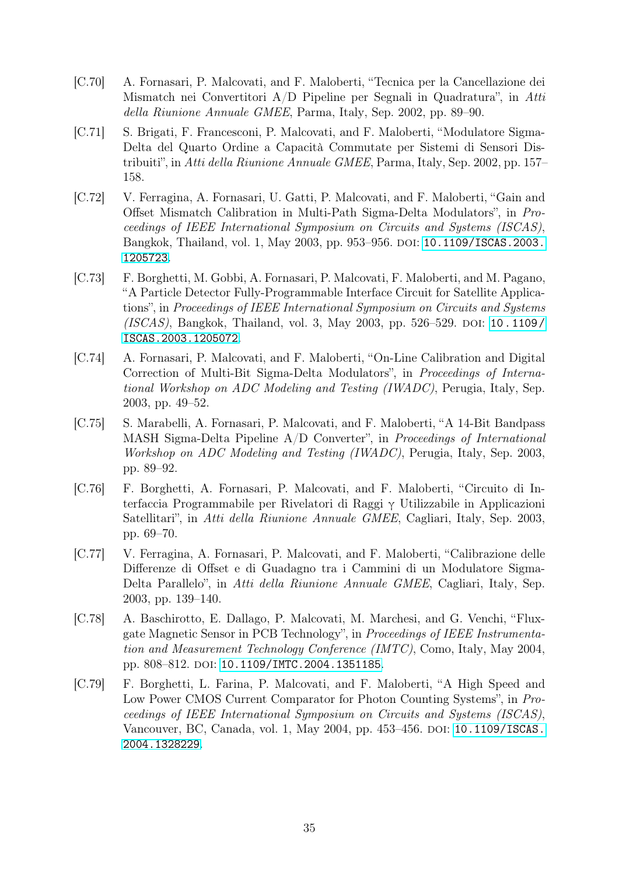- <span id="page-34-3"></span>[C.70] A. Fornasari, P. Malcovati, and F. Maloberti, "Tecnica per la Cancellazione dei Mismatch nei Convertitori A/D Pipeline per Segnali in Quadratura", in Atti della Riunione Annuale GMEE, Parma, Italy, Sep. 2002, pp. 89–90.
- <span id="page-34-4"></span>[C.71] S. Brigati, F. Francesconi, P. Malcovati, and F. Maloberti, "Modulatore Sigma-Delta del Quarto Ordine a Capacità Commutate per Sistemi di Sensori Distribuiti", in Atti della Riunione Annuale GMEE, Parma, Italy, Sep. 2002, pp. 157– 158.
- <span id="page-34-5"></span>[C.72] V. Ferragina, A. Fornasari, U. Gatti, P. Malcovati, and F. Maloberti, "Gain and Offset Mismatch Calibration in Multi-Path Sigma-Delta Modulators", in Proceedings of IEEE International Symposium on Circuits and Systems (ISCAS), Bangkok, Thailand, vol. 1, May 2003, pp. 953-956. DOI: [10.1109/ISCAS.2003.](https://doi.org/10.1109/ISCAS.2003.1205723) [1205723](https://doi.org/10.1109/ISCAS.2003.1205723).
- <span id="page-34-0"></span>[C.73] F. Borghetti, M. Gobbi, A. Fornasari, P. Malcovati, F. Maloberti, and M. Pagano, "A Particle Detector Fully-Programmable Interface Circuit for Satellite Applications", in Proceedings of IEEE International Symposium on Circuits and Systems (ISCAS), Bangkok, Thailand, vol. 3, May 2003, pp. 526–529. DOI: [10.1109/](https://doi.org/10.1109/ISCAS.2003.1205072) [ISCAS.2003.1205072](https://doi.org/10.1109/ISCAS.2003.1205072).
- <span id="page-34-6"></span>[C.74] A. Fornasari, P. Malcovati, and F. Maloberti, "On-Line Calibration and Digital Correction of Multi-Bit Sigma-Delta Modulators", in Proceedings of International Workshop on ADC Modeling and Testing (IWADC), Perugia, Italy, Sep. 2003, pp. 49–52.
- <span id="page-34-7"></span>[C.75] S. Marabelli, A. Fornasari, P. Malcovati, and F. Maloberti, "A 14-Bit Bandpass MASH Sigma-Delta Pipeline  $A/D$  Converter", in *Proceedings of International* Workshop on ADC Modeling and Testing (IWADC), Perugia, Italy, Sep. 2003, pp. 89–92.
- <span id="page-34-1"></span>[C.76] F. Borghetti, A. Fornasari, P. Malcovati, and F. Maloberti, "Circuito di Interfaccia Programmabile per Rivelatori di Raggi γ Utilizzabile in Applicazioni Satellitari", in Atti della Riunione Annuale GMEE, Cagliari, Italy, Sep. 2003, pp. 69–70.
- <span id="page-34-8"></span>[C.77] V. Ferragina, A. Fornasari, P. Malcovati, and F. Maloberti, "Calibrazione delle Differenze di Offset e di Guadagno tra i Cammini di un Modulatore Sigma-Delta Parallelo", in Atti della Riunione Annuale GMEE, Cagliari, Italy, Sep. 2003, pp. 139–140.
- <span id="page-34-2"></span>[C.78] A. Baschirotto, E. Dallago, P. Malcovati, M. Marchesi, and G. Venchi, "Fluxgate Magnetic Sensor in PCB Technology", in Proceedings of IEEE Instrumentation and Measurement Technology Conference (IMTC), Como, Italy, May 2004, pp. 808-812. doi: [10.1109/IMTC.2004.1351185](https://doi.org/10.1109/IMTC.2004.1351185).
- <span id="page-34-9"></span>[C.79] F. Borghetti, L. Farina, P. Malcovati, and F. Maloberti, "A High Speed and Low Power CMOS Current Comparator for Photon Counting Systems", in Proceedings of IEEE International Symposium on Circuits and Systems (ISCAS), Vancouver, BC, Canada, vol. 1, May 2004, pp. 453-456. DOI: [10.1109/ISCAS.](https://doi.org/10.1109/ISCAS.2004.1328229) [2004.1328229](https://doi.org/10.1109/ISCAS.2004.1328229).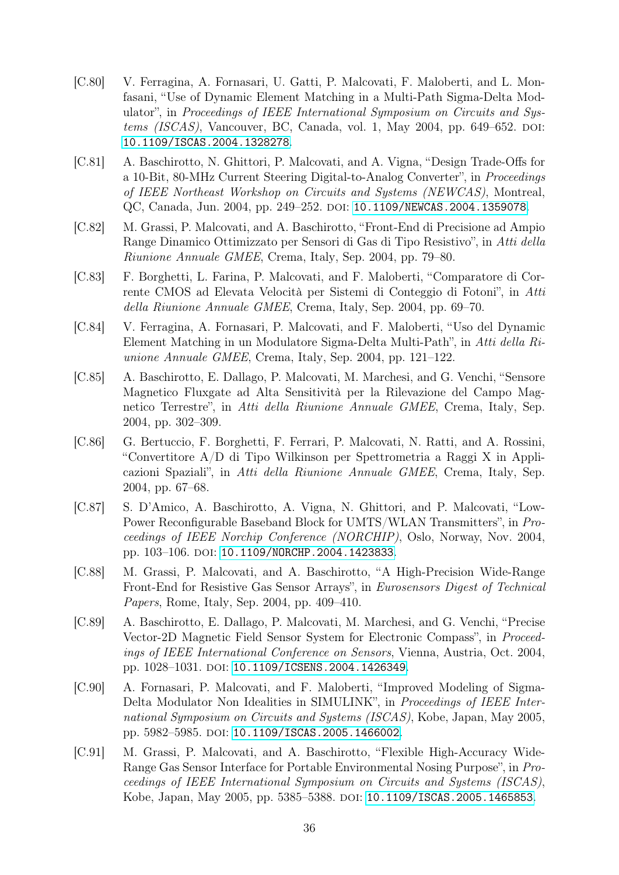- <span id="page-35-5"></span>[C.80] V. Ferragina, A. Fornasari, U. Gatti, P. Malcovati, F. Maloberti, and L. Monfasani, "Use of Dynamic Element Matching in a Multi-Path Sigma-Delta Modulator", in Proceedings of IEEE International Symposium on Circuits and Sys $tems$  (ISCAS), Vancouver, BC, Canada, vol. 1, May 2004, pp. 649–652. DOI: [10.1109/ISCAS.2004.1328278](https://doi.org/10.1109/ISCAS.2004.1328278).
- <span id="page-35-6"></span>[C.81] A. Baschirotto, N. Ghittori, P. Malcovati, and A. Vigna, "Design Trade-Offs for a 10-Bit, 80-MHz Current Steering Digital-to-Analog Converter", in Proceedings of IEEE Northeast Workshop on Circuits and Systems (NEWCAS), Montreal, QC, Canada, Jun. 2004, pp. 249–252. DOI: [10.1109/NEWCAS.2004.1359078](https://doi.org/10.1109/NEWCAS.2004.1359078).
- <span id="page-35-0"></span>[C.82] M. Grassi, P. Malcovati, and A. Baschirotto, "Front-End di Precisione ad Ampio Range Dinamico Ottimizzato per Sensori di Gas di Tipo Resistivo", in Atti della Riunione Annuale GMEE, Crema, Italy, Sep. 2004, pp. 79–80.
- <span id="page-35-10"></span>[C.83] F. Borghetti, L. Farina, P. Malcovati, and F. Maloberti, "Comparatore di Corrente CMOS ad Elevata Velocità per Sistemi di Conteggio di Fotoni", in Atti della Riunione Annuale GMEE, Crema, Italy, Sep. 2004, pp. 69–70.
- <span id="page-35-7"></span>[C.84] V. Ferragina, A. Fornasari, P. Malcovati, and F. Maloberti, "Uso del Dynamic Element Matching in un Modulatore Sigma-Delta Multi-Path", in Atti della Riunione Annuale GMEE, Crema, Italy, Sep. 2004, pp. 121–122.
- <span id="page-35-1"></span>[C.85] A. Baschirotto, E. Dallago, P. Malcovati, M. Marchesi, and G. Venchi, "Sensore Magnetico Fluxgate ad Alta Sensitività per la Rilevazione del Campo Magnetico Terrestre", in Atti della Riunione Annuale GMEE, Crema, Italy, Sep. 2004, pp. 302–309.
- <span id="page-35-8"></span>[C.86] G. Bertuccio, F. Borghetti, F. Ferrari, P. Malcovati, N. Ratti, and A. Rossini, "Convertitore A/D di Tipo Wilkinson per Spettrometria a Raggi X in Applicazioni Spaziali", in Atti della Riunione Annuale GMEE, Crema, Italy, Sep. 2004, pp. 67–68.
- <span id="page-35-11"></span>[C.87] S. D'Amico, A. Baschirotto, A. Vigna, N. Ghittori, and P. Malcovati, "Low-Power Reconfigurable Baseband Block for UMTS/WLAN Transmitters", in Proceedings of IEEE Norchip Conference (NORCHIP), Oslo, Norway, Nov. 2004, pp. 103-106. DOI: [10.1109/NORCHP.2004.1423833](https://doi.org/10.1109/NORCHP.2004.1423833).
- <span id="page-35-2"></span>[C.88] M. Grassi, P. Malcovati, and A. Baschirotto, "A High-Precision Wide-Range Front-End for Resistive Gas Sensor Arrays", in Eurosensors Digest of Technical Papers, Rome, Italy, Sep. 2004, pp. 409–410.
- <span id="page-35-3"></span>[C.89] A. Baschirotto, E. Dallago, P. Malcovati, M. Marchesi, and G. Venchi, "Precise Vector-2D Magnetic Field Sensor System for Electronic Compass", in Proceedings of IEEE International Conference on Sensors, Vienna, Austria, Oct. 2004, pp. 1028-1031. DOI: [10.1109/ICSENS.2004.1426349](https://doi.org/10.1109/ICSENS.2004.1426349).
- <span id="page-35-9"></span>[C.90] A. Fornasari, P. Malcovati, and F. Maloberti, "Improved Modeling of Sigma-Delta Modulator Non Idealities in SIMULINK", in Proceedings of IEEE International Symposium on Circuits and Systems (ISCAS), Kobe, Japan, May 2005, pp. 5982–5985. doi: [10.1109/ISCAS.2005.1466002](https://doi.org/10.1109/ISCAS.2005.1466002).
- <span id="page-35-4"></span>[C.91] M. Grassi, P. Malcovati, and A. Baschirotto, "Flexible High-Accuracy Wide-Range Gas Sensor Interface for Portable Environmental Nosing Purpose", in Proceedings of IEEE International Symposium on Circuits and Systems (ISCAS), Kobe, Japan, May 2005, pp. 5385-5388. DOI: [10.1109/ISCAS.2005.1465853](https://doi.org/10.1109/ISCAS.2005.1465853).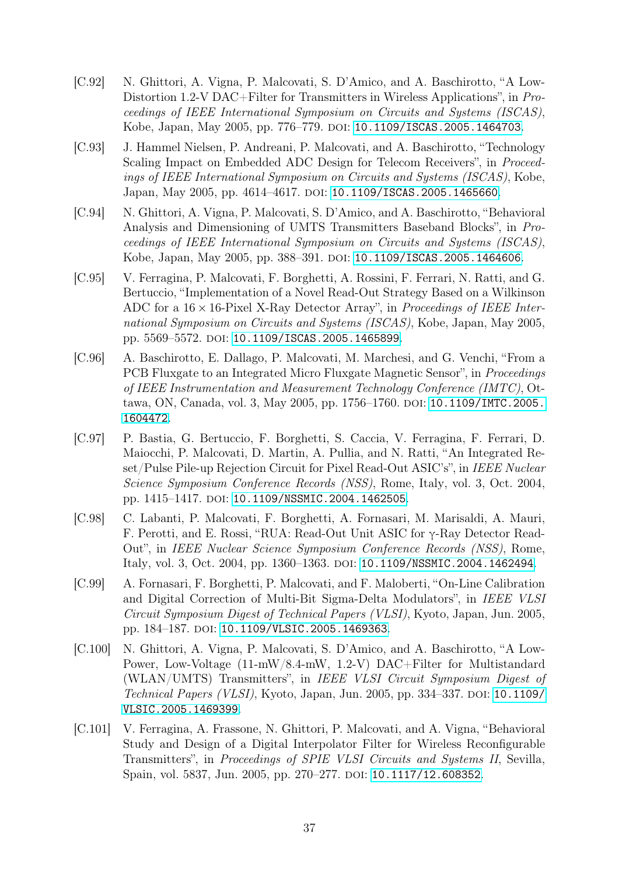- <span id="page-36-4"></span>[C.92] N. Ghittori, A. Vigna, P. Malcovati, S. D'Amico, and A. Baschirotto, "A Low-Distortion 1.2-V DAC+Filter for Transmitters in Wireless Applications", in Proceedings of IEEE International Symposium on Circuits and Systems (ISCAS), Kobe, Japan, May 2005, pp. 776-779. DOI: [10.1109/ISCAS.2005.1464703](https://doi.org/10.1109/ISCAS.2005.1464703).
- <span id="page-36-5"></span>[C.93] J. Hammel Nielsen, P. Andreani, P. Malcovati, and A. Baschirotto, "Technology Scaling Impact on Embedded ADC Design for Telecom Receivers", in Proceedings of IEEE International Symposium on Circuits and Systems (ISCAS), Kobe, Japan, May 2005, pp. 4614-4617. DOI: [10.1109/ISCAS.2005.1465660](https://doi.org/10.1109/ISCAS.2005.1465660).
- <span id="page-36-8"></span>[C.94] N. Ghittori, A. Vigna, P. Malcovati, S. D'Amico, and A. Baschirotto, "Behavioral Analysis and Dimensioning of UMTS Transmitters Baseband Blocks", in Proceedings of IEEE International Symposium on Circuits and Systems (ISCAS), Kobe, Japan, May 2005, pp. 388-391. DOI: [10.1109/ISCAS.2005.1464606](https://doi.org/10.1109/ISCAS.2005.1464606).
- <span id="page-36-0"></span>[C.95] V. Ferragina, P. Malcovati, F. Borghetti, A. Rossini, F. Ferrari, N. Ratti, and G. Bertuccio, "Implementation of a Novel Read-Out Strategy Based on a Wilkinson ADC for a  $16 \times 16$ -Pixel X-Ray Detector Array", in Proceedings of IEEE International Symposium on Circuits and Systems (ISCAS), Kobe, Japan, May 2005, pp. 5569–5572. doi: [10.1109/ISCAS.2005.1465899](https://doi.org/10.1109/ISCAS.2005.1465899).
- <span id="page-36-1"></span>[C.96] A. Baschirotto, E. Dallago, P. Malcovati, M. Marchesi, and G. Venchi, "From a PCB Fluxgate to an Integrated Micro Fluxgate Magnetic Sensor", in Proceedings of IEEE Instrumentation and Measurement Technology Conference (IMTC), Ot-tawa, ON, Canada, vol. 3, May 2005, pp. 1756-1760. DOI: [10.1109/IMTC.2005.](https://doi.org/10.1109/IMTC.2005.1604472) [1604472](https://doi.org/10.1109/IMTC.2005.1604472).
- <span id="page-36-2"></span>[C.97] P. Bastia, G. Bertuccio, F. Borghetti, S. Caccia, V. Ferragina, F. Ferrari, D. Maiocchi, P. Malcovati, D. Martin, A. Pullia, and N. Ratti, "An Integrated Reset/Pulse Pile-up Rejection Circuit for Pixel Read-Out ASIC's", in IEEE Nuclear Science Symposium Conference Records (NSS), Rome, Italy, vol. 3, Oct. 2004, pp. 1415–1417. doi: [10.1109/NSSMIC.2004.1462505](https://doi.org/10.1109/NSSMIC.2004.1462505).
- <span id="page-36-3"></span>[C.98] C. Labanti, P. Malcovati, F. Borghetti, A. Fornasari, M. Marisaldi, A. Mauri, F. Perotti, and E. Rossi, "RUA: Read-Out Unit ASIC for γ-Ray Detector Read-Out", in IEEE Nuclear Science Symposium Conference Records (NSS), Rome, Italy, vol. 3, Oct. 2004, pp. 1360–1363. doi: [10.1109/NSSMIC.2004.1462494](https://doi.org/10.1109/NSSMIC.2004.1462494).
- <span id="page-36-6"></span>[C.99] A. Fornasari, F. Borghetti, P. Malcovati, and F. Maloberti, "On-Line Calibration and Digital Correction of Multi-Bit Sigma-Delta Modulators", in IEEE VLSI Circuit Symposium Digest of Technical Papers (VLSI), Kyoto, Japan, Jun. 2005, pp. 184–187. doi: [10.1109/VLSIC.2005.1469363](https://doi.org/10.1109/VLSIC.2005.1469363).
- <span id="page-36-7"></span>[C.100] N. Ghittori, A. Vigna, P. Malcovati, S. D'Amico, and A. Baschirotto, "A Low-Power, Low-Voltage (11-mW/8.4-mW, 1.2-V) DAC+Filter for Multistandard (WLAN/UMTS) Transmitters", in IEEE VLSI Circuit Symposium Digest of Technical Papers (VLSI), Kyoto, Japan, Jun. 2005, pp. 334–337. DOI: [10.1109/](https://doi.org/10.1109/VLSIC.2005.1469399) [VLSIC.2005.1469399](https://doi.org/10.1109/VLSIC.2005.1469399).
- <span id="page-36-9"></span>[C.101] V. Ferragina, A. Frassone, N. Ghittori, P. Malcovati, and A. Vigna, "Behavioral Study and Design of a Digital Interpolator Filter for Wireless Reconfigurable Transmitters", in Proceedings of SPIE VLSI Circuits and Systems II, Sevilla, Spain, vol. 5837, Jun. 2005, pp. 270-277. DOI: [10.1117/12.608352](https://doi.org/10.1117/12.608352).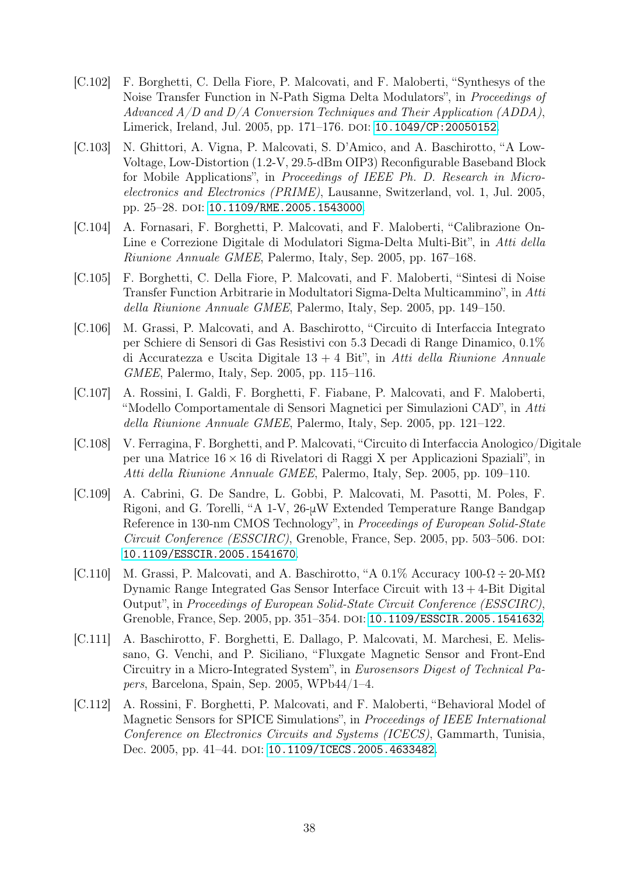- <span id="page-37-6"></span>[C.102] F. Borghetti, C. Della Fiore, P. Malcovati, and F. Maloberti, "Synthesys of the Noise Transfer Function in N-Path Sigma Delta Modulators", in Proceedings of Advanced  $A/D$  and  $D/A$  Conversion Techniques and Their Application (ADDA), Limerick, Ireland, Jul. 2005, pp. 171-176. DOI: [10.1049/CP:20050152](https://doi.org/10.1049/CP:20050152).
- <span id="page-37-9"></span>[C.103] N. Ghittori, A. Vigna, P. Malcovati, S. D'Amico, and A. Baschirotto, "A Low-Voltage, Low-Distortion (1.2-V, 29.5-dBm OIP3) Reconfigurable Baseband Block for Mobile Applications", in Proceedings of IEEE Ph. D. Research in Microelectronics and Electronics (PRIME), Lausanne, Switzerland, vol. 1, Jul. 2005, pp. 25-28. DOI: [10.1109/RME.2005.1543000](https://doi.org/10.1109/RME.2005.1543000).
- <span id="page-37-7"></span>[C.104] A. Fornasari, F. Borghetti, P. Malcovati, and F. Maloberti, "Calibrazione On-Line e Correzione Digitale di Modulatori Sigma-Delta Multi-Bit", in Atti della Riunione Annuale GMEE, Palermo, Italy, Sep. 2005, pp. 167–168.
- <span id="page-37-8"></span>[C.105] F. Borghetti, C. Della Fiore, P. Malcovati, and F. Maloberti, "Sintesi di Noise Transfer Function Arbitrarie in Modultatori Sigma-Delta Multicammino", in Atti della Riunione Annuale GMEE, Palermo, Italy, Sep. 2005, pp. 149–150.
- <span id="page-37-0"></span>[C.106] M. Grassi, P. Malcovati, and A. Baschirotto, "Circuito di Interfaccia Integrato per Schiere di Sensori di Gas Resistivi con 5.3 Decadi di Range Dinamico, 0.1% di Accuratezza e Uscita Digitale  $13 + 4$  Bit", in Atti della Riunione Annuale GMEE, Palermo, Italy, Sep. 2005, pp. 115–116.
- <span id="page-37-1"></span>[C.107] A. Rossini, I. Galdi, F. Borghetti, F. Fiabane, P. Malcovati, and F. Maloberti, "Modello Comportamentale di Sensori Magnetici per Simulazioni CAD", in Atti della Riunione Annuale GMEE, Palermo, Italy, Sep. 2005, pp. 121–122.
- <span id="page-37-2"></span>[C.108] V. Ferragina, F. Borghetti, and P. Malcovati, "Circuito di Interfaccia Anologico/Digitale per una Matrice 16 × 16 di Rivelatori di Raggi X per Applicazioni Spaziali", in Atti della Riunione Annuale GMEE, Palermo, Italy, Sep. 2005, pp. 109–110.
- <span id="page-37-10"></span>[C.109] A. Cabrini, G. De Sandre, L. Gobbi, P. Malcovati, M. Pasotti, M. Poles, F. Rigoni, and G. Torelli, "A 1-V, 26-μW Extended Temperature Range Bandgap Reference in 130-nm CMOS Technology", in Proceedings of European Solid-State  $Circuit Conference (ESSCIRC)$ , Grenoble, France, Sep. 2005, pp. 503–506. doi: [10.1109/ESSCIR.2005.1541670](https://doi.org/10.1109/ESSCIR.2005.1541670).
- <span id="page-37-3"></span>[C.110] M. Grassi, P. Malcovati, and A. Baschirotto, "A 0.1% Accuracy  $100-\Omega \div 20$ -M $\Omega$ Dynamic Range Integrated Gas Sensor Interface Circuit with 13 + 4-Bit Digital Output", in Proceedings of European Solid-State Circuit Conference (ESSCIRC), Grenoble, France, Sep. 2005, pp. 351–354. doi: [10.1109/ESSCIR.2005.1541632](https://doi.org/10.1109/ESSCIR.2005.1541632).
- <span id="page-37-4"></span>[C.111] A. Baschirotto, F. Borghetti, E. Dallago, P. Malcovati, M. Marchesi, E. Melissano, G. Venchi, and P. Siciliano, "Fluxgate Magnetic Sensor and Front-End Circuitry in a Micro-Integrated System", in Eurosensors Digest of Technical Papers, Barcelona, Spain, Sep. 2005, WPb44/1–4.
- <span id="page-37-5"></span>[C.112] A. Rossini, F. Borghetti, P. Malcovati, and F. Maloberti, "Behavioral Model of Magnetic Sensors for SPICE Simulations", in Proceedings of IEEE International Conference on Electronics Circuits and Systems (ICECS), Gammarth, Tunisia, Dec. 2005, pp. 41–44. DOI: [10.1109/ICECS.2005.4633482](https://doi.org/10.1109/ICECS.2005.4633482).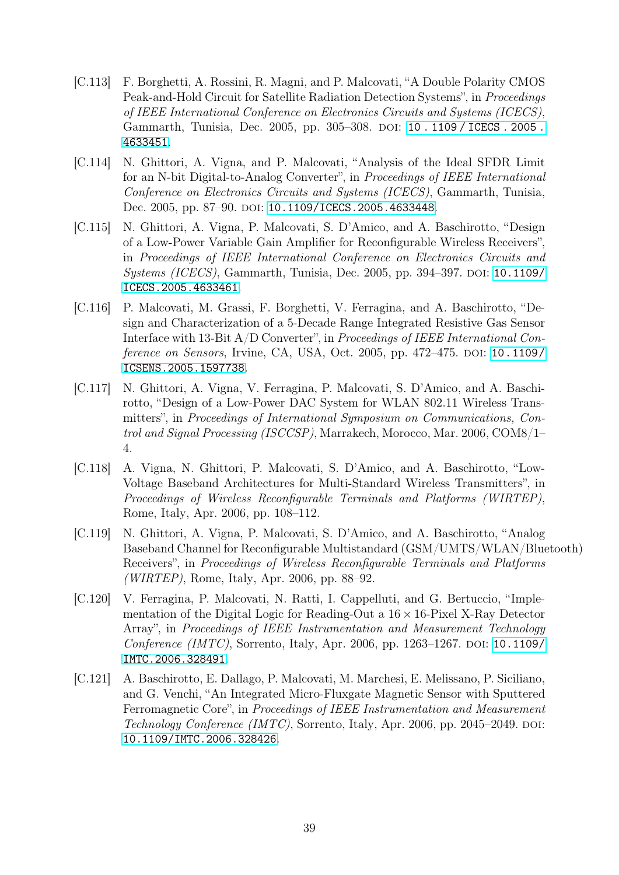- <span id="page-38-5"></span>[C.113] F. Borghetti, A. Rossini, R. Magni, and P. Malcovati, "A Double Polarity CMOS Peak-and-Hold Circuit for Satellite Radiation Detection Systems", in Proceedings of IEEE International Conference on Electronics Circuits and Systems (ICECS), Gammarth, Tunisia, Dec. 2005, pp. 305-308. DOI: [10 . 1109 / ICECS . 2005 .](https://doi.org/10.1109/ICECS.2005.4633451) [4633451](https://doi.org/10.1109/ICECS.2005.4633451).
- <span id="page-38-3"></span>[C.114] N. Ghittori, A. Vigna, and P. Malcovati, "Analysis of the Ideal SFDR Limit for an N-bit Digital-to-Analog Converter", in Proceedings of IEEE International Conference on Electronics Circuits and Systems (ICECS), Gammarth, Tunisia, Dec. 2005, pp. 87-90. DOI: [10.1109/ICECS.2005.4633448](https://doi.org/10.1109/ICECS.2005.4633448).
- <span id="page-38-6"></span>[C.115] N. Ghittori, A. Vigna, P. Malcovati, S. D'Amico, and A. Baschirotto, "Design of a Low-Power Variable Gain Amplifier for Reconfigurable Wireless Receivers", in Proceedings of IEEE International Conference on Electronics Circuits and Systems (ICECS), Gammarth, Tunisia, Dec. 2005, pp. 394–397. DOI: [10.1109/](https://doi.org/10.1109/ICECS.2005.4633461) [ICECS.2005.4633461](https://doi.org/10.1109/ICECS.2005.4633461).
- <span id="page-38-0"></span>[C.116] P. Malcovati, M. Grassi, F. Borghetti, V. Ferragina, and A. Baschirotto, "Design and Characterization of a 5-Decade Range Integrated Resistive Gas Sensor Interface with 13-Bit A/D Converter", in Proceedings of IEEE International Con-ference on Sensors, Irvine, CA, USA, Oct. 2005, pp. 472–475. DOI: [10.1109/](https://doi.org/10.1109/ICSENS.2005.1597738) [ICSENS.2005.1597738](https://doi.org/10.1109/ICSENS.2005.1597738).
- <span id="page-38-4"></span>[C.117] N. Ghittori, A. Vigna, V. Ferragina, P. Malcovati, S. D'Amico, and A. Baschirotto, "Design of a Low-Power DAC System for WLAN 802.11 Wireless Transmitters", in Proceedings of International Symposium on Communications, Control and Signal Processing (ISCCSP), Marrakech, Morocco, Mar. 2006, COM8/1– 4.
- <span id="page-38-7"></span>[C.118] A. Vigna, N. Ghittori, P. Malcovati, S. D'Amico, and A. Baschirotto, "Low-Voltage Baseband Architectures for Multi-Standard Wireless Transmitters", in Proceedings of Wireless Reconfigurable Terminals and Platforms (WIRTEP), Rome, Italy, Apr. 2006, pp. 108–112.
- <span id="page-38-8"></span>[C.119] N. Ghittori, A. Vigna, P. Malcovati, S. D'Amico, and A. Baschirotto, "Analog Baseband Channel for Reconfigurable Multistandard (GSM/UMTS/WLAN/Bluetooth) Receivers", in Proceedings of Wireless Reconfigurable Terminals and Platforms (WIRTEP), Rome, Italy, Apr. 2006, pp. 88–92.
- <span id="page-38-1"></span>[C.120] V. Ferragina, P. Malcovati, N. Ratti, I. Cappelluti, and G. Bertuccio, "Implementation of the Digital Logic for Reading-Out a  $16 \times 16$ -Pixel X-Ray Detector Array", in Proceedings of IEEE Instrumentation and Measurement Technology Conference (IMTC), Sorrento, Italy, Apr. 2006, pp. 1263–1267. doi: [10.1109/](https://doi.org/10.1109/IMTC.2006.328491) [IMTC.2006.328491](https://doi.org/10.1109/IMTC.2006.328491).
- <span id="page-38-2"></span>[C.121] A. Baschirotto, E. Dallago, P. Malcovati, M. Marchesi, E. Melissano, P. Siciliano, and G. Venchi, "An Integrated Micro-Fluxgate Magnetic Sensor with Sputtered Ferromagnetic Core", in Proceedings of IEEE Instrumentation and Measurement Technology Conference (IMTC), Sorrento, Italy, Apr. 2006, pp. 2045–2049. DOI: [10.1109/IMTC.2006.328426](https://doi.org/10.1109/IMTC.2006.328426).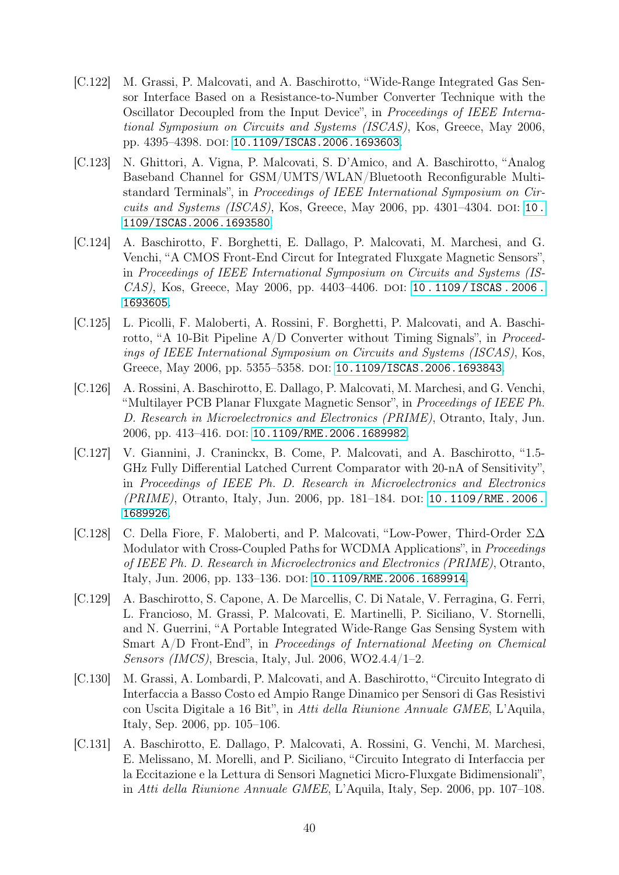- <span id="page-39-0"></span>[C.122] M. Grassi, P. Malcovati, and A. Baschirotto, "Wide-Range Integrated Gas Sensor Interface Based on a Resistance-to-Number Converter Technique with the Oscillator Decoupled from the Input Device", in Proceedings of IEEE International Symposium on Circuits and Systems (ISCAS), Kos, Greece, May 2006, pp. 4395–4398. doi: [10.1109/ISCAS.2006.1693603](https://doi.org/10.1109/ISCAS.2006.1693603).
- <span id="page-39-8"></span>[C.123] N. Ghittori, A. Vigna, P. Malcovati, S. D'Amico, and A. Baschirotto, "Analog Baseband Channel for GSM/UMTS/WLAN/Bluetooth Reconfigurable Multistandard Terminals", in Proceedings of IEEE International Symposium on Circuits and Systems (ISCAS), Kos, Greece, May 2006, pp. 4301–4304. DOI:  $10$ . [1109/ISCAS.2006.1693580](https://doi.org/10.1109/ISCAS.2006.1693580).
- <span id="page-39-1"></span>[C.124] A. Baschirotto, F. Borghetti, E. Dallago, P. Malcovati, M. Marchesi, and G. Venchi, "A CMOS Front-End Circut for Integrated Fluxgate Magnetic Sensors", in Proceedings of IEEE International Symposium on Circuits and Systems (IS-*CAS*), Kos, Greece, May 2006, pp. 4403–4406. DOI: 10.1109/ISCAS. 2006. [1693605](https://doi.org/10.1109/ISCAS.2006.1693605).
- <span id="page-39-6"></span>[C.125] L. Picolli, F. Maloberti, A. Rossini, F. Borghetti, P. Malcovati, and A. Baschirotto, "A 10-Bit Pipeline  $A/D$  Converter without Timing Signals", in Proceedings of IEEE International Symposium on Circuits and Systems (ISCAS), Kos, Greece, May 2006, pp. 5355–5358. DOI: [10.1109/ISCAS.2006.1693843](https://doi.org/10.1109/ISCAS.2006.1693843).
- <span id="page-39-2"></span>[C.126] A. Rossini, A. Baschirotto, E. Dallago, P. Malcovati, M. Marchesi, and G. Venchi, "Multilayer PCB Planar Fluxgate Magnetic Sensor", in Proceedings of IEEE Ph. D. Research in Microelectronics and Electronics (PRIME), Otranto, Italy, Jun. 2006, pp. 413–416. doi: [10.1109/RME.2006.1689982](https://doi.org/10.1109/RME.2006.1689982).
- <span id="page-39-9"></span>[C.127] V. Giannini, J. Craninckx, B. Come, P. Malcovati, and A. Baschirotto, "1.5- GHz Fully Differential Latched Current Comparator with 20-nA of Sensitivity", in Proceedings of IEEE Ph. D. Research in Microelectronics and Electronics  $(PRIME)$ , Otranto, Italy, Jun. 2006, pp. 181–184. DOI: [10.1109/RME.2006.](https://doi.org/10.1109/RME.2006.1689926) [1689926](https://doi.org/10.1109/RME.2006.1689926).
- <span id="page-39-7"></span>[C.128] C. Della Fiore, F. Maloberti, and P. Malcovati, "Low-Power, Third-Order ΣΔ Modulator with Cross-Coupled Paths for WCDMA Applications", in Proceedings of IEEE Ph. D. Research in Microelectronics and Electronics (PRIME), Otranto, Italy, Jun. 2006, pp. 133-136. DOI: [10.1109/RME.2006.1689914](https://doi.org/10.1109/RME.2006.1689914).
- <span id="page-39-3"></span>[C.129] A. Baschirotto, S. Capone, A. De Marcellis, C. Di Natale, V. Ferragina, G. Ferri, L. Francioso, M. Grassi, P. Malcovati, E. Martinelli, P. Siciliano, V. Stornelli, and N. Guerrini, "A Portable Integrated Wide-Range Gas Sensing System with Smart A/D Front-End", in Proceedings of International Meeting on Chemical Sensors (IMCS), Brescia, Italy, Jul. 2006, WO2.4.4/1–2.
- <span id="page-39-4"></span>[C.130] M. Grassi, A. Lombardi, P. Malcovati, and A. Baschirotto, "Circuito Integrato di Interfaccia a Basso Costo ed Ampio Range Dinamico per Sensori di Gas Resistivi con Uscita Digitale a 16 Bit", in Atti della Riunione Annuale GMEE, L'Aquila, Italy, Sep. 2006, pp. 105–106.
- <span id="page-39-5"></span>[C.131] A. Baschirotto, E. Dallago, P. Malcovati, A. Rossini, G. Venchi, M. Marchesi, E. Melissano, M. Morelli, and P. Siciliano, "Circuito Integrato di Interfaccia per la Eccitazione e la Lettura di Sensori Magnetici Micro-Fluxgate Bidimensionali", in Atti della Riunione Annuale GMEE, L'Aquila, Italy, Sep. 2006, pp. 107–108.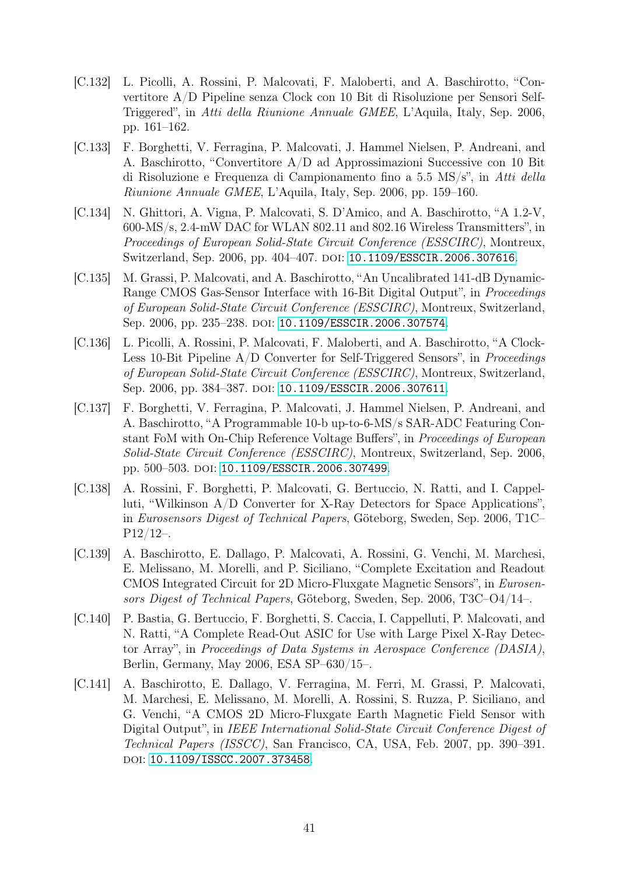- <span id="page-40-4"></span>[C.132] L. Picolli, A. Rossini, P. Malcovati, F. Maloberti, and A. Baschirotto, "Convertitore A/D Pipeline senza Clock con 10 Bit di Risoluzione per Sensori Self-Triggered", in Atti della Riunione Annuale GMEE, L'Aquila, Italy, Sep. 2006, pp. 161–162.
- <span id="page-40-5"></span>[C.133] F. Borghetti, V. Ferragina, P. Malcovati, J. Hammel Nielsen, P. Andreani, and A. Baschirotto, "Convertitore A/D ad Approssimazioni Successive con 10 Bit di Risoluzione e Frequenza di Campionamento fino a 5.5 MS/s", in Atti della Riunione Annuale GMEE, L'Aquila, Italy, Sep. 2006, pp. 159–160.
- <span id="page-40-6"></span>[C.134] N. Ghittori, A. Vigna, P. Malcovati, S. D'Amico, and A. Baschirotto, "A 1.2-V, 600-MS/s, 2.4-mW DAC for WLAN 802.11 and 802.16 Wireless Transmitters", in Proceedings of European Solid-State Circuit Conference (ESSCIRC), Montreux, Switzerland, Sep. 2006, pp. 404-407. DOI: [10.1109/ESSCIR.2006.307616](https://doi.org/10.1109/ESSCIR.2006.307616).
- <span id="page-40-0"></span>[C.135] M. Grassi, P. Malcovati, and A. Baschirotto, "An Uncalibrated 141-dB Dynamic-Range CMOS Gas-Sensor Interface with 16-Bit Digital Output", in Proceedings of European Solid-State Circuit Conference (ESSCIRC), Montreux, Switzerland, Sep. 2006, pp. 235-238. DOI: [10.1109/ESSCIR.2006.307574](https://doi.org/10.1109/ESSCIR.2006.307574).
- <span id="page-40-7"></span>[C.136] L. Picolli, A. Rossini, P. Malcovati, F. Maloberti, and A. Baschirotto, "A Clock-Less 10-Bit Pipeline  $A/D$  Converter for Self-Triggered Sensors", in *Proceedings* of European Solid-State Circuit Conference (ESSCIRC), Montreux, Switzerland, Sep. 2006, pp. 384-387. DOI: [10.1109/ESSCIR.2006.307611](https://doi.org/10.1109/ESSCIR.2006.307611).
- <span id="page-40-8"></span>[C.137] F. Borghetti, V. Ferragina, P. Malcovati, J. Hammel Nielsen, P. Andreani, and A. Baschirotto, "A Programmable 10-b up-to-6-MS/s SAR-ADC Featuring Constant FoM with On-Chip Reference Voltage Buffers", in Proceedings of European Solid-State Circuit Conference (ESSCIRC), Montreux, Switzerland, Sep. 2006, pp. 500–503. doi: [10.1109/ESSCIR.2006.307499](https://doi.org/10.1109/ESSCIR.2006.307499).
- <span id="page-40-9"></span>[C.138] A. Rossini, F. Borghetti, P. Malcovati, G. Bertuccio, N. Ratti, and I. Cappelluti, "Wilkinson A/D Converter for X-Ray Detectors for Space Applications", in Eurosensors Digest of Technical Papers, Göteborg, Sweden, Sep. 2006, T1C– P12/12–.
- <span id="page-40-1"></span>[C.139] A. Baschirotto, E. Dallago, P. Malcovati, A. Rossini, G. Venchi, M. Marchesi, E. Melissano, M. Morelli, and P. Siciliano, "Complete Excitation and Readout CMOS Integrated Circuit for 2D Micro-Fluxgate Magnetic Sensors", in Eurosensors Digest of Technical Papers, Göteborg, Sweden, Sep. 2006, T3C–O4/14–.
- <span id="page-40-2"></span>[C.140] P. Bastia, G. Bertuccio, F. Borghetti, S. Caccia, I. Cappelluti, P. Malcovati, and N. Ratti, "A Complete Read-Out ASIC for Use with Large Pixel X-Ray Detector Array", in Proceedings of Data Systems in Aerospace Conference (DASIA), Berlin, Germany, May 2006, ESA SP–630/15–.
- <span id="page-40-3"></span>[C.141] A. Baschirotto, E. Dallago, V. Ferragina, M. Ferri, M. Grassi, P. Malcovati, M. Marchesi, E. Melissano, M. Morelli, A. Rossini, S. Ruzza, P. Siciliano, and G. Venchi, "A CMOS 2D Micro-Fluxgate Earth Magnetic Field Sensor with Digital Output", in IEEE International Solid-State Circuit Conference Digest of Technical Papers (ISSCC), San Francisco, CA, USA, Feb. 2007, pp. 390–391. doi: [10.1109/ISSCC.2007.373458](https://doi.org/10.1109/ISSCC.2007.373458).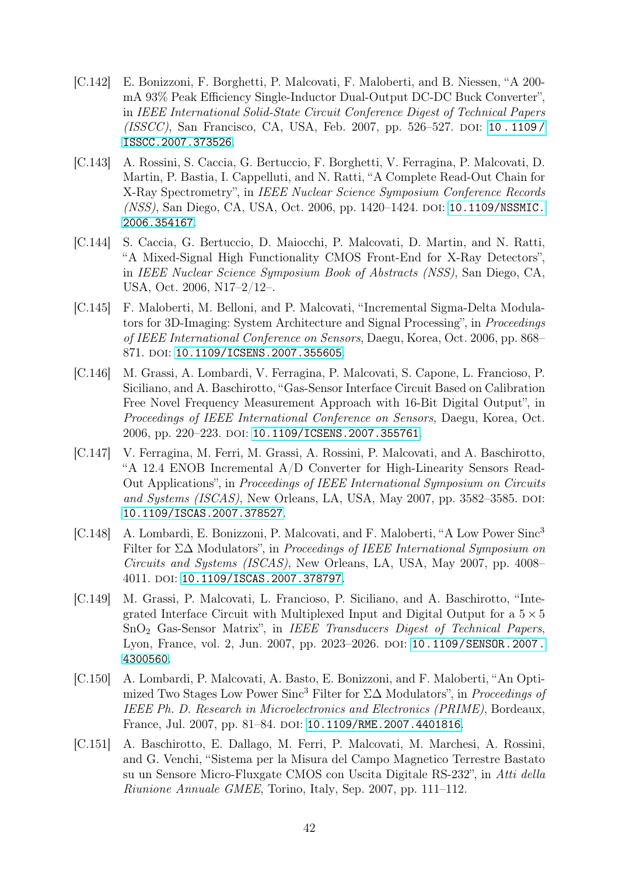- <span id="page-41-9"></span>[C.142] E. Bonizzoni, F. Borghetti, P. Malcovati, F. Maloberti, and B. Niessen, "A 200 mA 93% Peak Efficiency Single-Inductor Dual-Output DC-DC Buck Converter", in IEEE International Solid-State Circuit Conference Digest of Technical Papers (ISSCC), San Francisco, CA, USA, Feb. 2007, pp. 526–527. doi: [10 . 1109 /](https://doi.org/10.1109/ISSCC.2007.373526) [ISSCC.2007.373526](https://doi.org/10.1109/ISSCC.2007.373526).
- <span id="page-41-0"></span>[C.143] A. Rossini, S. Caccia, G. Bertuccio, F. Borghetti, V. Ferragina, P. Malcovati, D. Martin, P. Bastia, I. Cappelluti, and N. Ratti, "A Complete Read-Out Chain for X-Ray Spectrometry", in IEEE Nuclear Science Symposium Conference Records (NSS), San Diego, CA, USA, Oct. 2006, pp. 1420–1424. doi: [10.1109/NSSMIC.](https://doi.org/10.1109/NSSMIC.2006.354167) [2006.354167](https://doi.org/10.1109/NSSMIC.2006.354167).
- <span id="page-41-1"></span>[C.144] S. Caccia, G. Bertuccio, D. Maiocchi, P. Malcovati, D. Martin, and N. Ratti, "A Mixed-Signal High Functionality CMOS Front-End for X-Ray Detectors", in IEEE Nuclear Science Symposium Book of Abstracts (NSS), San Diego, CA, USA, Oct. 2006, N17–2/12–.
- <span id="page-41-5"></span>[C.145] F. Maloberti, M. Belloni, and P. Malcovati, "Incremental Sigma-Delta Modulators for 3D-Imaging: System Architecture and Signal Processing", in Proceedings of IEEE International Conference on Sensors, Daegu, Korea, Oct. 2006, pp. 868– 871. DOI: [10.1109/ICSENS.2007.355605](https://doi.org/10.1109/ICSENS.2007.355605).
- <span id="page-41-2"></span>[C.146] M. Grassi, A. Lombardi, V. Ferragina, P. Malcovati, S. Capone, L. Francioso, P. Siciliano, and A. Baschirotto, "Gas-Sensor Interface Circuit Based on Calibration Free Novel Frequency Measurement Approach with 16-Bit Digital Output", in Proceedings of IEEE International Conference on Sensors, Daegu, Korea, Oct. 2006, pp. 220-223. DOI: [10.1109/ICSENS.2007.355761](https://doi.org/10.1109/ICSENS.2007.355761).
- <span id="page-41-6"></span>[C.147] V. Ferragina, M. Ferri, M. Grassi, A. Rossini, P. Malcovati, and A. Baschirotto, "A 12.4 ENOB Incremental  $A/D$  Converter for High-Linearity Sensors Read-Out Applications", in Proceedings of IEEE International Symposium on Circuits and Systems (ISCAS), New Orleans, LA, USA, May 2007, pp. 3582-3585. DOI: [10.1109/ISCAS.2007.378527](https://doi.org/10.1109/ISCAS.2007.378527).
- <span id="page-41-7"></span>[C.148] A. Lombardi, E. Bonizzoni, P. Malcovati, and F. Maloberti, "A Low Power Sinc<sup>3</sup> Filter for  $\Sigma\Delta$  Modulators", in Proceedings of IEEE International Symposium on Circuits and Systems (ISCAS), New Orleans, LA, USA, May 2007, pp. 4008– 4011. doi: [10.1109/ISCAS.2007.378797](https://doi.org/10.1109/ISCAS.2007.378797).
- <span id="page-41-3"></span>[C.149] M. Grassi, P. Malcovati, L. Francioso, P. Siciliano, and A. Baschirotto, "Integrated Interface Circuit with Multiplexed Input and Digital Output for a  $5 \times 5$ SnO<sup>2</sup> Gas-Sensor Matrix", in IEEE Transducers Digest of Technical Papers, Lyon, France, vol. 2, Jun. 2007, pp. 2023–2026. doi: [10.1109/SENSOR.2007.](https://doi.org/10.1109/SENSOR.2007.4300560) [4300560](https://doi.org/10.1109/SENSOR.2007.4300560).
- <span id="page-41-8"></span>[C.150] A. Lombardi, P. Malcovati, A. Basto, E. Bonizzoni, and F. Maloberti, "An Optimized Two Stages Low Power Sinc<sup>3</sup> Filter for  $\Sigma\Delta$  Modulators", in Proceedings of IEEE Ph. D. Research in Microelectronics and Electronics (PRIME), Bordeaux, France, Jul. 2007, pp. 81–84. DOI: [10.1109/RME.2007.4401816](https://doi.org/10.1109/RME.2007.4401816).
- <span id="page-41-4"></span>[C.151] A. Baschirotto, E. Dallago, M. Ferri, P. Malcovati, M. Marchesi, A. Rossini, and G. Venchi, "Sistema per la Misura del Campo Magnetico Terrestre Bastato su un Sensore Micro-Fluxgate CMOS con Uscita Digitale RS-232", in Atti della Riunione Annuale GMEE, Torino, Italy, Sep. 2007, pp. 111–112.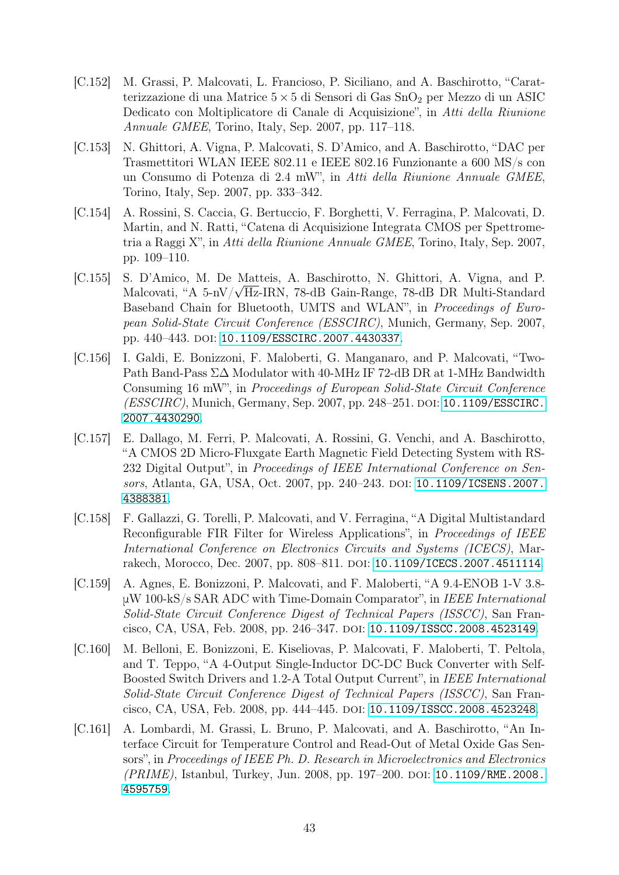- <span id="page-42-0"></span>[C.152] M. Grassi, P. Malcovati, L. Francioso, P. Siciliano, and A. Baschirotto, "Caratterizzazione di una Matrice  $5 \times 5$  di Sensori di Gas  $SnO<sub>2</sub>$  per Mezzo di un ASIC Dedicato con Moltiplicatore di Canale di Acquisizione", in Atti della Riunione Annuale GMEE, Torino, Italy, Sep. 2007, pp. 117–118.
- <span id="page-42-4"></span>[C.153] N. Ghittori, A. Vigna, P. Malcovati, S. D'Amico, and A. Baschirotto, "DAC per Trasmettitori WLAN IEEE 802.11 e IEEE 802.16 Funzionante a 600 MS/s con un Consumo di Potenza di 2.4 mW", in Atti della Riunione Annuale GMEE, Torino, Italy, Sep. 2007, pp. 333–342.
- <span id="page-42-1"></span>[C.154] A. Rossini, S. Caccia, G. Bertuccio, F. Borghetti, V. Ferragina, P. Malcovati, D. Martin, and N. Ratti, "Catena di Acquisizione Integrata CMOS per Spettrometria a Raggi X", in Atti della Riunione Annuale GMEE, Torino, Italy, Sep. 2007, pp. 109–110.
- <span id="page-42-7"></span>[C.155] S. D'Amico, M. De Matteis, A. Baschirotto, N. Ghittori, A. Vigna, and P. s. D'Amico, M. De Matteis, A. Baschirotto, N. Ghittori, A. Vigna, and P.<br>Malcovati, "A 5-nV/√Hz-IRN, 78-dB Gain-Range, 78-dB DR Multi-Standard Baseband Chain for Bluetooth, UMTS and WLAN", in Proceedings of European Solid-State Circuit Conference (ESSCIRC), Munich, Germany, Sep. 2007, pp. 440-443. DOI: [10.1109/ESSCIRC.2007.4430337](https://doi.org/10.1109/ESSCIRC.2007.4430337).
- <span id="page-42-5"></span>[C.156] I. Galdi, E. Bonizzoni, F. Maloberti, G. Manganaro, and P. Malcovati, "Two-Path Band-Pass ΣΔ Modulator with 40-MHz IF 72-dB DR at 1-MHz Bandwidth Consuming 16 mW", in Proceedings of European Solid-State Circuit Conference  $(ESSCIRC)$ , Munich, Germany, Sep. 2007, pp. 248-251. DOI: [10.1109/ESSCIRC.](https://doi.org/10.1109/ESSCIRC.2007.4430290) [2007.4430290](https://doi.org/10.1109/ESSCIRC.2007.4430290).
- <span id="page-42-2"></span>[C.157] E. Dallago, M. Ferri, P. Malcovati, A. Rossini, G. Venchi, and A. Baschirotto, "A CMOS 2D Micro-Fluxgate Earth Magnetic Field Detecting System with RS-232 Digital Output", in Proceedings of IEEE International Conference on Sen-sors, Atlanta, GA, USA, Oct. 2007, pp. 240-243. DOI: [10.1109/ICSENS.2007.](https://doi.org/10.1109/ICSENS.2007.4388381) [4388381](https://doi.org/10.1109/ICSENS.2007.4388381).
- <span id="page-42-8"></span>[C.158] F. Gallazzi, G. Torelli, P. Malcovati, and V. Ferragina, "A Digital Multistandard Reconfigurable FIR Filter for Wireless Applications", in Proceedings of IEEE International Conference on Electronics Circuits and Systems (ICECS), Mar-rakech, Morocco, Dec. 2007, pp. 808-811. DOI: [10.1109/ICECS.2007.4511114](https://doi.org/10.1109/ICECS.2007.4511114).
- <span id="page-42-6"></span>[C.159] A. Agnes, E. Bonizzoni, P. Malcovati, and F. Maloberti, "A 9.4-ENOB 1-V 3.8-  $\mu$ W 100-kS/s SAR ADC with Time-Domain Comparator", in IEEE International Solid-State Circuit Conference Digest of Technical Papers (ISSCC), San Francisco, CA, USA, Feb. 2008, pp. 246–347. doi: [10.1109/ISSCC.2008.4523149](https://doi.org/10.1109/ISSCC.2008.4523149).
- <span id="page-42-9"></span>[C.160] M. Belloni, E. Bonizzoni, E. Kiseliovas, P. Malcovati, F. Maloberti, T. Peltola, and T. Teppo, "A 4-Output Single-Inductor DC-DC Buck Converter with Self-Boosted Switch Drivers and 1.2-A Total Output Current", in IEEE International Solid-State Circuit Conference Digest of Technical Papers (ISSCC), San Francisco, CA, USA, Feb. 2008, pp. 444–445. doi: [10.1109/ISSCC.2008.4523248](https://doi.org/10.1109/ISSCC.2008.4523248).
- <span id="page-42-3"></span>[C.161] A. Lombardi, M. Grassi, L. Bruno, P. Malcovati, and A. Baschirotto, "An Interface Circuit for Temperature Control and Read-Out of Metal Oxide Gas Sensors", in Proceedings of IEEE Ph. D. Research in Microelectronics and Electronics (PRIME), Istanbul, Turkey, Jun. 2008, pp. 197-200. DOI: [10.1109/RME.2008.](https://doi.org/10.1109/RME.2008.4595759) [4595759](https://doi.org/10.1109/RME.2008.4595759).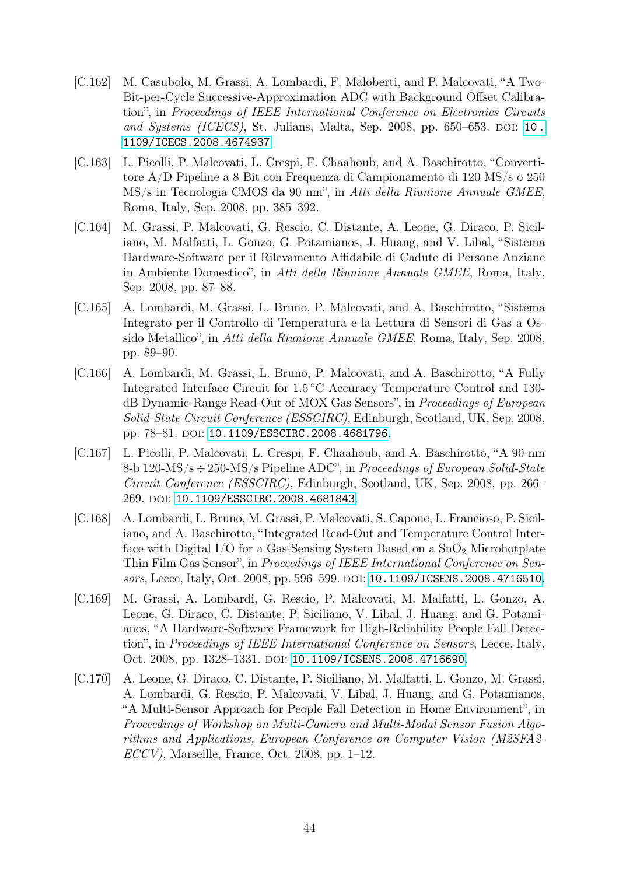- <span id="page-43-6"></span>[C.162] M. Casubolo, M. Grassi, A. Lombardi, F. Maloberti, and P. Malcovati, "A Two-Bit-per-Cycle Successive-Approximation ADC with Background Offset Calibration", in Proceedings of IEEE International Conference on Electronics Circuits and Systems (ICECS), St. Julians, Malta, Sep. 2008, pp. 650–653. DOI:  $10$ . [1109/ICECS.2008.4674937](https://doi.org/10.1109/ICECS.2008.4674937).
- <span id="page-43-7"></span>[C.163] L. Picolli, P. Malcovati, L. Crespi, F. Chaahoub, and A. Baschirotto, "Convertitore A/D Pipeline a 8 Bit con Frequenza di Campionamento di 120 MS/s o 250 MS/s in Tecnologia CMOS da 90 nm", in Atti della Riunione Annuale GMEE, Roma, Italy, Sep. 2008, pp. 385–392.
- <span id="page-43-0"></span>[C.164] M. Grassi, P. Malcovati, G. Rescio, C. Distante, A. Leone, G. Diraco, P. Siciliano, M. Malfatti, L. Gonzo, G. Potamianos, J. Huang, and V. Libal, "Sistema Hardware-Software per il Rilevamento Affidabile di Cadute di Persone Anziane in Ambiente Domestico", in Atti della Riunione Annuale GMEE, Roma, Italy, Sep. 2008, pp. 87–88.
- <span id="page-43-1"></span>[C.165] A. Lombardi, M. Grassi, L. Bruno, P. Malcovati, and A. Baschirotto, "Sistema Integrato per il Controllo di Temperatura e la Lettura di Sensori di Gas a Ossido Metallico", in Atti della Riunione Annuale GMEE, Roma, Italy, Sep. 2008, pp. 89–90.
- <span id="page-43-2"></span>[C.166] A. Lombardi, M. Grassi, L. Bruno, P. Malcovati, and A. Baschirotto, "A Fully Integrated Interface Circuit for 1.5 ◦C Accuracy Temperature Control and 130 dB Dynamic-Range Read-Out of MOX Gas Sensors", in Proceedings of European Solid-State Circuit Conference (ESSCIRC), Edinburgh, Scotland, UK, Sep. 2008, pp. 78–81. DOI: [10.1109/ESSCIRC.2008.4681796](https://doi.org/10.1109/ESSCIRC.2008.4681796).
- <span id="page-43-8"></span>[C.167] L. Picolli, P. Malcovati, L. Crespi, F. Chaahoub, and A. Baschirotto, "A 90-nm 8-b 120-MS/s  $\div$  250-MS/s Pipeline ADC", in Proceedings of European Solid-State Circuit Conference (ESSCIRC), Edinburgh, Scotland, UK, Sep. 2008, pp. 266– 269. doi: [10.1109/ESSCIRC.2008.4681843](https://doi.org/10.1109/ESSCIRC.2008.4681843).
- <span id="page-43-3"></span>[C.168] A. Lombardi, L. Bruno, M. Grassi, P. Malcovati, S. Capone, L. Francioso, P. Siciliano, and A. Baschirotto, "Integrated Read-Out and Temperature Control Interface with Digital I/O for a Gas-Sensing System Based on a  $SnO<sub>2</sub>$  Microhotplate Thin Film Gas Sensor", in Proceedings of IEEE International Conference on Sensors, Lecce, Italy, Oct. 2008, pp. 596-599. DOI: 10.1109/ICSENS. 2008.4716510.
- <span id="page-43-4"></span>[C.169] M. Grassi, A. Lombardi, G. Rescio, P. Malcovati, M. Malfatti, L. Gonzo, A. Leone, G. Diraco, C. Distante, P. Siciliano, V. Libal, J. Huang, and G. Potamianos, "A Hardware-Software Framework for High-Reliability People Fall Detection", in Proceedings of IEEE International Conference on Sensors, Lecce, Italy, Oct. 2008, pp. 1328–1331. DOI: [10.1109/ICSENS.2008.4716690](https://doi.org/10.1109/ICSENS.2008.4716690).
- <span id="page-43-5"></span>[C.170] A. Leone, G. Diraco, C. Distante, P. Siciliano, M. Malfatti, L. Gonzo, M. Grassi, A. Lombardi, G. Rescio, P. Malcovati, V. Libal, J. Huang, and G. Potamianos, "A Multi-Sensor Approach for People Fall Detection in Home Environment", in Proceedings of Workshop on Multi-Camera and Multi-Modal Sensor Fusion Algorithms and Applications, European Conference on Computer Vision (M2SFA2- ECCV), Marseille, France, Oct. 2008, pp. 1–12.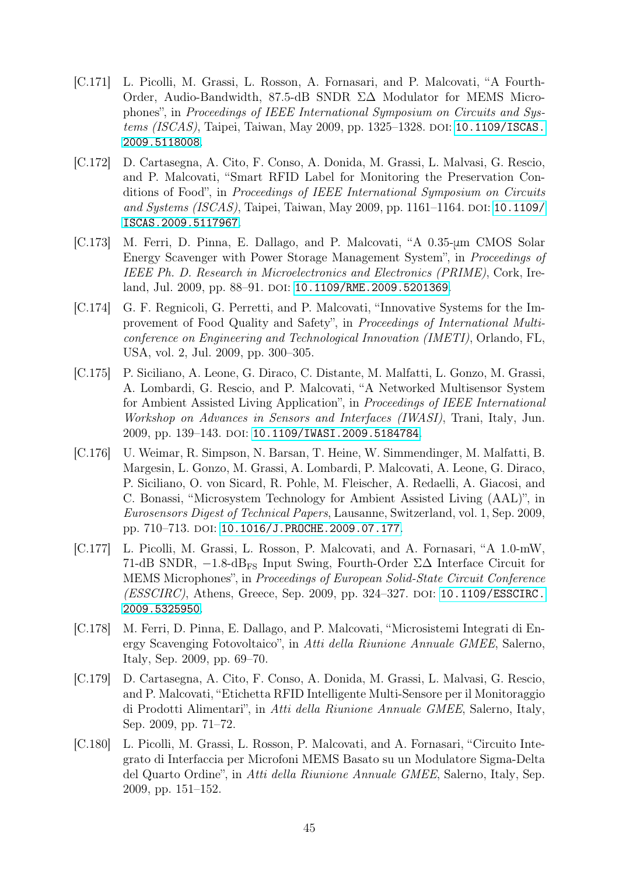- <span id="page-44-5"></span>[C.171] L. Picolli, M. Grassi, L. Rosson, A. Fornasari, and P. Malcovati, "A Fourth-Order, Audio-Bandwidth, 87.5-dB SNDR ΣΔ Modulator for MEMS Microphones", in Proceedings of IEEE International Symposium on Circuits and Sys $tems (ISCAS)$ , Taipei, Taiwan, May 2009, pp. 1325–1328. DOI: [10.1109/ISCAS.](https://doi.org/10.1109/ISCAS.2009.5118008) [2009.5118008](https://doi.org/10.1109/ISCAS.2009.5118008).
- <span id="page-44-0"></span>[C.172] D. Cartasegna, A. Cito, F. Conso, A. Donida, M. Grassi, L. Malvasi, G. Rescio, and P. Malcovati, "Smart RFID Label for Monitoring the Preservation Conditions of Food", in Proceedings of IEEE International Symposium on Circuits and Systems (ISCAS), Taipei, Taiwan, May 2009, pp. 1161–1164. DOI: [10.1109/](https://doi.org/10.1109/ISCAS.2009.5117967) [ISCAS.2009.5117967](https://doi.org/10.1109/ISCAS.2009.5117967).
- <span id="page-44-8"></span>[C.173] M. Ferri, D. Pinna, E. Dallago, and P. Malcovati, "A 0.35-μm CMOS Solar Energy Scavenger with Power Storage Management System", in Proceedings of IEEE Ph. D. Research in Microelectronics and Electronics (PRIME), Cork, Ire-land, Jul. 2009, pp. 88–91. DOI: [10.1109/RME.2009.5201369](https://doi.org/10.1109/RME.2009.5201369).
- <span id="page-44-1"></span>[C.174] G. F. Regnicoli, G. Perretti, and P. Malcovati, "Innovative Systems for the Improvement of Food Quality and Safety", in Proceedings of International Multiconference on Engineering and Technological Innovation (IMETI), Orlando, FL, USA, vol. 2, Jul. 2009, pp. 300–305.
- <span id="page-44-2"></span>[C.175] P. Siciliano, A. Leone, G. Diraco, C. Distante, M. Malfatti, L. Gonzo, M. Grassi, A. Lombardi, G. Rescio, and P. Malcovati, "A Networked Multisensor System for Ambient Assisted Living Application", in Proceedings of IEEE International Workshop on Advances in Sensors and Interfaces (IWASI), Trani, Italy, Jun. 2009, pp. 139-143. DOI: [10.1109/IWASI.2009.5184784](https://doi.org/10.1109/IWASI.2009.5184784).
- <span id="page-44-3"></span>[C.176] U. Weimar, R. Simpson, N. Barsan, T. Heine, W. Simmendinger, M. Malfatti, B. Margesin, L. Gonzo, M. Grassi, A. Lombardi, P. Malcovati, A. Leone, G. Diraco, P. Siciliano, O. von Sicard, R. Pohle, M. Fleischer, A. Redaelli, A. Giacosi, and C. Bonassi, "Microsystem Technology for Ambient Assisted Living (AAL)", in Eurosensors Digest of Technical Papers, Lausanne, Switzerland, vol. 1, Sep. 2009, pp. 710-713. DOI: [10.1016/J.PROCHE.2009.07.177](https://doi.org/10.1016/J.PROCHE.2009.07.177).
- <span id="page-44-6"></span>[C.177] L. Picolli, M. Grassi, L. Rosson, P. Malcovati, and A. Fornasari, "A 1.0-mW, 71-dB SNDR,  $-1.8$ -dB<sub>FS</sub> Input Swing, Fourth-Order  $\Sigma\Delta$  Interface Circuit for MEMS Microphones", in Proceedings of European Solid-State Circuit Conference  $(ESSCIRC)$ , Athens, Greece, Sep. 2009, pp. 324–327. DOI: [10.1109/ESSCIRC.](https://doi.org/10.1109/ESSCIRC.2009.5325950) [2009.5325950](https://doi.org/10.1109/ESSCIRC.2009.5325950).
- <span id="page-44-9"></span>[C.178] M. Ferri, D. Pinna, E. Dallago, and P. Malcovati, "Microsistemi Integrati di Energy Scavenging Fotovoltaico", in Atti della Riunione Annuale GMEE, Salerno, Italy, Sep. 2009, pp. 69–70.
- <span id="page-44-4"></span>[C.179] D. Cartasegna, A. Cito, F. Conso, A. Donida, M. Grassi, L. Malvasi, G. Rescio, and P. Malcovati, "Etichetta RFID Intelligente Multi-Sensore per il Monitoraggio di Prodotti Alimentari", in Atti della Riunione Annuale GMEE, Salerno, Italy, Sep. 2009, pp. 71–72.
- <span id="page-44-7"></span>[C.180] L. Picolli, M. Grassi, L. Rosson, P. Malcovati, and A. Fornasari, "Circuito Integrato di Interfaccia per Microfoni MEMS Basato su un Modulatore Sigma-Delta del Quarto Ordine", in Atti della Riunione Annuale GMEE, Salerno, Italy, Sep. 2009, pp. 151–152.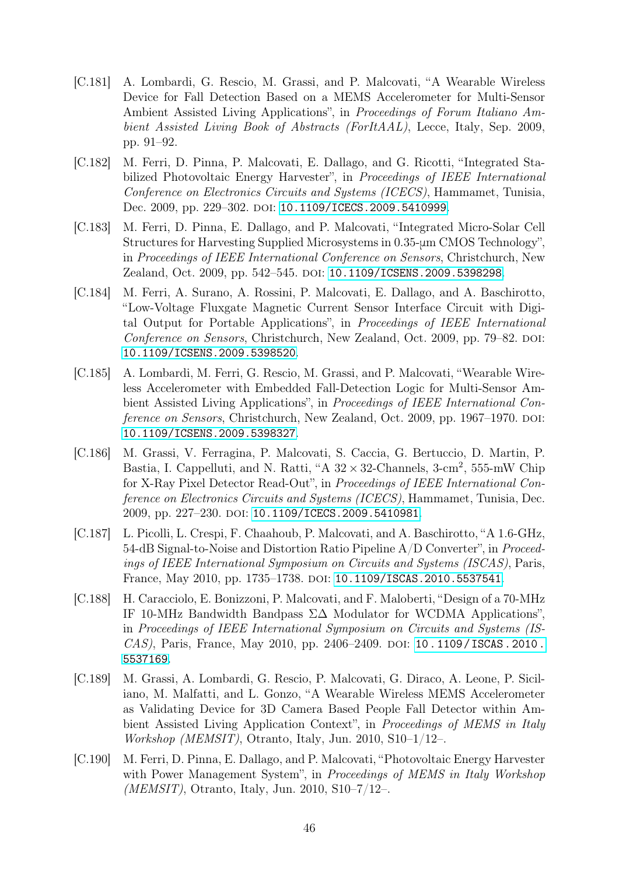- <span id="page-45-0"></span>[C.181] A. Lombardi, G. Rescio, M. Grassi, and P. Malcovati, "A Wearable Wireless Device for Fall Detection Based on a MEMS Accelerometer for Multi-Sensor Ambient Assisted Living Applications", in Proceedings of Forum Italiano Ambient Assisted Living Book of Abstracts (ForItAAL), Lecce, Italy, Sep. 2009, pp. 91–92.
- <span id="page-45-7"></span>[C.182] M. Ferri, D. Pinna, P. Malcovati, E. Dallago, and G. Ricotti, "Integrated Stabilized Photovoltaic Energy Harvester", in Proceedings of IEEE International Conference on Electronics Circuits and Systems (ICECS), Hammamet, Tunisia, Dec. 2009, pp. 229-302. DOI: [10.1109/ICECS.2009.5410999](https://doi.org/10.1109/ICECS.2009.5410999).
- <span id="page-45-8"></span>[C.183] M. Ferri, D. Pinna, E. Dallago, and P. Malcovati, "Integrated Micro-Solar Cell Structures for Harvesting Supplied Microsystems in 0.35-μm CMOS Technology", in Proceedings of IEEE International Conference on Sensors, Christchurch, New Zealand, Oct. 2009, pp. 542-545. DOI: [10.1109/ICSENS.2009.5398298](https://doi.org/10.1109/ICSENS.2009.5398298).
- <span id="page-45-1"></span>[C.184] M. Ferri, A. Surano, A. Rossini, P. Malcovati, E. Dallago, and A. Baschirotto, "Low-Voltage Fluxgate Magnetic Current Sensor Interface Circuit with Digital Output for Portable Applications", in Proceedings of IEEE International Conference on Sensors, Christchurch, New Zealand, Oct. 2009, pp. 79–82. DOI: [10.1109/ICSENS.2009.5398520](https://doi.org/10.1109/ICSENS.2009.5398520).
- <span id="page-45-2"></span>[C.185] A. Lombardi, M. Ferri, G. Rescio, M. Grassi, and P. Malcovati, "Wearable Wireless Accelerometer with Embedded Fall-Detection Logic for Multi-Sensor Ambient Assisted Living Applications", in Proceedings of IEEE International Conference on Sensors, Christchurch, New Zealand, Oct. 2009, pp. 1967–1970. DOI: [10.1109/ICSENS.2009.5398327](https://doi.org/10.1109/ICSENS.2009.5398327).
- <span id="page-45-3"></span>[C.186] M. Grassi, V. Ferragina, P. Malcovati, S. Caccia, G. Bertuccio, D. Martin, P. Bastia, I. Cappelluti, and N. Ratti, "A  $32 \times 32$ -Channels, 3-cm<sup>2</sup>, 555-mW Chip for X-Ray Pixel Detector Read-Out", in Proceedings of IEEE International Conference on Electronics Circuits and Systems (ICECS), Hammamet, Tunisia, Dec. 2009, pp. 227-230. DOI: [10.1109/ICECS.2009.5410981](https://doi.org/10.1109/ICECS.2009.5410981).
- <span id="page-45-5"></span>[C.187] L. Picolli, L. Crespi, F. Chaahoub, P. Malcovati, and A. Baschirotto, "A 1.6-GHz, 54-dB Signal-to-Noise and Distortion Ratio Pipeline A/D Converter", in Proceedings of IEEE International Symposium on Circuits and Systems (ISCAS), Paris, France, May 2010, pp. 1735-1738. DOI: [10.1109/ISCAS.2010.5537541](https://doi.org/10.1109/ISCAS.2010.5537541).
- <span id="page-45-6"></span>[C.188] H. Caracciolo, E. Bonizzoni, P. Malcovati, and F. Maloberti, "Design of a 70-MHz IF 10-MHz Bandwidth Bandpass ΣΔ Modulator for WCDMA Applications", in Proceedings of IEEE International Symposium on Circuits and Systems (IS-CAS), Paris, France, May 2010, pp. 2406–2409. DOI:  $10.1109 / \text{ISCAS}.2010$ . [5537169](https://doi.org/10.1109/ISCAS.2010.5537169).
- <span id="page-45-4"></span>[C.189] M. Grassi, A. Lombardi, G. Rescio, P. Malcovati, G. Diraco, A. Leone, P. Siciliano, M. Malfatti, and L. Gonzo, "A Wearable Wireless MEMS Accelerometer as Validating Device for 3D Camera Based People Fall Detector within Ambient Assisted Living Application Context", in Proceedings of MEMS in Italy Workshop (MEMSIT), Otranto, Italy, Jun. 2010, S10-1/12-.
- <span id="page-45-9"></span>[C.190] M. Ferri, D. Pinna, E. Dallago, and P. Malcovati, "Photovoltaic Energy Harvester with Power Management System", in Proceedings of MEMS in Italy Workshop (MEMSIT), Otranto, Italy, Jun. 2010, S10–7/12–.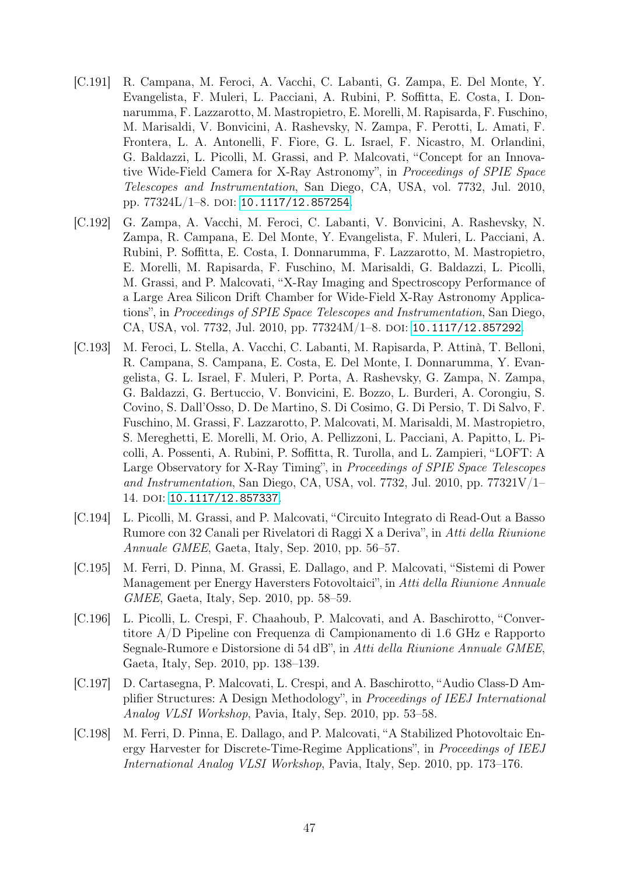- <span id="page-46-0"></span>[C.191] R. Campana, M. Feroci, A. Vacchi, C. Labanti, G. Zampa, E. Del Monte, Y. Evangelista, F. Muleri, L. Pacciani, A. Rubini, P. Soffitta, E. Costa, I. Donnarumma, F. Lazzarotto, M. Mastropietro, E. Morelli, M. Rapisarda, F. Fuschino, M. Marisaldi, V. Bonvicini, A. Rashevsky, N. Zampa, F. Perotti, L. Amati, F. Frontera, L. A. Antonelli, F. Fiore, G. L. Israel, F. Nicastro, M. Orlandini, G. Baldazzi, L. Picolli, M. Grassi, and P. Malcovati, "Concept for an Innovative Wide-Field Camera for X-Ray Astronomy", in Proceedings of SPIE Space Telescopes and Instrumentation, San Diego, CA, USA, vol. 7732, Jul. 2010, pp. 77324L/1-8. poi: [10.1117/12.857254](https://doi.org/10.1117/12.857254).
- <span id="page-46-1"></span>[C.192] G. Zampa, A. Vacchi, M. Feroci, C. Labanti, V. Bonvicini, A. Rashevsky, N. Zampa, R. Campana, E. Del Monte, Y. Evangelista, F. Muleri, L. Pacciani, A. Rubini, P. Soffitta, E. Costa, I. Donnarumma, F. Lazzarotto, M. Mastropietro, E. Morelli, M. Rapisarda, F. Fuschino, M. Marisaldi, G. Baldazzi, L. Picolli, M. Grassi, and P. Malcovati, "X-Ray Imaging and Spectroscopy Performance of a Large Area Silicon Drift Chamber for Wide-Field X-Ray Astronomy Applications", in Proceedings of SPIE Space Telescopes and Instrumentation, San Diego, CA, USA, vol. 7732, Jul. 2010, pp. 77324M/1–8. doi: [10.1117/12.857292](https://doi.org/10.1117/12.857292).
- <span id="page-46-2"></span>[C.193] M. Feroci, L. Stella, A. Vacchi, C. Labanti, M. Rapisarda, P. Attinà, T. Belloni, R. Campana, S. Campana, E. Costa, E. Del Monte, I. Donnarumma, Y. Evangelista, G. L. Israel, F. Muleri, P. Porta, A. Rashevsky, G. Zampa, N. Zampa, G. Baldazzi, G. Bertuccio, V. Bonvicini, E. Bozzo, L. Burderi, A. Corongiu, S. Covino, S. Dall'Osso, D. De Martino, S. Di Cosimo, G. Di Persio, T. Di Salvo, F. Fuschino, M. Grassi, F. Lazzarotto, P. Malcovati, M. Marisaldi, M. Mastropietro, S. Mereghetti, E. Morelli, M. Orio, A. Pellizzoni, L. Pacciani, A. Papitto, L. Picolli, A. Possenti, A. Rubini, P. Soffitta, R. Turolla, and L. Zampieri, "LOFT: A Large Observatory for X-Ray Timing", in Proceedings of SPIE Space Telescopes and Instrumentation, San Diego, CA, USA, vol. 7732, Jul. 2010, pp.  $77321V/1-$ 14. DOI: [10.1117/12.857337](https://doi.org/10.1117/12.857337).
- <span id="page-46-3"></span>[C.194] L. Picolli, M. Grassi, and P. Malcovati, "Circuito Integrato di Read-Out a Basso Rumore con 32 Canali per Rivelatori di Raggi X a Deriva", in Atti della Riunione Annuale GMEE, Gaeta, Italy, Sep. 2010, pp. 56–57.
- <span id="page-46-6"></span>[C.195] M. Ferri, D. Pinna, M. Grassi, E. Dallago, and P. Malcovati, "Sistemi di Power Management per Energy Haversters Fotovoltaici", in Atti della Riunione Annuale GMEE, Gaeta, Italy, Sep. 2010, pp. 58–59.
- <span id="page-46-4"></span>[C.196] L. Picolli, L. Crespi, F. Chaahoub, P. Malcovati, and A. Baschirotto, "Convertitore A/D Pipeline con Frequenza di Campionamento di 1.6 GHz e Rapporto Segnale-Rumore e Distorsione di 54 dB", in Atti della Riunione Annuale GMEE, Gaeta, Italy, Sep. 2010, pp. 138–139.
- <span id="page-46-5"></span>[C.197] D. Cartasegna, P. Malcovati, L. Crespi, and A. Baschirotto, "Audio Class-D Amplifier Structures: A Design Methodology", in Proceedings of IEEJ International Analog VLSI Workshop, Pavia, Italy, Sep. 2010, pp. 53–58.
- <span id="page-46-7"></span>[C.198] M. Ferri, D. Pinna, E. Dallago, and P. Malcovati, "A Stabilized Photovoltaic Energy Harvester for Discrete-Time-Regime Applications", in Proceedings of IEEJ International Analog VLSI Workshop, Pavia, Italy, Sep. 2010, pp. 173–176.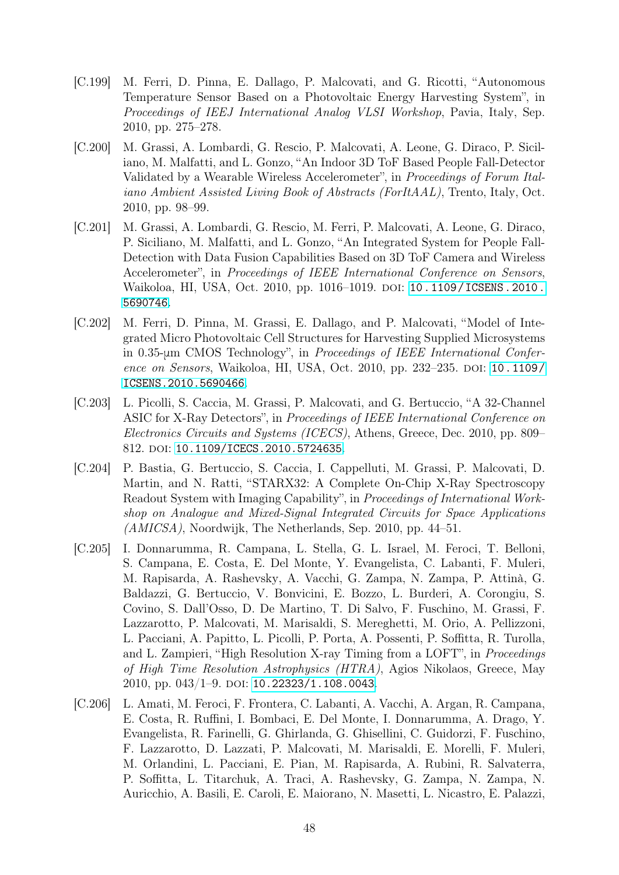- <span id="page-47-6"></span>[C.199] M. Ferri, D. Pinna, E. Dallago, P. Malcovati, and G. Ricotti, "Autonomous Temperature Sensor Based on a Photovoltaic Energy Harvesting System", in Proceedings of IEEJ International Analog VLSI Workshop, Pavia, Italy, Sep. 2010, pp. 275–278.
- <span id="page-47-0"></span>[C.200] M. Grassi, A. Lombardi, G. Rescio, P. Malcovati, A. Leone, G. Diraco, P. Siciliano, M. Malfatti, and L. Gonzo, "An Indoor 3D ToF Based People Fall-Detector Validated by a Wearable Wireless Accelerometer", in Proceedings of Forum Italiano Ambient Assisted Living Book of Abstracts (ForItAAL), Trento, Italy, Oct. 2010, pp. 98–99.
- <span id="page-47-1"></span>[C.201] M. Grassi, A. Lombardi, G. Rescio, M. Ferri, P. Malcovati, A. Leone, G. Diraco, P. Siciliano, M. Malfatti, and L. Gonzo, "An Integrated System for People Fall-Detection with Data Fusion Capabilities Based on 3D ToF Camera and Wireless Accelerometer", in Proceedings of IEEE International Conference on Sensors, Waikoloa, HI, USA, Oct. 2010, pp. 1016–1019. doi: [10.1109/ICSENS.2010.](https://doi.org/10.1109/ICSENS.2010.5690746) [5690746](https://doi.org/10.1109/ICSENS.2010.5690746).
- <span id="page-47-7"></span>[C.202] M. Ferri, D. Pinna, M. Grassi, E. Dallago, and P. Malcovati, "Model of Integrated Micro Photovoltaic Cell Structures for Harvesting Supplied Microsystems in 0.35-μm CMOS Technology", in Proceedings of IEEE International Confer-ence on Sensors, Waikoloa, HI, USA, Oct. 2010, pp. 232–235. DOI: [10.1109/](https://doi.org/10.1109/ICSENS.2010.5690466) [ICSENS.2010.5690466](https://doi.org/10.1109/ICSENS.2010.5690466).
- <span id="page-47-2"></span>[C.203] L. Picolli, S. Caccia, M. Grassi, P. Malcovati, and G. Bertuccio, "A 32-Channel ASIC for X-Ray Detectors", in Proceedings of IEEE International Conference on Electronics Circuits and Systems (ICECS), Athens, Greece, Dec. 2010, pp. 809– 812. DOI: [10.1109/ICECS.2010.5724635](https://doi.org/10.1109/ICECS.2010.5724635).
- <span id="page-47-3"></span>[C.204] P. Bastia, G. Bertuccio, S. Caccia, I. Cappelluti, M. Grassi, P. Malcovati, D. Martin, and N. Ratti, "STARX32: A Complete On-Chip X-Ray Spectroscopy Readout System with Imaging Capability", in Proceedings of International Workshop on Analogue and Mixed-Signal Integrated Circuits for Space Applications (AMICSA), Noordwijk, The Netherlands, Sep. 2010, pp. 44–51.
- <span id="page-47-4"></span>[C.205] I. Donnarumma, R. Campana, L. Stella, G. L. Israel, M. Feroci, T. Belloni, S. Campana, E. Costa, E. Del Monte, Y. Evangelista, C. Labanti, F. Muleri, M. Rapisarda, A. Rashevsky, A. Vacchi, G. Zampa, N. Zampa, P. Attinà, G. Baldazzi, G. Bertuccio, V. Bonvicini, E. Bozzo, L. Burderi, A. Corongiu, S. Covino, S. Dall'Osso, D. De Martino, T. Di Salvo, F. Fuschino, M. Grassi, F. Lazzarotto, P. Malcovati, M. Marisaldi, S. Mereghetti, M. Orio, A. Pellizzoni, L. Pacciani, A. Papitto, L. Picolli, P. Porta, A. Possenti, P. Soffitta, R. Turolla, and L. Zampieri, "High Resolution X-ray Timing from a LOFT", in *Proceedings* of High Time Resolution Astrophysics (HTRA), Agios Nikolaos, Greece, May 2010, pp.  $0.43/1 - 9$ . DOI: [10.22323/1.108.0043](https://doi.org/10.22323/1.108.0043).
- <span id="page-47-5"></span>[C.206] L. Amati, M. Feroci, F. Frontera, C. Labanti, A. Vacchi, A. Argan, R. Campana, E. Costa, R. Ruffini, I. Bombaci, E. Del Monte, I. Donnarumma, A. Drago, Y. Evangelista, R. Farinelli, G. Ghirlanda, G. Ghisellini, C. Guidorzi, F. Fuschino, F. Lazzarotto, D. Lazzati, P. Malcovati, M. Marisaldi, E. Morelli, F. Muleri, M. Orlandini, L. Pacciani, E. Pian, M. Rapisarda, A. Rubini, R. Salvaterra, P. Soffitta, L. Titarchuk, A. Traci, A. Rashevsky, G. Zampa, N. Zampa, N. Auricchio, A. Basili, E. Caroli, E. Maiorano, N. Masetti, L. Nicastro, E. Palazzi,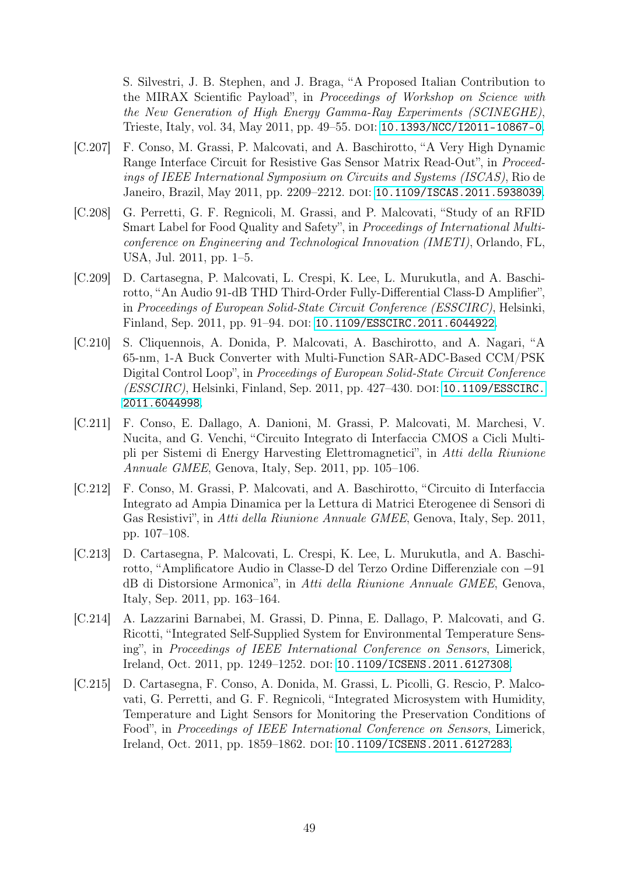S. Silvestri, J. B. Stephen, and J. Braga, "A Proposed Italian Contribution to the MIRAX Scientific Payload", in Proceedings of Workshop on Science with the New Generation of High Energy Gamma-Ray Experiments (SCINEGHE), Trieste, Italy, vol. 34, May 2011, pp. 49–55. doi: [10.1393/NCC/I2011-10867-0](https://doi.org/10.1393/NCC/I2011-10867-0).

- <span id="page-48-0"></span>[C.207] F. Conso, M. Grassi, P. Malcovati, and A. Baschirotto, "A Very High Dynamic Range Interface Circuit for Resistive Gas Sensor Matrix Read-Out", in Proceedings of IEEE International Symposium on Circuits and Systems (ISCAS), Rio de Janeiro, Brazil, May 2011, pp. 2209–2212. doi: [10.1109/ISCAS.2011.5938039](https://doi.org/10.1109/ISCAS.2011.5938039).
- <span id="page-48-1"></span>[C.208] G. Perretti, G. F. Regnicoli, M. Grassi, and P. Malcovati, "Study of an RFID Smart Label for Food Quality and Safety", in Proceedings of International Multiconference on Engineering and Technological Innovation (IMETI), Orlando, FL, USA, Jul. 2011, pp. 1–5.
- <span id="page-48-4"></span>[C.209] D. Cartasegna, P. Malcovati, L. Crespi, K. Lee, L. Murukutla, and A. Baschirotto, "An Audio 91-dB THD Third-Order Fully-Differential Class-D Amplifier", in Proceedings of European Solid-State Circuit Conference (ESSCIRC), Helsinki, Finland, Sep. 2011, pp. 91-94. DOI: [10.1109/ESSCIRC.2011.6044922](https://doi.org/10.1109/ESSCIRC.2011.6044922).
- <span id="page-48-6"></span>[C.210] S. Cliquennois, A. Donida, P. Malcovati, A. Baschirotto, and A. Nagari, "A 65-nm, 1-A Buck Converter with Multi-Function SAR-ADC-Based CCM/PSK Digital Control Loop", in Proceedings of European Solid-State Circuit Conference  $(ESSCIRC)$ , Helsinki, Finland, Sep. 2011, pp. 427-430. DOI: [10.1109/ESSCIRC.](https://doi.org/10.1109/ESSCIRC.2011.6044998) [2011.6044998](https://doi.org/10.1109/ESSCIRC.2011.6044998).
- <span id="page-48-7"></span>[C.211] F. Conso, E. Dallago, A. Danioni, M. Grassi, P. Malcovati, M. Marchesi, V. Nucita, and G. Venchi, "Circuito Integrato di Interfaccia CMOS a Cicli Multipli per Sistemi di Energy Harvesting Elettromagnetici", in Atti della Riunione Annuale GMEE, Genova, Italy, Sep. 2011, pp. 105–106.
- <span id="page-48-2"></span>[C.212] F. Conso, M. Grassi, P. Malcovati, and A. Baschirotto, "Circuito di Interfaccia Integrato ad Ampia Dinamica per la Lettura di Matrici Eterogenee di Sensori di Gas Resistivi", in Atti della Riunione Annuale GMEE, Genova, Italy, Sep. 2011, pp. 107–108.
- <span id="page-48-5"></span>[C.213] D. Cartasegna, P. Malcovati, L. Crespi, K. Lee, L. Murukutla, and A. Baschirotto, "Amplificatore Audio in Classe-D del Terzo Ordine Differenziale con −91 dB di Distorsione Armonica", in Atti della Riunione Annuale GMEE, Genova, Italy, Sep. 2011, pp. 163–164.
- <span id="page-48-8"></span>[C.214] A. Lazzarini Barnabei, M. Grassi, D. Pinna, E. Dallago, P. Malcovati, and G. Ricotti, "Integrated Self-Supplied System for Environmental Temperature Sensing", in Proceedings of IEEE International Conference on Sensors, Limerick, Ireland, Oct. 2011, pp. 1249-1252. DOI: [10.1109/ICSENS.2011.6127308](https://doi.org/10.1109/ICSENS.2011.6127308).
- <span id="page-48-3"></span>[C.215] D. Cartasegna, F. Conso, A. Donida, M. Grassi, L. Picolli, G. Rescio, P. Malcovati, G. Perretti, and G. F. Regnicoli, "Integrated Microsystem with Humidity, Temperature and Light Sensors for Monitoring the Preservation Conditions of Food", in Proceedings of IEEE International Conference on Sensors, Limerick, Ireland, Oct. 2011, pp. 1859–1862. DOI: [10.1109/ICSENS.2011.6127283](https://doi.org/10.1109/ICSENS.2011.6127283).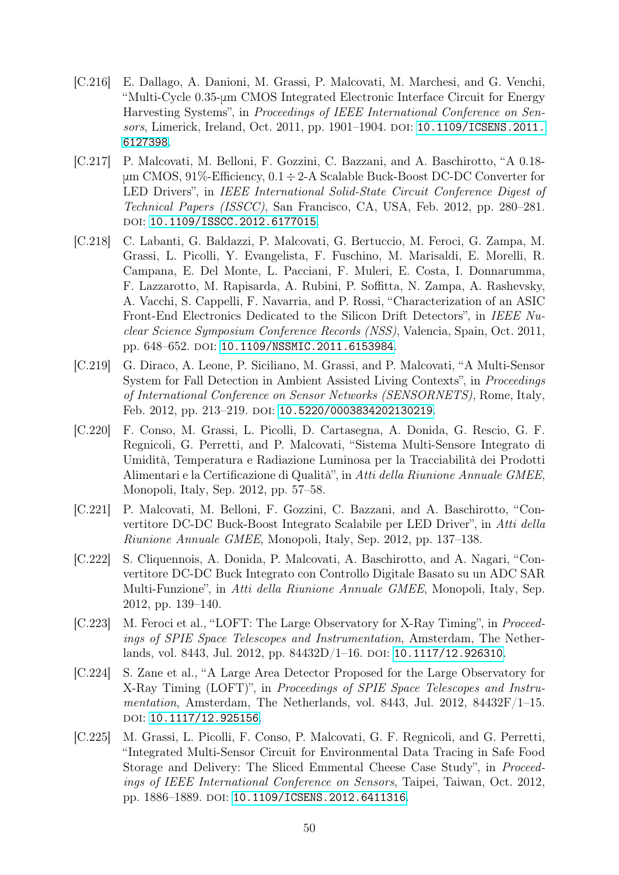- <span id="page-49-6"></span>[C.216] E. Dallago, A. Danioni, M. Grassi, P. Malcovati, M. Marchesi, and G. Venchi, "Multi-Cycle 0.35-μm CMOS Integrated Electronic Interface Circuit for Energy Harvesting Systems", in Proceedings of IEEE International Conference on Sen-sors, Limerick, Ireland, Oct. 2011, pp. 1901–1904. DOI: [10.1109/ICSENS.2011.](https://doi.org/10.1109/ICSENS.2011.6127398) [6127398](https://doi.org/10.1109/ICSENS.2011.6127398).
- <span id="page-49-7"></span>[C.217] P. Malcovati, M. Belloni, F. Gozzini, C. Bazzani, and A. Baschirotto, "A 0.18-  $\mu$ m CMOS, 91%-Efficiency, 0.1 ÷ 2-A Scalable Buck-Boost DC-DC Converter for LED Drivers", in IEEE International Solid-State Circuit Conference Digest of Technical Papers (ISSCC), San Francisco, CA, USA, Feb. 2012, pp. 280–281. doi: [10.1109/ISSCC.2012.6177015](https://doi.org/10.1109/ISSCC.2012.6177015).
- <span id="page-49-0"></span>[C.218] C. Labanti, G. Baldazzi, P. Malcovati, G. Bertuccio, M. Feroci, G. Zampa, M. Grassi, L. Picolli, Y. Evangelista, F. Fuschino, M. Marisaldi, E. Morelli, R. Campana, E. Del Monte, L. Pacciani, F. Muleri, E. Costa, I. Donnarumma, F. Lazzarotto, M. Rapisarda, A. Rubini, P. Soffitta, N. Zampa, A. Rashevsky, A. Vacchi, S. Cappelli, F. Navarria, and P. Rossi, "Characterization of an ASIC Front-End Electronics Dedicated to the Silicon Drift Detectors", in IEEE Nuclear Science Symposium Conference Records (NSS), Valencia, Spain, Oct. 2011, pp. 648-652. DOI: [10.1109/NSSMIC.2011.6153984](https://doi.org/10.1109/NSSMIC.2011.6153984).
- <span id="page-49-1"></span>[C.219] G. Diraco, A. Leone, P. Siciliano, M. Grassi, and P. Malcovati, "A Multi-Sensor System for Fall Detection in Ambient Assisted Living Contexts", in Proceedings of International Conference on Sensor Networks (SENSORNETS), Rome, Italy, Feb. 2012, pp. 213-219. DOI: [10.5220/0003834202130219](https://doi.org/10.5220/0003834202130219).
- <span id="page-49-2"></span>[C.220] F. Conso, M. Grassi, L. Picolli, D. Cartasegna, A. Donida, G. Rescio, G. F. Regnicoli, G. Perretti, and P. Malcovati, "Sistema Multi-Sensore Integrato di Umidità, Temperatura e Radiazione Luminosa per la Tracciabilità dei Prodotti Alimentari e la Certificazione di Qualità", in Atti della Riunione Annuale GMEE, Monopoli, Italy, Sep. 2012, pp. 57–58.
- <span id="page-49-8"></span>[C.221] P. Malcovati, M. Belloni, F. Gozzini, C. Bazzani, and A. Baschirotto, "Convertitore DC-DC Buck-Boost Integrato Scalabile per LED Driver", in Atti della Riunione Annuale GMEE, Monopoli, Italy, Sep. 2012, pp. 137–138.
- <span id="page-49-9"></span>[C.222] S. Cliquennois, A. Donida, P. Malcovati, A. Baschirotto, and A. Nagari, "Convertitore DC-DC Buck Integrato con Controllo Digitale Basato su un ADC SAR Multi-Funzione", in Atti della Riunione Annuale GMEE, Monopoli, Italy, Sep. 2012, pp. 139–140.
- <span id="page-49-3"></span>[C.223] M. Feroci et al., "LOFT: The Large Observatory for X-Ray Timing", in *Proceed*ings of SPIE Space Telescopes and Instrumentation, Amsterdam, The Nether-lands, vol. 8443, Jul. 2012, pp. 84432D/1-16. DOI: [10.1117/12.926310](https://doi.org/10.1117/12.926310).
- <span id="page-49-4"></span>[C.224] S. Zane et al., "A Large Area Detector Proposed for the Large Observatory for X-Ray Timing (LOFT)", in Proceedings of SPIE Space Telescopes and Instrumentation, Amsterdam, The Netherlands, vol. 8443, Jul. 2012, 84432F/1–15. doi: [10.1117/12.925156](https://doi.org/10.1117/12.925156).
- <span id="page-49-5"></span>[C.225] M. Grassi, L. Picolli, F. Conso, P. Malcovati, G. F. Regnicoli, and G. Perretti, "Integrated Multi-Sensor Circuit for Environmental Data Tracing in Safe Food Storage and Delivery: The Sliced Emmental Cheese Case Study", in Proceedings of IEEE International Conference on Sensors, Taipei, Taiwan, Oct. 2012, pp. 1886-1889. DOI: [10.1109/ICSENS.2012.6411316](https://doi.org/10.1109/ICSENS.2012.6411316).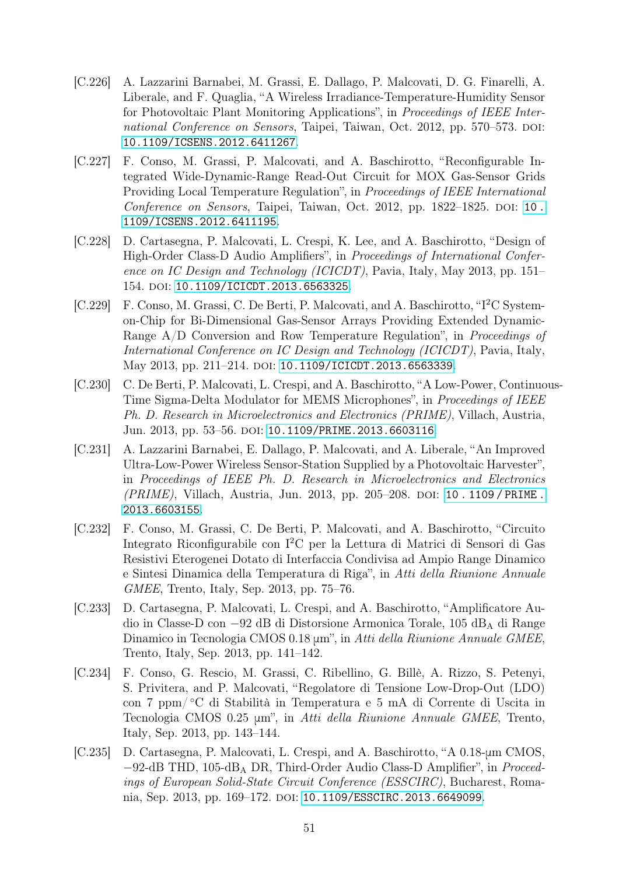- <span id="page-50-8"></span>[C.226] A. Lazzarini Barnabei, M. Grassi, E. Dallago, P. Malcovati, D. G. Finarelli, A. Liberale, and F. Quaglia, "A Wireless Irradiance-Temperature-Humidity Sensor for Photovoltaic Plant Monitoring Applications", in Proceedings of IEEE International Conference on Sensors, Taipei, Taiwan, Oct. 2012, pp. 570–573. DOI: [10.1109/ICSENS.2012.6411267](https://doi.org/10.1109/ICSENS.2012.6411267).
- <span id="page-50-0"></span>[C.227] F. Conso, M. Grassi, P. Malcovati, and A. Baschirotto, "Reconfigurable Integrated Wide-Dynamic-Range Read-Out Circuit for MOX Gas-Sensor Grids Providing Local Temperature Regulation", in Proceedings of IEEE International  $Conference$  on Sensors, Taipei, Taiwan, Oct. 2012, pp. 1822–1825. DOI: 10. [1109/ICSENS.2012.6411195](https://doi.org/10.1109/ICSENS.2012.6411195).
- <span id="page-50-4"></span>[C.228] D. Cartasegna, P. Malcovati, L. Crespi, K. Lee, and A. Baschirotto, "Design of High-Order Class-D Audio Amplifiers", in Proceedings of International Conference on IC Design and Technology (ICICDT), Pavia, Italy, May 2013, pp. 151– 154. doi: [10.1109/ICICDT.2013.6563325](https://doi.org/10.1109/ICICDT.2013.6563325).
- <span id="page-50-1"></span>[C.229] F. Conso, M. Grassi, C. De Berti, P. Malcovati, and A. Baschirotto, "I<sup>2</sup>C Systemon-Chip for Bi-Dimensional Gas-Sensor Arrays Providing Extended Dynamic-Range A/D Conversion and Row Temperature Regulation", in Proceedings of International Conference on IC Design and Technology (ICICDT), Pavia, Italy, May 2013, pp. 211-214. DOI: [10.1109/ICICDT.2013.6563339](https://doi.org/10.1109/ICICDT.2013.6563339).
- <span id="page-50-3"></span>[C.230] C. De Berti, P. Malcovati, L. Crespi, and A. Baschirotto, "A Low-Power, Continuous-Time Sigma-Delta Modulator for MEMS Microphones", in Proceedings of IEEE Ph. D. Research in Microelectronics and Electronics (PRIME), Villach, Austria, Jun. 2013, pp. 53–56. DOI: [10.1109/PRIME.2013.6603116](https://doi.org/10.1109/PRIME.2013.6603116).
- <span id="page-50-9"></span>[C.231] A. Lazzarini Barnabei, E. Dallago, P. Malcovati, and A. Liberale, "An Improved Ultra-Low-Power Wireless Sensor-Station Supplied by a Photovoltaic Harvester", in Proceedings of IEEE Ph. D. Research in Microelectronics and Electronics (PRIME), Villach, Austria, Jun. 2013, pp. 205-208. DOI: 10 . 1109 / PRIME. [2013.6603155](https://doi.org/10.1109/PRIME.2013.6603155).
- <span id="page-50-2"></span>[C.232] F. Conso, M. Grassi, C. De Berti, P. Malcovati, and A. Baschirotto, "Circuito Integrato Riconfigurabile con I<sup>2</sup>C per la Lettura di Matrici di Sensori di Gas Resistivi Eterogenei Dotato di Interfaccia Condivisa ad Ampio Range Dinamico e Sintesi Dinamica della Temperatura di Riga", in Atti della Riunione Annuale GMEE, Trento, Italy, Sep. 2013, pp. 75–76.
- <span id="page-50-5"></span>[C.233] D. Cartasegna, P. Malcovati, L. Crespi, and A. Baschirotto, "Amplificatore Audio in Classe-D con −92 dB di Distorsione Armonica Torale, 105 dB<sup>A</sup> di Range Dinamico in Tecnologia CMOS 0.18 μm", in Atti della Riunione Annuale GMEE, Trento, Italy, Sep. 2013, pp. 141–142.
- <span id="page-50-6"></span>[C.234] F. Conso, G. Rescio, M. Grassi, C. Ribellino, G. Billè, A. Rizzo, S. Petenyi, S. Privitera, and P. Malcovati, "Regolatore di Tensione Low-Drop-Out (LDO) con 7 ppm/ ◦C di Stabilità in Temperatura e 5 mA di Corrente di Uscita in Tecnologia CMOS 0.25 μm", in Atti della Riunione Annuale GMEE, Trento, Italy, Sep. 2013, pp. 143–144.
- <span id="page-50-7"></span>[C.235] D. Cartasegna, P. Malcovati, L. Crespi, and A. Baschirotto, "A 0.18-μm CMOS, −92-dB THD, 105-dB<sup>A</sup> DR, Third-Order Audio Class-D Amplifier", in Proceedings of European Solid-State Circuit Conference (ESSCIRC), Bucharest, Roma-nia, Sep. 2013, pp. 169-172. DOI: [10.1109/ESSCIRC.2013.6649099](https://doi.org/10.1109/ESSCIRC.2013.6649099).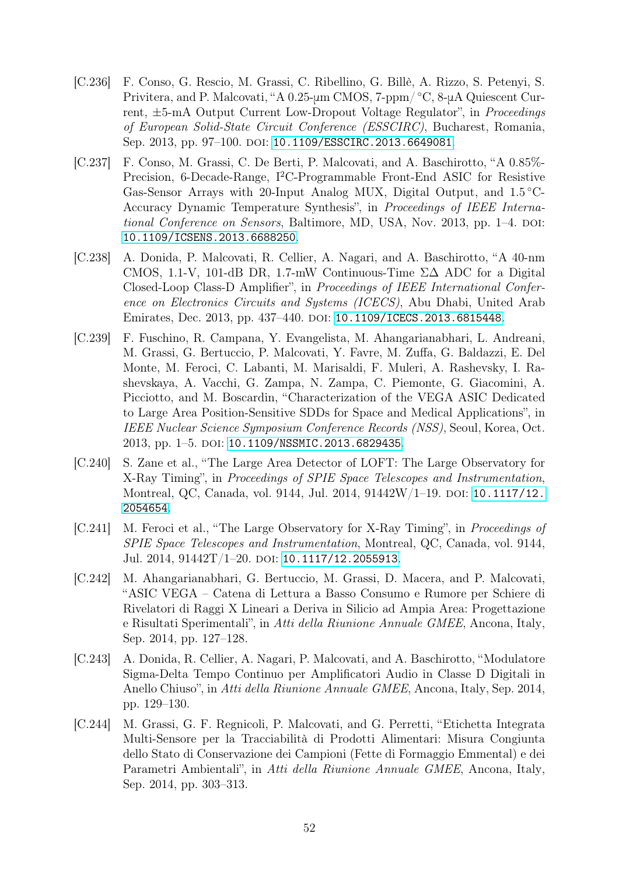- <span id="page-51-8"></span>[C.236] F. Conso, G. Rescio, M. Grassi, C. Ribellino, G. Billè, A. Rizzo, S. Petenyi, S. Privitera, and P. Malcovati, "A 0.25-μm CMOS, 7-ppm/ ◦C, 8-μA Quiescent Current, ±5-mA Output Current Low-Dropout Voltage Regulator", in Proceedings of European Solid-State Circuit Conference (ESSCIRC), Bucharest, Romania, Sep. 2013, pp. 97-100. DOI: [10.1109/ESSCIRC.2013.6649081](https://doi.org/10.1109/ESSCIRC.2013.6649081).
- <span id="page-51-0"></span>[C.237] F. Conso, M. Grassi, C. De Berti, P. Malcovati, and A. Baschirotto, "A 0.85%- Precision, 6-Decade-Range, I<sup>2</sup>C-Programmable Front-End ASIC for Resistive Gas-Sensor Arrays with 20-Input Analog MUX, Digital Output, and 1.5 ◦C-Accuracy Dynamic Temperature Synthesis", in Proceedings of IEEE International Conference on Sensors, Baltimore, MD, USA, Nov. 2013, pp. 1–4. DOI: [10.1109/ICSENS.2013.6688250](https://doi.org/10.1109/ICSENS.2013.6688250).
- <span id="page-51-6"></span>[C.238] A. Donida, P. Malcovati, R. Cellier, A. Nagari, and A. Baschirotto, "A 40-nm CMOS, 1.1-V, 101-dB DR, 1.7-mW Continuous-Time  $\Sigma\Delta$  ADC for a Digital Closed-Loop Class-D Amplifier", in Proceedings of IEEE International Conference on Electronics Circuits and Systems (ICECS), Abu Dhabi, United Arab Emirates, Dec. 2013, pp. 437-440. DOI: [10.1109/ICECS.2013.6815448](https://doi.org/10.1109/ICECS.2013.6815448).
- <span id="page-51-1"></span>[C.239] F. Fuschino, R. Campana, Y. Evangelista, M. Ahangarianabhari, L. Andreani, M. Grassi, G. Bertuccio, P. Malcovati, Y. Favre, M. Zuffa, G. Baldazzi, E. Del Monte, M. Feroci, C. Labanti, M. Marisaldi, F. Muleri, A. Rashevsky, I. Rashevskaya, A. Vacchi, G. Zampa, N. Zampa, C. Piemonte, G. Giacomini, A. Picciotto, and M. Boscardin, "Characterization of the VEGA ASIC Dedicated to Large Area Position-Sensitive SDDs for Space and Medical Applications", in IEEE Nuclear Science Symposium Conference Records (NSS), Seoul, Korea, Oct. 2013, pp. 1–5. doi: [10.1109/NSSMIC.2013.6829435](https://doi.org/10.1109/NSSMIC.2013.6829435).
- <span id="page-51-2"></span>[C.240] S. Zane et al., "The Large Area Detector of LOFT: The Large Observatory for X-Ray Timing", in Proceedings of SPIE Space Telescopes and Instrumentation, Montreal, QC, Canada, vol. 9144, Jul. 2014, 91442W/1-19. DOI: [10.1117/12.](https://doi.org/10.1117/12.2054654) [2054654](https://doi.org/10.1117/12.2054654).
- <span id="page-51-3"></span>[C.241] M. Feroci et al., "The Large Observatory for X-Ray Timing", in Proceedings of SPIE Space Telescopes and Instrumentation, Montreal, QC, Canada, vol. 9144, Jul. 2014,  $91442T/1-20$ . DOI: [10.1117/12.2055913](https://doi.org/10.1117/12.2055913).
- <span id="page-51-4"></span>[C.242] M. Ahangarianabhari, G. Bertuccio, M. Grassi, D. Macera, and P. Malcovati, "ASIC VEGA – Catena di Lettura a Basso Consumo e Rumore per Schiere di Rivelatori di Raggi X Lineari a Deriva in Silicio ad Ampia Area: Progettazione e Risultati Sperimentali", in Atti della Riunione Annuale GMEE, Ancona, Italy, Sep. 2014, pp. 127–128.
- <span id="page-51-7"></span>[C.243] A. Donida, R. Cellier, A. Nagari, P. Malcovati, and A. Baschirotto, "Modulatore Sigma-Delta Tempo Continuo per Amplificatori Audio in Classe D Digitali in Anello Chiuso", in Atti della Riunione Annuale GMEE, Ancona, Italy, Sep. 2014, pp. 129–130.
- <span id="page-51-5"></span>[C.244] M. Grassi, G. F. Regnicoli, P. Malcovati, and G. Perretti, "Etichetta Integrata Multi-Sensore per la Tracciabilità di Prodotti Alimentari: Misura Congiunta dello Stato di Conservazione dei Campioni (Fette di Formaggio Emmental) e dei Parametri Ambientali", in Atti della Riunione Annuale GMEE, Ancona, Italy, Sep. 2014, pp. 303–313.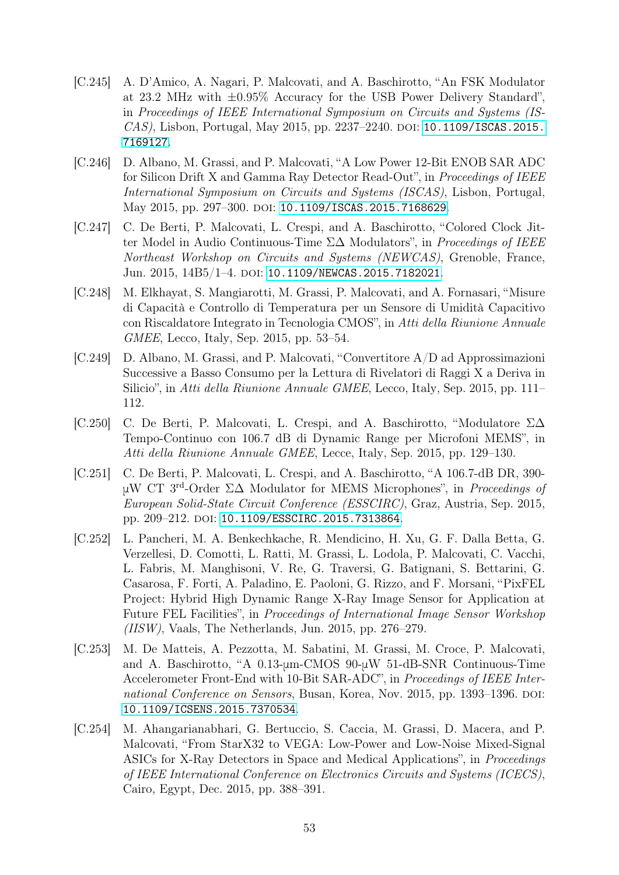- <span id="page-52-9"></span>[C.245] A. D'Amico, A. Nagari, P. Malcovati, and A. Baschirotto, "An FSK Modulator at 23.2 MHz with  $\pm 0.95\%$  Accuracy for the USB Power Delivery Standard", in Proceedings of IEEE International Symposium on Circuits and Systems (IS- $CAS$ ), Lisbon, Portugal, May 2015, pp. 2237–2240. DOI: [10.1109/ISCAS.2015.](https://doi.org/10.1109/ISCAS.2015.7169127) [7169127](https://doi.org/10.1109/ISCAS.2015.7169127).
- <span id="page-52-4"></span>[C.246] D. Albano, M. Grassi, and P. Malcovati, "A Low Power 12-Bit ENOB SAR ADC for Silicon Drift X and Gamma Ray Detector Read-Out", in Proceedings of IEEE International Symposium on Circuits and Systems (ISCAS), Lisbon, Portugal, May 2015, pp. 297-300. DOI: [10.1109/ISCAS.2015.7168629](https://doi.org/10.1109/ISCAS.2015.7168629).
- <span id="page-52-5"></span>[C.247] C. De Berti, P. Malcovati, L. Crespi, and A. Baschirotto, "Colored Clock Jitter Model in Audio Continuous-Time  $\Sigma\Delta$  Modulators", in Proceedings of IEEE Northeast Workshop on Circuits and Systems (NEWCAS), Grenoble, France, Jun. 2015, 14B5/1-4. DOI: [10.1109/NEWCAS.2015.7182021](https://doi.org/10.1109/NEWCAS.2015.7182021).
- <span id="page-52-0"></span>[C.248] M. Elkhayat, S. Mangiarotti, M. Grassi, P. Malcovati, and A. Fornasari, "Misure di Capacità e Controllo di Temperatura per un Sensore di Umidità Capacitivo con Riscaldatore Integrato in Tecnologia CMOS", in Atti della Riunione Annuale GMEE, Lecco, Italy, Sep. 2015, pp. 53–54.
- <span id="page-52-6"></span>[C.249] D. Albano, M. Grassi, and P. Malcovati, "Convertitore A/D ad Approssimazioni Successive a Basso Consumo per la Lettura di Rivelatori di Raggi X a Deriva in Silicio", in Atti della Riunione Annuale GMEE, Lecco, Italy, Sep. 2015, pp. 111– 112.
- <span id="page-52-7"></span>[C.250] C. De Berti, P. Malcovati, L. Crespi, and A. Baschirotto, "Modulatore ΣΔ Tempo-Continuo con 106.7 dB di Dynamic Range per Microfoni MEMS", in Atti della Riunione Annuale GMEE, Lecce, Italy, Sep. 2015, pp. 129–130.
- <span id="page-52-8"></span>[C.251] C. De Berti, P. Malcovati, L. Crespi, and A. Baschirotto, "A 106.7-dB DR, 390 μW CT 3<sup>rd</sup>-Order ΣΔ Modulator for MEMS Microphones", in Proceedings of European Solid-State Circuit Conference (ESSCIRC), Graz, Austria, Sep. 2015, pp. 209-212. DOI: [10.1109/ESSCIRC.2015.7313864](https://doi.org/10.1109/ESSCIRC.2015.7313864).
- <span id="page-52-1"></span>[C.252] L. Pancheri, M. A. Benkechkache, R. Mendicino, H. Xu, G. F. Dalla Betta, G. Verzellesi, D. Comotti, L. Ratti, M. Grassi, L. Lodola, P. Malcovati, C. Vacchi, L. Fabris, M. Manghisoni, V. Re, G. Traversi, G. Batignani, S. Bettarini, G. Casarosa, F. Forti, A. Paladino, E. Paoloni, G. Rizzo, and F. Morsani, "PixFEL Project: Hybrid High Dynamic Range X-Ray Image Sensor for Application at Future FEL Facilities", in Proceedings of International Image Sensor Workshop (IISW), Vaals, The Netherlands, Jun. 2015, pp. 276–279.
- <span id="page-52-2"></span>[C.253] M. De Matteis, A. Pezzotta, M. Sabatini, M. Grassi, M. Croce, P. Malcovati, and A. Baschirotto, "A 0.13-μm-CMOS 90-μW 51-dB-SNR Continuous-Time Accelerometer Front-End with 10-Bit SAR-ADC", in Proceedings of IEEE International Conference on Sensors, Busan, Korea, Nov. 2015, pp. 1393–1396. DOI: [10.1109/ICSENS.2015.7370534](https://doi.org/10.1109/ICSENS.2015.7370534).
- <span id="page-52-3"></span>[C.254] M. Ahangarianabhari, G. Bertuccio, S. Caccia, M. Grassi, D. Macera, and P. Malcovati, "From StarX32 to VEGA: Low-Power and Low-Noise Mixed-Signal ASICs for X-Ray Detectors in Space and Medical Applications", in Proceedings of IEEE International Conference on Electronics Circuits and Systems (ICECS), Cairo, Egypt, Dec. 2015, pp. 388–391.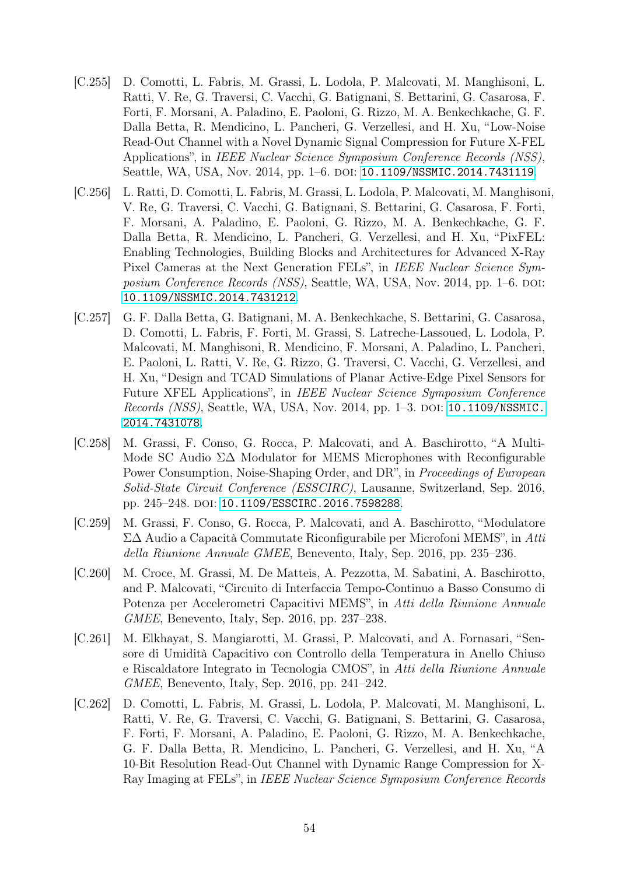- <span id="page-53-0"></span>[C.255] D. Comotti, L. Fabris, M. Grassi, L. Lodola, P. Malcovati, M. Manghisoni, L. Ratti, V. Re, G. Traversi, C. Vacchi, G. Batignani, S. Bettarini, G. Casarosa, F. Forti, F. Morsani, A. Paladino, E. Paoloni, G. Rizzo, M. A. Benkechkache, G. F. Dalla Betta, R. Mendicino, L. Pancheri, G. Verzellesi, and H. Xu, "Low-Noise Read-Out Channel with a Novel Dynamic Signal Compression for Future X-FEL Applications", in IEEE Nuclear Science Symposium Conference Records (NSS), Seattle, WA, USA, Nov. 2014, pp. 1–6. DOI: [10.1109/NSSMIC.2014.7431119](https://doi.org/10.1109/NSSMIC.2014.7431119).
- <span id="page-53-1"></span>[C.256] L. Ratti, D. Comotti, L. Fabris, M. Grassi, L. Lodola, P. Malcovati, M. Manghisoni, V. Re, G. Traversi, C. Vacchi, G. Batignani, S. Bettarini, G. Casarosa, F. Forti, F. Morsani, A. Paladino, E. Paoloni, G. Rizzo, M. A. Benkechkache, G. F. Dalla Betta, R. Mendicino, L. Pancheri, G. Verzellesi, and H. Xu, "PixFEL: Enabling Technologies, Building Blocks and Architectures for Advanced X-Ray Pixel Cameras at the Next Generation FELs", in IEEE Nuclear Science Symposium Conference Records  $(NSS)$ , Seattle, WA, USA, Nov. 2014, pp. 1–6. DOI: [10.1109/NSSMIC.2014.7431212](https://doi.org/10.1109/NSSMIC.2014.7431212).
- <span id="page-53-2"></span>[C.257] G. F. Dalla Betta, G. Batignani, M. A. Benkechkache, S. Bettarini, G. Casarosa, D. Comotti, L. Fabris, F. Forti, M. Grassi, S. Latreche-Lassoued, L. Lodola, P. Malcovati, M. Manghisoni, R. Mendicino, F. Morsani, A. Paladino, L. Pancheri, E. Paoloni, L. Ratti, V. Re, G. Rizzo, G. Traversi, C. Vacchi, G. Verzellesi, and H. Xu, "Design and TCAD Simulations of Planar Active-Edge Pixel Sensors for Future XFEL Applications", in IEEE Nuclear Science Symposium Conference Records (NSS), Seattle, WA, USA, Nov. 2014, pp. 1–3. DOI:  $10.1109/NSSMIC$ . [2014.7431078](https://doi.org/10.1109/NSSMIC.2014.7431078).
- <span id="page-53-5"></span>[C.258] M. Grassi, F. Conso, G. Rocca, P. Malcovati, and A. Baschirotto, "A Multi-Mode SC Audio ΣΔ Modulator for MEMS Microphones with Reconfigurable Power Consumption, Noise-Shaping Order, and DR", in *Proceedings of European* Solid-State Circuit Conference (ESSCIRC), Lausanne, Switzerland, Sep. 2016, pp. 245-248. DOI: [10.1109/ESSCIRC.2016.7598288](https://doi.org/10.1109/ESSCIRC.2016.7598288).
- <span id="page-53-6"></span>[C.259] M. Grassi, F. Conso, G. Rocca, P. Malcovati, and A. Baschirotto, "Modulatore ΣΔ Audio a Capacità Commutate Riconfigurabile per Microfoni MEMS", in Atti della Riunione Annuale GMEE, Benevento, Italy, Sep. 2016, pp. 235–236.
- <span id="page-53-3"></span>[C.260] M. Croce, M. Grassi, M. De Matteis, A. Pezzotta, M. Sabatini, A. Baschirotto, and P. Malcovati, "Circuito di Interfaccia Tempo-Continuo a Basso Consumo di Potenza per Accelerometri Capacitivi MEMS", in Atti della Riunione Annuale GMEE, Benevento, Italy, Sep. 2016, pp. 237–238.
- <span id="page-53-4"></span>[C.261] M. Elkhayat, S. Mangiarotti, M. Grassi, P. Malcovati, and A. Fornasari, "Sensore di Umidità Capacitivo con Controllo della Temperatura in Anello Chiuso e Riscaldatore Integrato in Tecnologia CMOS", in Atti della Riunione Annuale GMEE, Benevento, Italy, Sep. 2016, pp. 241–242.
- <span id="page-53-7"></span>[C.262] D. Comotti, L. Fabris, M. Grassi, L. Lodola, P. Malcovati, M. Manghisoni, L. Ratti, V. Re, G. Traversi, C. Vacchi, G. Batignani, S. Bettarini, G. Casarosa, F. Forti, F. Morsani, A. Paladino, E. Paoloni, G. Rizzo, M. A. Benkechkache, G. F. Dalla Betta, R. Mendicino, L. Pancheri, G. Verzellesi, and H. Xu, "A 10-Bit Resolution Read-Out Channel with Dynamic Range Compression for X-Ray Imaging at FELs", in IEEE Nuclear Science Symposium Conference Records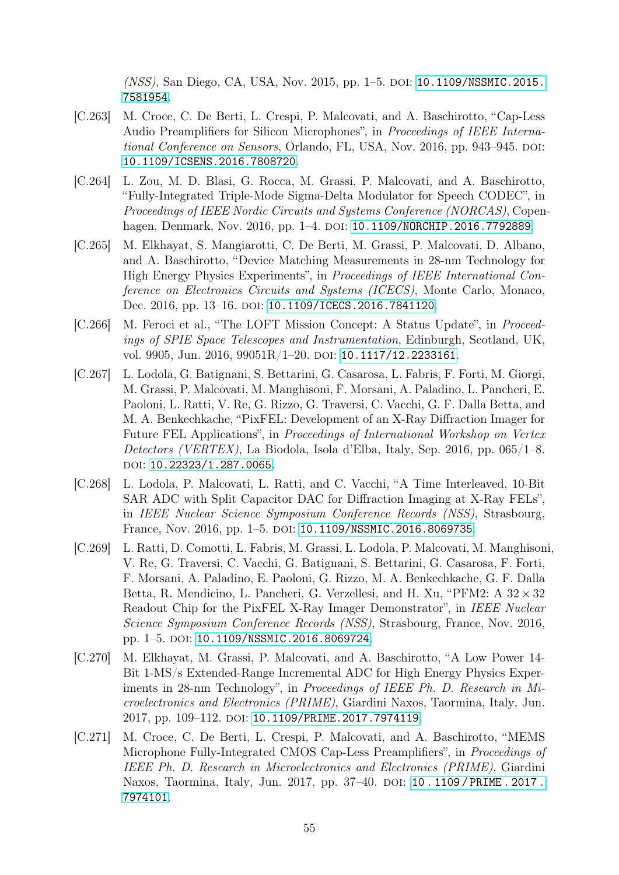(NSS), San Diego, CA, USA, Nov. 2015, pp. 1–5. doi: [10.1109/NSSMIC.2015.](https://doi.org/10.1109/NSSMIC.2015.7581954) [7581954](https://doi.org/10.1109/NSSMIC.2015.7581954).

- <span id="page-54-0"></span>[C.263] M. Croce, C. De Berti, L. Crespi, P. Malcovati, and A. Baschirotto, "Cap-Less Audio Preamplifiers for Silicon Microphones", in Proceedings of IEEE International Conference on Sensors, Orlando, FL, USA, Nov. 2016, pp. 943-945. DOI: [10.1109/ICSENS.2016.7808720](https://doi.org/10.1109/ICSENS.2016.7808720).
- <span id="page-54-5"></span>[C.264] L. Zou, M. D. Blasi, G. Rocca, M. Grassi, P. Malcovati, and A. Baschirotto, "Fully-Integrated Triple-Mode Sigma-Delta Modulator for Speech CODEC", in Proceedings of IEEE Nordic Circuits and Systems Conference (NORCAS), Copenhagen, Denmark, Nov. 2016, pp. 1–4. DOI: 10.1109/NORCHIP. 2016.7792889.
- <span id="page-54-8"></span>[C.265] M. Elkhayat, S. Mangiarotti, C. De Berti, M. Grassi, P. Malcovati, D. Albano, and A. Baschirotto, "Device Matching Measurements in 28-nm Technology for High Energy Physics Experiments", in Proceedings of IEEE International Conference on Electronics Circuits and Systems (ICECS), Monte Carlo, Monaco, Dec. 2016, pp. 13-16. DOI: [10.1109/ICECS.2016.7841120](https://doi.org/10.1109/ICECS.2016.7841120).
- <span id="page-54-1"></span>[C.266] M. Feroci et al., "The LOFT Mission Concept: A Status Update", in Proceedings of SPIE Space Telescopes and Instrumentation, Edinburgh, Scotland, UK, vol. 9905, Jun. 2016, 99051R/1–20. doi: [10.1117/12.2233161](https://doi.org/10.1117/12.2233161).
- <span id="page-54-2"></span>[C.267] L. Lodola, G. Batignani, S. Bettarini, G. Casarosa, L. Fabris, F. Forti, M. Giorgi, M. Grassi, P. Malcovati, M. Manghisoni, F. Morsani, A. Paladino, L. Pancheri, E. Paoloni, L. Ratti, V. Re, G. Rizzo, G. Traversi, C. Vacchi, G. F. Dalla Betta, and M. A. Benkechkache, "PixFEL: Development of an X-Ray Diffraction Imager for Future FEL Applications", in Proceedings of International Workshop on Vertex Detectors (VERTEX), La Biodola, Isola d'Elba, Italy, Sep. 2016, pp. 065/1–8. doi: [10.22323/1.287.0065](https://doi.org/10.22323/1.287.0065).
- <span id="page-54-6"></span>[C.268] L. Lodola, P. Malcovati, L. Ratti, and C. Vacchi, "A Time Interleaved, 10-Bit SAR ADC with Split Capacitor DAC for Diffraction Imaging at X-Ray FELs", in IEEE Nuclear Science Symposium Conference Records (NSS), Strasbourg, France, Nov. 2016, pp. 1-5. DOI: [10.1109/NSSMIC.2016.8069735](https://doi.org/10.1109/NSSMIC.2016.8069735).
- <span id="page-54-3"></span>[C.269] L. Ratti, D. Comotti, L. Fabris, M. Grassi, L. Lodola, P. Malcovati, M. Manghisoni, V. Re, G. Traversi, C. Vacchi, G. Batignani, S. Bettarini, G. Casarosa, F. Forti, F. Morsani, A. Paladino, E. Paoloni, G. Rizzo, M. A. Benkechkache, G. F. Dalla Betta, R. Mendicino, L. Pancheri, G. Verzellesi, and H. Xu, "PFM2: A  $32 \times 32$ Readout Chip for the PixFEL X-Ray Imager Demonstrator", in IEEE Nuclear Science Symposium Conference Records (NSS), Strasbourg, France, Nov. 2016, pp. 1–5. doi: [10.1109/NSSMIC.2016.8069724](https://doi.org/10.1109/NSSMIC.2016.8069724).
- <span id="page-54-7"></span>[C.270] M. Elkhayat, M. Grassi, P. Malcovati, and A. Baschirotto, "A Low Power 14- Bit 1-MS/s Extended-Range Incremental ADC for High Energy Physics Experiments in 28-nm Technology", in Proceedings of IEEE Ph. D. Research in Microelectronics and Electronics (PRIME), Giardini Naxos, Taormina, Italy, Jun. 2017, pp. 109-112. DOI: [10.1109/PRIME.2017.7974119](https://doi.org/10.1109/PRIME.2017.7974119).
- <span id="page-54-4"></span>[C.271] M. Croce, C. De Berti, L. Crespi, P. Malcovati, and A. Baschirotto, "MEMS Microphone Fully-Integrated CMOS Cap-Less Preamplifiers", in Proceedings of IEEE Ph. D. Research in Microelectronics and Electronics (PRIME), Giardini Naxos, Taormina, Italy, Jun. 2017, pp. 37–40. DOI: 10 . 1109 / PRIME . 2017. [7974101](https://doi.org/10.1109/PRIME.2017.7974101).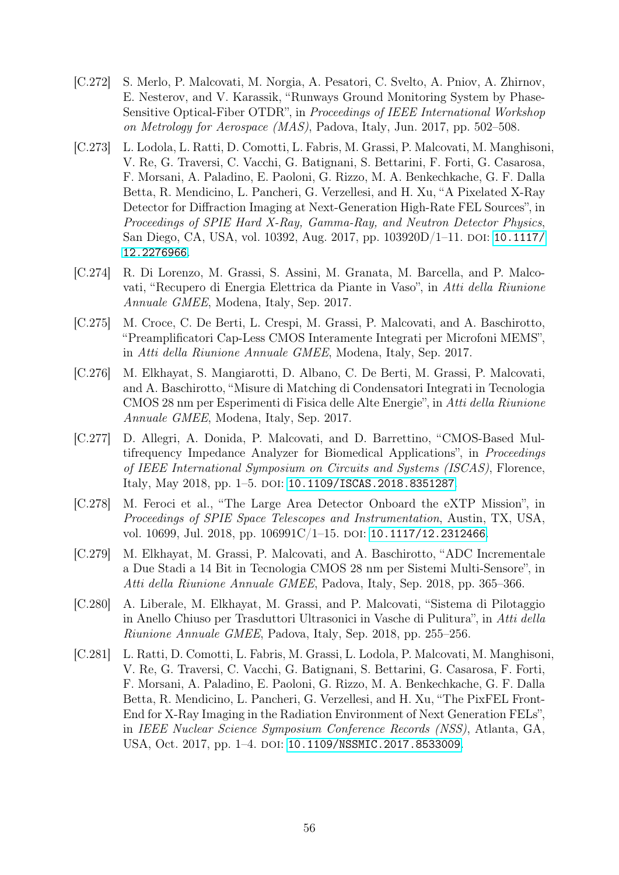- <span id="page-55-0"></span>[C.272] S. Merlo, P. Malcovati, M. Norgia, A. Pesatori, C. Svelto, A. Pniov, A. Zhirnov, E. Nesterov, and V. Karassik, "Runways Ground Monitoring System by Phase-Sensitive Optical-Fiber OTDR", in Proceedings of IEEE International Workshop on Metrology for Aerospace (MAS), Padova, Italy, Jun. 2017, pp. 502–508.
- <span id="page-55-1"></span>[C.273] L. Lodola, L. Ratti, D. Comotti, L. Fabris, M. Grassi, P. Malcovati, M. Manghisoni, V. Re, G. Traversi, C. Vacchi, G. Batignani, S. Bettarini, F. Forti, G. Casarosa, F. Morsani, A. Paladino, E. Paoloni, G. Rizzo, M. A. Benkechkache, G. F. Dalla Betta, R. Mendicino, L. Pancheri, G. Verzellesi, and H. Xu, "A Pixelated X-Ray Detector for Diffraction Imaging at Next-Generation High-Rate FEL Sources", in Proceedings of SPIE Hard X-Ray, Gamma-Ray, and Neutron Detector Physics, San Diego, CA, USA, vol. 10392, Aug. 2017, pp. 103920D/1-11. DOI: [10.1117/](https://doi.org/10.1117/12.2276966) [12.2276966](https://doi.org/10.1117/12.2276966).
- <span id="page-55-8"></span>[C.274] R. Di Lorenzo, M. Grassi, S. Assini, M. Granata, M. Barcella, and P. Malcovati, "Recupero di Energia Elettrica da Piante in Vaso", in Atti della Riunione Annuale GMEE, Modena, Italy, Sep. 2017.
- <span id="page-55-2"></span>[C.275] M. Croce, C. De Berti, L. Crespi, M. Grassi, P. Malcovati, and A. Baschirotto, "Preamplificatori Cap-Less CMOS Interamente Integrati per Microfoni MEMS", in Atti della Riunione Annuale GMEE, Modena, Italy, Sep. 2017.
- <span id="page-55-7"></span>[C.276] M. Elkhayat, S. Mangiarotti, D. Albano, C. De Berti, M. Grassi, P. Malcovati, and A. Baschirotto, "Misure di Matching di Condensatori Integrati in Tecnologia CMOS 28 nm per Esperimenti di Fisica delle Alte Energie", in Atti della Riunione Annuale GMEE, Modena, Italy, Sep. 2017.
- <span id="page-55-3"></span>[C.277] D. Allegri, A. Donida, P. Malcovati, and D. Barrettino, "CMOS-Based Multifrequency Impedance Analyzer for Biomedical Applications", in Proceedings of IEEE International Symposium on Circuits and Systems (ISCAS), Florence, Italy, May 2018, pp. 1–5. DOI: [10.1109/ISCAS.2018.8351287](https://doi.org/10.1109/ISCAS.2018.8351287).
- <span id="page-55-4"></span>[C.278] M. Feroci et al., "The Large Area Detector Onboard the eXTP Mission", in Proceedings of SPIE Space Telescopes and Instrumentation, Austin, TX, USA, vol. 10699, Jul. 2018, pp. 106991C/1-15. DOI: [10.1117/12.2312466](https://doi.org/10.1117/12.2312466).
- <span id="page-55-6"></span>[C.279] M. Elkhayat, M. Grassi, P. Malcovati, and A. Baschirotto, "ADC Incrementale a Due Stadi a 14 Bit in Tecnologia CMOS 28 nm per Sistemi Multi-Sensore", in Atti della Riunione Annuale GMEE, Padova, Italy, Sep. 2018, pp. 365–366.
- <span id="page-55-9"></span>[C.280] A. Liberale, M. Elkhayat, M. Grassi, and P. Malcovati, "Sistema di Pilotaggio in Anello Chiuso per Trasduttori Ultrasonici in Vasche di Pulitura", in Atti della Riunione Annuale GMEE, Padova, Italy, Sep. 2018, pp. 255–256.
- <span id="page-55-5"></span>[C.281] L. Ratti, D. Comotti, L. Fabris, M. Grassi, L. Lodola, P. Malcovati, M. Manghisoni, V. Re, G. Traversi, C. Vacchi, G. Batignani, S. Bettarini, G. Casarosa, F. Forti, F. Morsani, A. Paladino, E. Paoloni, G. Rizzo, M. A. Benkechkache, G. F. Dalla Betta, R. Mendicino, L. Pancheri, G. Verzellesi, and H. Xu, "The PixFEL Front-End for X-Ray Imaging in the Radiation Environment of Next Generation FELs", in IEEE Nuclear Science Symposium Conference Records (NSS), Atlanta, GA, USA, Oct. 2017, pp. 1-4. DOI: [10.1109/NSSMIC.2017.8533009](https://doi.org/10.1109/NSSMIC.2017.8533009).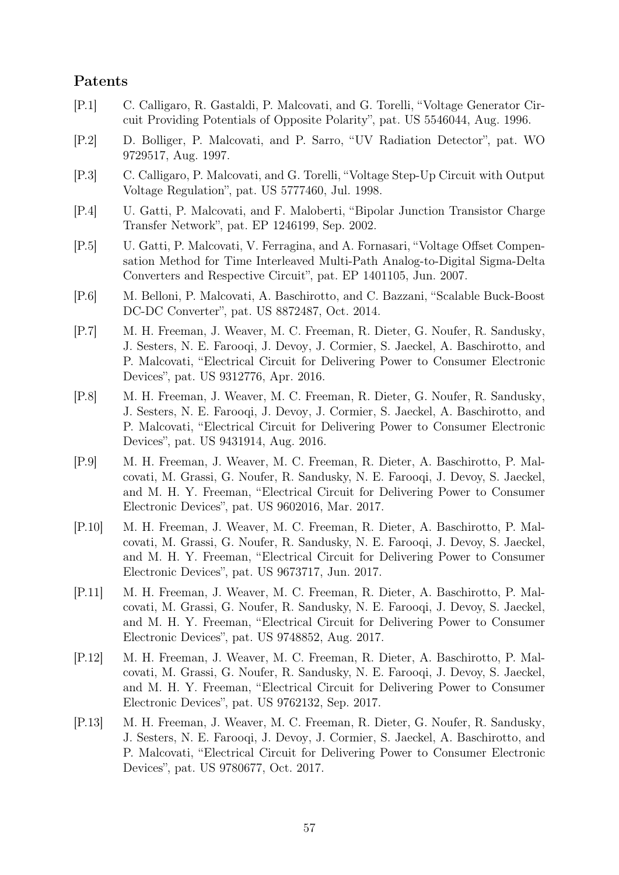### Patents

- <span id="page-56-4"></span>[P.1] C. Calligaro, R. Gastaldi, P. Malcovati, and G. Torelli, "Voltage Generator Circuit Providing Potentials of Opposite Polarity", pat. US 5546044, Aug. 1996.
- <span id="page-56-0"></span>[P.2] D. Bolliger, P. Malcovati, and P. Sarro, "UV Radiation Detector", pat. WO 9729517, Aug. 1997.
- <span id="page-56-3"></span>[P.3] C. Calligaro, P. Malcovati, and G. Torelli, "Voltage Step-Up Circuit with Output Voltage Regulation", pat. US 5777460, Jul. 1998.
- <span id="page-56-2"></span>[P.4] U. Gatti, P. Malcovati, and F. Maloberti, "Bipolar Junction Transistor Charge Transfer Network", pat. EP 1246199, Sep. 2002.
- <span id="page-56-1"></span>[P.5] U. Gatti, P. Malcovati, V. Ferragina, and A. Fornasari, "Voltage Offset Compensation Method for Time Interleaved Multi-Path Analog-to-Digital Sigma-Delta Converters and Respective Circuit", pat. EP 1401105, Jun. 2007.
- <span id="page-56-5"></span>[P.6] M. Belloni, P. Malcovati, A. Baschirotto, and C. Bazzani, "Scalable Buck-Boost DC-DC Converter", pat. US 8872487, Oct. 2014.
- <span id="page-56-6"></span>[P.7] M. H. Freeman, J. Weaver, M. C. Freeman, R. Dieter, G. Noufer, R. Sandusky, J. Sesters, N. E. Farooqi, J. Devoy, J. Cormier, S. Jaeckel, A. Baschirotto, and P. Malcovati, "Electrical Circuit for Delivering Power to Consumer Electronic Devices", pat. US 9312776, Apr. 2016.
- <span id="page-56-7"></span>[P.8] M. H. Freeman, J. Weaver, M. C. Freeman, R. Dieter, G. Noufer, R. Sandusky, J. Sesters, N. E. Farooqi, J. Devoy, J. Cormier, S. Jaeckel, A. Baschirotto, and P. Malcovati, "Electrical Circuit for Delivering Power to Consumer Electronic Devices", pat. US 9431914, Aug. 2016.
- <span id="page-56-8"></span>[P.9] M. H. Freeman, J. Weaver, M. C. Freeman, R. Dieter, A. Baschirotto, P. Malcovati, M. Grassi, G. Noufer, R. Sandusky, N. E. Farooqi, J. Devoy, S. Jaeckel, and M. H. Y. Freeman, "Electrical Circuit for Delivering Power to Consumer Electronic Devices", pat. US 9602016, Mar. 2017.
- <span id="page-56-9"></span>[P.10] M. H. Freeman, J. Weaver, M. C. Freeman, R. Dieter, A. Baschirotto, P. Malcovati, M. Grassi, G. Noufer, R. Sandusky, N. E. Farooqi, J. Devoy, S. Jaeckel, and M. H. Y. Freeman, "Electrical Circuit for Delivering Power to Consumer Electronic Devices", pat. US 9673717, Jun. 2017.
- <span id="page-56-10"></span>[P.11] M. H. Freeman, J. Weaver, M. C. Freeman, R. Dieter, A. Baschirotto, P. Malcovati, M. Grassi, G. Noufer, R. Sandusky, N. E. Farooqi, J. Devoy, S. Jaeckel, and M. H. Y. Freeman, "Electrical Circuit for Delivering Power to Consumer Electronic Devices", pat. US 9748852, Aug. 2017.
- <span id="page-56-11"></span>[P.12] M. H. Freeman, J. Weaver, M. C. Freeman, R. Dieter, A. Baschirotto, P. Malcovati, M. Grassi, G. Noufer, R. Sandusky, N. E. Farooqi, J. Devoy, S. Jaeckel, and M. H. Y. Freeman, "Electrical Circuit for Delivering Power to Consumer Electronic Devices", pat. US 9762132, Sep. 2017.
- <span id="page-56-12"></span>[P.13] M. H. Freeman, J. Weaver, M. C. Freeman, R. Dieter, G. Noufer, R. Sandusky, J. Sesters, N. E. Farooqi, J. Devoy, J. Cormier, S. Jaeckel, A. Baschirotto, and P. Malcovati, "Electrical Circuit for Delivering Power to Consumer Electronic Devices", pat. US 9780677, Oct. 2017.